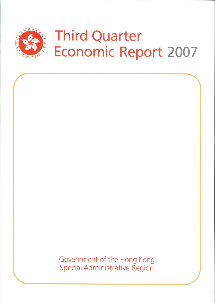

# **Third Quarter Economic Report 2007**

Government of the Hong Kong **Special Administrative Region**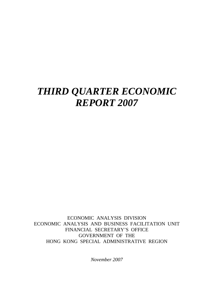## *THIRD QUARTER ECONOMIC REPORT 2007*

ECONOMIC ANALYSIS DIVISION ECONOMIC ANALYSIS AND BUSINESS FACILITATION UNIT FINANCIAL SECRETARY'S OFFICE GOVERNMENT OF THE HONG KONG SPECIAL ADMINISTRATIVE REGION

*November 2007*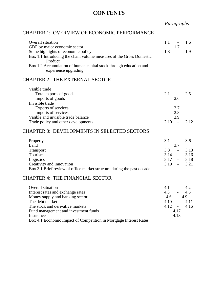## **CONTENTS**

*Paragraphs*

## CHAPTER 1: OVERVIEW OF ECONOMIC PERFORMANCE

| Overall situation<br>GDP by major economic sector                                         | 1.1  | 1.7 | 1.6  |
|-------------------------------------------------------------------------------------------|------|-----|------|
| Some highlights of economic policy                                                        | 1.8  |     | 1.9  |
| Box 1.1 Introducing the chain volume measures of the Gross Domestic                       |      |     |      |
| Product                                                                                   |      |     |      |
| Box 1.2 Accumulation of human capital stock through education and<br>experience upgrading |      |     |      |
| <b>CHAPTER 2: THE EXTERNAL SECTOR</b><br>Visible trade                                    |      |     |      |
| Total exports of goods                                                                    | 2.1  |     | 2.5  |
| Imports of goods                                                                          |      | 2.6 |      |
| Invisible trade                                                                           |      |     |      |
| Exports of services                                                                       |      | 2.7 |      |
| Imports of services                                                                       |      | 2.8 |      |
| Visible and invisible trade balance                                                       |      | 2.9 |      |
| Trade policy and other developments                                                       | 2.10 |     | 2.12 |

## CHAPTER 3: DEVELOPMENTS IN SELECTED SECTORS

| Property                                                               | 3.1<br>$\sim 100$ m $^{-1}$ | 3.6     |
|------------------------------------------------------------------------|-----------------------------|---------|
| Land                                                                   | 3.7                         |         |
| <b>Transport</b>                                                       | 3.8                         | 3.13    |
| Tourism                                                                | 3.14                        | $-3.16$ |
| Logistics                                                              | $3.17 - 3.18$               |         |
| Creativity and innovation                                              | $3.19 - 3.21$               |         |
| Box 3.1 Brief review of office market structure during the past decade |                             |         |

#### CHAPTER 4: THE FINANCIAL SECTOR

| <b>Overall situation</b>                                          | 4.1         | $\sim$ | 4.2           |
|-------------------------------------------------------------------|-------------|--------|---------------|
| Interest rates and exchange rates                                 | 4.3         |        | $-4.5$        |
| Money supply and banking sector                                   | $4.6 - 4.9$ |        |               |
| The debt market                                                   |             |        | $4.10 - 4.11$ |
| The stock and derivative markets                                  |             |        | $4.12 - 4.16$ |
| Fund management and investment funds                              |             | 4.17   |               |
| Insurance                                                         |             | 4.18   |               |
| Box 4.1 Economic Impact of Competition in Mortgage Interest Rates |             |        |               |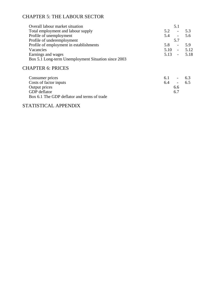## CHAPTER 5: THE LABOUR SECTOR

| Overall labour market situation                     | 5.1                             |      |  |  |  |
|-----------------------------------------------------|---------------------------------|------|--|--|--|
| Total employment and labour supply                  | 5.2<br>$\overline{\phantom{a}}$ | 5.3  |  |  |  |
| Profile of unemployment                             | 5.4<br>$\overline{\phantom{0}}$ | 5.6  |  |  |  |
| Profile of underemployment                          | 5.7                             |      |  |  |  |
| Profile of employment in establishments             | 5.8<br>$-$                      | 5.9  |  |  |  |
| Vacancies                                           | 5.10<br>$\sim 100$              | 5.12 |  |  |  |
| Earnings and wages                                  | 5.13<br>$\Delta \sim 100$       | 5.18 |  |  |  |
| Box 5.1 Long-term Unemployment Situation since 2003 |                                 |      |  |  |  |
| <b>CHAPTER 6: PRICES</b>                            |                                 |      |  |  |  |
| Consumer prices                                     | 6.1                             | 6.3  |  |  |  |
| Costs of factor inputs                              | 6.4                             | 6.5  |  |  |  |
| Output prices                                       | 6.6                             |      |  |  |  |
| GDP deflator                                        | 6.7                             |      |  |  |  |

Box 6.1 The GDP deflator and terms of trade

## STATISTICAL APPENDIX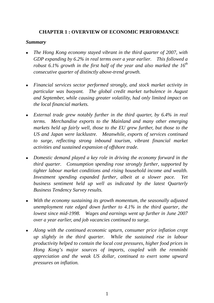## **CHAPTER 1 : OVERVIEW OF ECONOMIC PERFORMANCE**

## *Summary*

- *The Hong Kong economy stayed vibrant in the third quarter of 2007, with GDP expanding by 6.2% in real terms over a year earlier. This followed a robust 6.1% growth in the first half of the year and also marked the 16th consecutive quarter of distinctly above-trend growth.*
- <sup>z</sup>*Financial services sector performed strongly, and stock market activity in particular was buoyant. The global credit market turbulence in August and September, while causing greater volatility, had only limited impact on the local financial markets.*
- External trade grew notably further in the third quarter, by 6.4% in real *terms. Merchandise exports to the Mainland and many other emerging markets held up fairly well, those to the EU grew further, but those to the US and Japan were lacklustre. Meanwhile, exports of services continued to surge, reflecting strong inbound tourism, vibrant financial market activities and sustained expansion of offshore trade.*
- Domestic demand played a key role in driving the economy forward in the *third quarter. Consumption spending rose strongly further, supported by tighter labour market conditions and rising household income and wealth. Investment spending expanded further, albeit at a slower pace. Yet business sentiment held up well as indicated by the latest Quarterly Business Tendency Survey results.*
- With the economy sustaining its growth momentum, the seasonally adjusted *unemployment rate edged down further to 4.1% in the third quarter, the lowest since mid-1998. Wages and earnings went up further in June 2007 over a year earlier, and job vacancies continued to surge.*
- <sup>z</sup>*Along with the continued economic upturn, consumer price inflation crept up slightly in the third quarter. While the sustained rise in labour productivity helped to contain the local cost pressures, higher food prices in Hong Kong's major sources of imports, coupled with the renminbi appreciation and the weak US dollar, continued to exert some upward pressures on inflation.*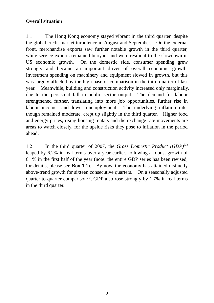## **Overall situation**

1.1 The Hong Kong economy stayed vibrant in the third quarter, despite the global credit market turbulence in August and September. On the external front, merchandise exports saw further notable growth in the third quarter, while service exports remained buoyant and were resilient to the slowdown in US economic growth. On the domestic side, consumer spending grew strongly and became an important driver of overall economic growth. Investment spending on machinery and equipment slowed in growth, but this was largely affected by the high base of comparison in the third quarter of last year. Meanwhile, building and construction activity increased only marginally, due to the persistent fall in public sector output. The demand for labour strengthened further, translating into more job opportunities, further rise in labour incomes and lower unemployment. The underlying inflation rate, though remained moderate, crept up slightly in the third quarter. Higher food and energy prices, rising housing rentals and the exchange rate movements are areas to watch closely, for the upside risks they pose to inflation in the period ahead.

1.2 In the third quarter of 2007, the *Gross Domestic Product (GDP)*(1) leaped by 6.2% in real terms over a year earlier, following a robust growth of 6.1% in the first half of the year (note: the entire GDP series has been revised, for details, please see **Box 1.1**). By now, the economy has attained distinctly above-trend growth for sixteen consecutive quarters. On a seasonally adjusted quarter-to-quarter comparison<sup>(3)</sup>, GDP also rose strongly by 1.7% in real terms in the third quarter.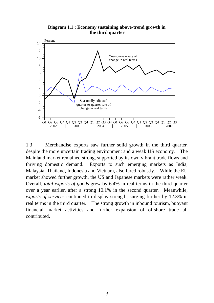#### **Diagram 1.1 : Economy sustaining above-trend growth in the third quarter**



1.3 Merchandise exports saw further solid growth in the third quarter, despite the more uncertain trading environment and a weak US economy. The Mainland market remained strong, supported by its own vibrant trade flows and thriving domestic demand. Exports to such emerging markets as India, Malaysia, Thailand, Indonesia and Vietnam, also fared robustly. While the EU market showed further growth, the US and Japanese markets were rather weak. Overall, *total exports of goods* grew by 6.4% in real terms in the third quarter over a year earlier, after a strong 10.1% in the second quarter. Meanwhile, *exports of services* continued to display strength, surging further by 12.3% in real terms in the third quarter. The strong growth in inbound tourism, buoyant financial market activities and further expansion of offshore trade all contributed.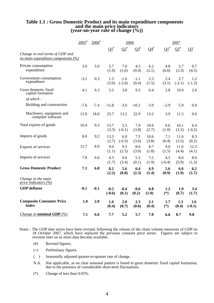## **Table 1.1 : Gross Domestic Product and its main expenditure components and the main price indicators (year-on-year rate of change (%))**

|                                                                           | $2005^{\text{*}}$ | $2006$ <sup>#</sup> |                    |                    | 2006            |                           |                 | 2007            |                 |
|---------------------------------------------------------------------------|-------------------|---------------------|--------------------|--------------------|-----------------|---------------------------|-----------------|-----------------|-----------------|
|                                                                           |                   |                     | ${\bf Q1}^{\#}$    | $\Omega^*$         | $Q3^{\#}$       | $\mathbf{Q}4^{\text{\#}}$ | $\Omega^*$      | $Q2^*$          | $Q_2^+$         |
| Change in real terms of GDP and<br>its main expenditure components $(\%)$ |                   |                     |                    |                    |                 |                           |                 |                 |                 |
| Private consumption<br>expenditure                                        | 3.0               | 5.9                 | 5.7<br>(1.9)       | 7.0<br>(1.6)       | 4.5<br>(0.4)    | 6.2<br>(2.1)              | 4.8<br>(0.6)    | 5.7<br>(2.3)    | 9.7<br>(4.5)    |
| Government consumption<br>expenditure                                     | $-3.2$            | 0.3                 | 1.3<br>(3.0)       | $-1.6$<br>$(-2.6)$ | $-1.1$<br>(0.4) | 2.3<br>(1.5)              | 2.4<br>(3.1)    | 2.7<br>$(-2.1)$ | 1.2<br>$(-1.3)$ |
| Gross domestic fixed<br>capital formation                                 | 4.1               | 6.3                 | 5.5                | 3.8                | 9.5             | 6.4                       | 2.8             | 10.0            | 2.0             |
| of which:                                                                 |                   |                     |                    |                    |                 |                           |                 |                 |                 |
| Building and construction                                                 | $-7.6$            | $-7.4$              | $-11.8$            | $-3.0$             | $-10.2$         | $-3.9$                    | $-2.9$          | 5.9             | 0.4             |
| Machinery, equipment and<br>computer software                             | 12.8              | 18.0                | 23.7               | 13.2               | 22.9            | 13.2                      | 3.9             | 11.5            | 0.6             |
| Total exports of goods                                                    | 10.4              | 9.3                 | 13.7<br>(3.3)      | 5.5<br>$(-0.1)$    | 7.9<br>(3.8)    | 10.6<br>(2.7)             | 6.6<br>(1.0)    | 10.1<br>(2.2)   | 6.4<br>$(-0.2)$ |
| Imports of goods                                                          | 8.0               | 9.2                 | 13.3<br>(2.7)      | 6.0<br>$(-0.3)$    | 7.5<br>(3.6)    | 10.6<br>(3.8)             | 7.1<br>(0.4)    | 11.6<br>(3.5)   | 8.3<br>(0.2)    |
| Exports of services                                                       | 11.7              | 8.9                 | 9.0<br>(1.1)       | 9.3<br>(2.5)       | 8.6<br>(3.0)    | 8.7<br>(1.8)              | 9.0<br>(1.5)    | 11.6<br>(4.4)   | 12.3<br>(4.1)   |
| Imports of services                                                       | 7.8               | 6.6                 | 4.3<br>(1.7)       | 9.6<br>(3.4)       | 5.3<br>(0.1)    | 7.5<br>(1.9)              | 4.5<br>$(-0.4)$ | 8.0<br>(5.9)    | 8.9<br>(1.3)    |
| <b>Gross Domestic Product</b>                                             | 7.1               | 6.8                 | 8.2<br>(2.2)       | 5.6<br>(0.8)       | 6.4<br>(2.3)    | 6.9<br>(1.4)              | 5.6<br>(0.9)    | 6.6<br>(1.9)    | 6.2<br>(1.7)    |
| Change in the main<br>price indicators (%)                                |                   |                     |                    |                    |                 |                           |                 |                 |                 |
| <b>GDP</b> deflator                                                       | $-0.1$            | $-0.1$              | $-0.5$<br>$(-0.6)$ | $-0.4$<br>(0.1)    | $-0.6$<br>(0.2) | 0.8<br>(1.0)              | 1.2<br>$(*)$    | 1.9<br>(0.7)    | 3.4<br>(1.7)    |
| <b>Composite Consumer Price</b><br><b>Index</b>                           | 1.0               | 2.0                 | 1.6<br>(0.4)       | 2.0<br>(0.7)       | 2.3<br>(0.6)    | 2.1<br>(0.4)              | 1.7<br>$(*)$    | 1.3<br>(0.4)    | 1.6<br>$(-0.1)$ |
| <i>Change in nominal GDP</i> $(\%)$                                       | 7.1               | 6.6                 | 7.7                | 5.2                | 5.7             | 7.8                       | 6.8             | 8.7             | 9.8             |

Notes : The GDP date series have been revised, following the release of the chain volume measures of GDP on 18 October 2007, which have replaced the previous constant price series. Figures are subject to revision later on as more data become available.

- (#) Revised figures.
- (+) Preliminary figures.
- ( ) Seasonally adjusted quarter-to-quarter rate of change.
- N.A. Not applicable, as no clear seasonal pattern is found in gross domestic fixed capital formation, due to the presence of considerable short-term fluctuations.
- (\*) Change of less than 0.05%.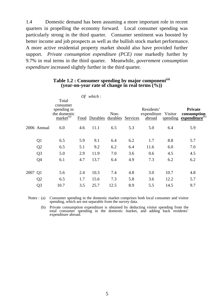1.4 Domestic demand has been assuming a more important role in recent quarters in propelling the economy forward. Local consumer spending was particularly strong in the third quarter. Consumer sentiment was boosted by better income and job prospects as well as the bullish stock market performance. A more active residential property market should also have provided further support. *Private consumption expenditure (PCE)* rose markedly further by 9.7% in real terms in the third quarter. Meanwhile, *government consumption expenditure* increased slightly further in the third quarter.

|         |                |                                                                           |      | Of which:         |      |          |                                     |                     |                                                             |
|---------|----------------|---------------------------------------------------------------------------|------|-------------------|------|----------|-------------------------------------|---------------------|-------------------------------------------------------------|
|         |                | Total<br>consumer<br>spending in<br>the domestic<br>market <sup>(a)</sup> | Food | Durables durables | Non- | Services | Residents'<br>expenditure<br>abroad | Visitor<br>spending | <b>Private</b><br>consumption<br>expenditure <sup>(b)</sup> |
|         | 2006 Annual    | 6.0                                                                       | 4.6  | 11.1              | 6.5  | 5.3      | 5.0                                 | 6.4                 | 5.9                                                         |
|         | Q <sub>1</sub> | 6.5                                                                       | 5.9  | 9.1               | 6.4  | 6.2      | 1.7                                 | 8.8                 | 5.7                                                         |
|         | Q2             | 6.5                                                                       | 5.1  | 9.2               | 6.2  | 6.4      | 11.6                                | 6.0                 | 7.0                                                         |
|         | Q <sub>3</sub> | 5.0                                                                       | 2.9  | 11.9              | 7.0  | 3.6      | 0.6                                 | 4.5                 | 4.5                                                         |
|         | Q4             | 6.1                                                                       | 4.7  | 13.7              | 6.4  | 4.9      | 7.3                                 | 6.2                 | 6.2                                                         |
| 2007 Q1 |                | 5.6                                                                       | 2.4  | 10.3              | 7.4  | 4.8      | 3.0                                 | 10.7                | 4.8                                                         |
|         | Q <sub>2</sub> | 6.5                                                                       | 1.7  | 15.6              | 7.3  | 5.8      | 3.6                                 | 12.2                | 5.7                                                         |
|         | Q <sub>3</sub> | 10.7                                                                      | 3.5  | 25.7              | 12.5 | 8.9      | 5.5                                 | 14.5                | 9.7                                                         |

## **Table 1.2 : Consumer spending by major component(a) (year-on-year rate of change in real terms (%))**

Notes : (a) Consumer spending in the domestic market comprises both local consumer and visitor spending, which are not separable from the survey data.

 (b) Private consumption expenditure is obtained by deducting visitor spending from the total consumer spending in the domestic market, and adding back residents' expenditure abroad.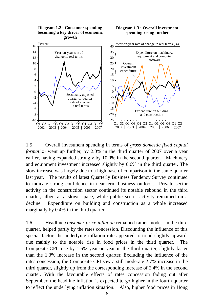

1.5 Overall investment spending in terms of *gross domestic fixed capital formation* went up further, by 2.0% in the third quarter of 2007 over a year earlier, having expanded strongly by 10.0% in the second quarter. Machinery and equipment investment increased slightly by 0.6% in the third quarter. The slow increase was largely due to a high base of comparison in the same quarter last year. The results of latest Quarterly Business Tendency Survey continued to indicate strong confidence in near-term business outlook. Private sector activity in the construction sector continued its notable rebound in the third quarter, albeit at a slower pace, while public sector activity remained on a decline. Expenditure on building and construction as a whole increased marginally by 0.4% in the third quarter.

1.6 Headline *consumer price inflation* remained rather modest in the third quarter, helped partly by the rates concession. Discounting the influence of this special factor, the underlying inflation rate appeared to trend slightly upward, due mainly to the notable rise in food prices in the third quarter. The Composite CPI rose by 1.6% year-on-year in the third quarter, slightly faster than the 1.3% increase in the second quarter. Excluding the influence of the rates concession, the Composite CPI saw a still moderate 2.7% increase in the third quarter, slightly up from the corresponding increase of 2.4% in the second quarter. With the favourable effects of rates concession fading out after September, the headline inflation is expected to go higher in the fourth quarter to reflect the underlying inflation situation. Also, higher food prices in Hong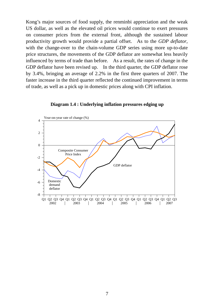Kong's major sources of food supply, the renminbi appreciation and the weak US dollar, as well as the elevated oil prices would continue to exert pressures on consumer prices from the external front, although the sustained labour productivity growth would provide a partial offset. As to the *GDP deflator*, with the change-over to the chain-volume GDP series using more up-to-date price structures, the movements of the GDP deflator are somewhat less heavily influenced by terms of trade than before. As a result, the rates of change in the GDP deflator have been revised up. In the third quarter, the GDP deflator rose by 3.4%, bringing an average of 2.2% in the first three quarters of 2007. The faster increase in the third quarter reflected the continued improvement in terms of trade, as well as a pick up in domestic prices along with CPI inflation.



**Diagram 1.4 : Underlying inflation pressures edging up**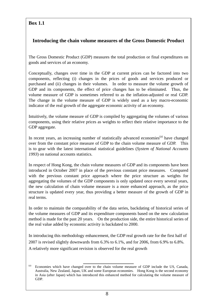## **Box 1.1**

## **Introducing the chain volume measures of the Gross Domestic Product**

The Gross Domestic Product (GDP) measures the total production or final expenditures on goods and services of an economy.

Conceptually, changes over time in the GDP at current prices can be factored into two components, reflecting (i) changes in the prices of goods and services produced or purchased and (ii) changes in their volumes. In order to measure the volume growth of GDP and its components, the effect of price changes has to be eliminated. Thus, the volume measure of GDP is sometimes referred to as the inflation-adjusted or real GDP. The change in the volume measure of GDP is widely used as a key macro-economic indicator of the real growth of the aggregate economic activity of an economy.

Intuitively, the volume measure of GDP is compiled by aggregating the volumes of various components, using their relative prices as weights to reflect their relative importance to the GDP aggregate.

In recent years, an increasing number of statistically advanced economies<sup>(a)</sup> have changed over from the constant price measure of GDP to the chain volume measure of GDP. This is to gear with the latest international statistical guidelines (*System of National Accounts 1993*) on national accounts statistics.

In respect of Hong Kong, the chain volume measures of GDP and its components have been introduced in October 2007 in place of the previous constant price measures. Compared with the previous constant price approach where the price structure as weights for aggregating the volumes of the GDP components is only updated once every several years, the new calculation of chain volume measure is a more enhanced approach, as the price structure is updated every year, thus providing a better measure of the growth of GDP in real terms.

In order to maintain the comparability of the data series, backdating of historical series of the volume measures of GDP and its expenditure components based on the new calculation method is made for the past 20 years. On the production side, the entire historical series of the real value added by economic activity is backdated to 2000.

In introducing this methodology enhancement, the GDP real growth rate for the first half of 2007 is revised slightly downwards from 6.3% to 6.1%, and for 2006, from 6.9% to 6.8%. A relatively more significant revision is observed for the real growth

**\_\_\_\_\_\_\_\_\_\_\_\_\_\_\_\_\_\_\_\_**  $^{(a)}$  Economies which have changed over to the chain volume measure of GDP include the US, Canada, Australia, New Zealand, Japan, UK and some European economies. Hong Kong is the second economy in Asia (after Japan) which has introduced this enhanced method for calculating the volume measure of GDP.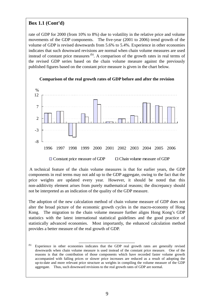## **Box 1.1 (Cont'd)**

rate of GDP for 2000 (from 10% to 8%) due to volatility in the relative price and volume movements of the GDP components. The five-year (2001 to 2006) trend growth of the volume of GDP is revised downwards from 5.6% to 5.4%. Experience in other economies indicates that such downward revisions are normal when chain volume measures are used instead of constant price measures  $<sup>(b)</sup>$ . A comparison of the growth rates in real terms of</sup> the revised GDP series based on the chain volume measure against the previously published figures based on the constant price measure is given in the chart below.



#### **Comparison of the real growth rates of GDP before and after the revision**

 A technical feature of the chain volume measures is that for earlier years, the GDP components in real terms may not add up to the GDP aggregate, owing to the fact that the price weights are updated every year. However, it should be noted that this non-additivity element arises from purely mathematical reasons; the discrepancy should not be interpreted as an indication of the quality of the GDP measure.

The adoption of the new calculation method of chain volume measure of GDP does not alter the broad picture of the economic growth cycles in the macro-economy of Hong Kong. The migration to the chain volume measure further aligns Hong Kong's GDP statistics with the latest international statistical guidelines and the good practice of statistically advanced economies. Most importantly, the enhanced calculation method provides a better measure of the real growth of GDP.

 $^{(b)}$  Experience in other economies indicates that the GDP real growth rates are generally revised downwards when chain volume measure is used instead of the constant price measure. One of the reasons is that the contribution of those components which have recorded faster volume growth accompanied with falling prices or slower price increases are reduced as a result of adopting the up-to-date and more relevant price structure as weights in compiling the volume measure of the GDP aggregate. Thus, such downward revisions to the real growth rates of GDP are normal.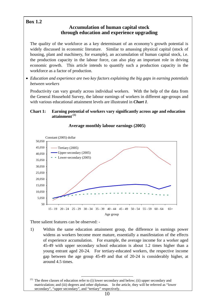## **Box 1.2**

## **Accumulation of human capital stock through education and experience upgrading**

The quality of the workforce as a key determinant of an economy's growth potential is widely discussed in economic literature. Similar to amassing physical capital (stock of housing, plant and machinery, for example), an accumulation of human capital stock, i.e. the production capacity in the labour force, can also play an important role in driving economic growth. This article intends to quantify such a production capacity in the workforce as a factor of production.

• *Education and experience are two key factors explaining the big gaps in earning potentials between workers* 

Productivity can vary greatly across individual workers. With the help of the data from the General Household Survey, the labour earnings of workers in different age-groups and with various educational attainment levels are illustrated in *Chart 1*.

## **Chart 1: Earning potential of workers vary significantly across age and education attainment (1)**



## **Average monthly labour earnings (2005)**

Three salient features can be observed: -

1) Within the same education attainment group, the difference in earnings power widens as workers become more mature, essentially a manifestation of the effects of experience accumulation. For example, the average income for a worker aged 45-49 with upper secondary school education is about 1.2 times higher than a young entrant aged 20-24. For tertiary-educated workers, the respective income gap between the age group 45-49 and that of 20-24 is considerably higher, at around 4.5 times.

 <sup>(1)</sup> The three classes of education refer to (i) lower secondary and below; (ii) upper secondary and matriculation; and (iii) degrees and other diplomas. In the article, they will be referred as "lower secondary", "upper secondary", and "tertiary" respectively.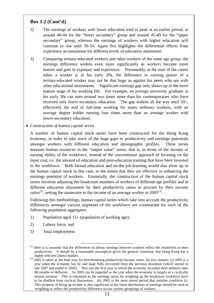## **Box 1.2 (Cont'd)**

- 2) The earnings of workers with lower education tend to peak at an earlier period, at around 40-44 for the "lower secondary" group and around 45-49 for the "upper secondary" group, whereas the earnings of workers with higher education will continue to rise until 50-54. Again this highlights the differential effects from experience accumulation for different levels of education attainment.
- 3) Comparing tertiary-educated workers and other workers of the same age group, the earnings difference widens even more significantly as workers become more mature and gain in exposure and experience. Presumably, at the start of the career when a worker is in his early 20s, the difference in earning power of a tertiary-educated worker may not be that huge as against his peers who are with other educational attainments. Significant earnings gap only shows up in the more mature stage of his working life. For example, an average university graduate in his early 30s can earn around two times more than his contemporaries who have received only lower-secondary education. The gap widens all the way until 50+, effectively the end of full-time working for many ordinary workers, with an average degree holder earning four times more than an average worker with lower-secondary education.

#### • *Construction of human capital series*

A number of human capital stock series have been constructed for the Hong Kong economy, in order to take stock of the huge gaps in productivity and earnings potentials amongst workers with different education and demographic profiles. These series measure human resources in the "output value" sense, that is, in terms of the income or earning ability of the workforce, instead of the conventional approach of focusing on the input cost, i.e. the amount of education and post-education training that have been invested in the workforce. Both formal education and on-the-job-learning would also show up in the human capital stock in this case, to the extent that they are effective in enhancing the earnings potential of workers. Essentially, the construction of the human capital stock series involves adjusting the headcount numbers of workers of different age profiles and at different education attainment by their productivity ratios as proxied by their income ratios<sup>(2)</sup>, setting the numeraire to the income of an average worker in  $2005^{(3)}$ .

Following this methodology, human capital series which take into account the productivity differences amongst various segments of the workforce are constructed for each of the following population aggregates:

- 1) Population aged 15+ (population of working age);
- 2) Labour force; and
- 3) Total employment.

 $(2)$  Here it is assumed that the differences in labour earnings between workers reflect the relativities in their productivity. It should be a reasonable assumption given the general consensus that Hong Kong has a highly efficient labour market.

 $(3)$  2005 is taken as the base year for benchmarking productivity/income ratios, for two reasons: (i) 2005 is a year when the economy has by and large fully recovered from the previous downturn (which started in late 1997 and ended in 2003). This was the first year in which the economy recorded mild inflation after 68 months of deflation. So 2005 can be regarded as the year when the economy is largely at a cyclically neutral position. This is important as the earnings ratios for weighing up the headcount workforce have to be distilled from cyclical fluctuation. (ii) 2005 is the most recent period that satisfies condition (i). This property of being up-to-date is also significant as the latest distribution of earnings should be used as weighting to reflect the productivity difference across various groupings of workers.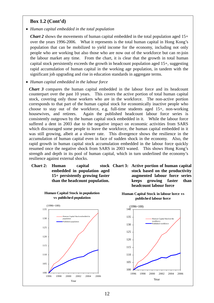## **Box 1.2 (Cont'd)**

• *Human capital embedded in the total population* 

*Chart 2* shows the movements of human capital embedded in the total population aged 15+ over the years 1996-2006. What it represents is the total human capital in Hong Kong's population that can be mobilized to yield income for the economy, including not only people who are working but also those who are now out of the workforce but can re-join the labour market any time. From the chart, it is clear that the growth in total human capital stock persistently exceeds the growth in headcount population aged 15+, suggesting rapid accumulation of human capital in the working age population, in tandem with the significant job upgrading and rise in education standards in aggregate terms.

#### • *Human capital embedded in the labour force*

*Chart 3* compares the human capital embedded in the labour force and its headcount counterpart over the past 10 years. This covers the active portion of total human capital stock, covering only those workers who are in the workforce. The non-active portion corresponds to that part of the human capital stock for economically inactive people who choose to stay out of the workforce, e.g. full-time students aged 15+, non-working housewives, and retirees. Again the published headcount labour force series is consistently outgrown by the human capital stock embedded in it. While the labour force suffered a dent in 2003 due to the negative impact on economic activities from SARS which discouraged some people to leave the workforce, the human capital embedded in it was still growing, albeit at a slower rate. This divergence shows the resilience in the accumulation of human capital even in face of sudden shock in the economy. Also, the rapid growth in human capital stock accumulation embedded in the labour force quickly resumed once the negative shock from SARS in 2003 waned. This shows Hong Kong's strength and depth in its pool of human capital, which in turn underlined the economy's resilience against external shocks.

**Chart 2: Human** capital **embedded in population aged 15+ persistently growing faster than the headcount population.**



**Chart 3: Active portion of human capital stock based on the productivity augmented labour force series keeps growing faster than headcount labour force** 



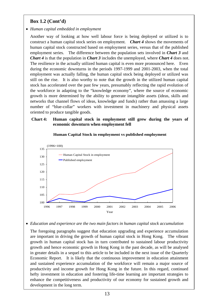## **Box 1.2 (Cont'd)**

#### • *Human capital embedded in employment*

Another way of looking at how well labour force is being deployed or utilized is to construct a human capital stock series on employment. *Chart 4* shows the movements of human capital stock constructed based on employment series, versus that of the published employment series. The difference between the population sets involved in *Chart 3* and *Chart 4* is that the population in *Chart 3* includes the unemployed, where *Chart 4* does not. The resilience in the actually utilized human capital is even more pronounced here. Even during the economic downturns in the periods 1997-1999 and 2001-2003, when the total employment was actually falling, the human capital stock being deployed or utilized was still on the rise. It is also worthy to note that the growth in the utilized human capital stock has accelerated over the past few years, presumably reflecting the rapid evolution of the workforce in adapting to the "knowledge economy", where the source of economic growth is more determined by the ability to generate intangible assets (ideas, skills and networks that channel flows of ideas, knowledge and funds) rather than amassing a large number of "blue-collar" workers with investment in machinery and physical assets oriented to produce tangible goods.

#### **Chart 4: Human capital stock in employment still grew during the years of economic downturn when employment fell**



#### **Human Capital Stock in employment vs published employment**

#### • *Education and experience are the two main factors in human capital stock accumulation*

The foregoing paragraphs suggest that education upgrading and experience accumulation are important in driving the growth of human capital stock in Hong Kong. The vibrant growth in human capital stock has in turn contributed to sustained labour productivity growth and hence economic growth in Hong Kong in the past decade, as will be analysed in greater details in a sequel to this article to be included in the next issue of the Quarterly Economic Report. It is likely that the continuous improvement in education attainment and sustained experience accumulation of the workforce will remain a major source of productivity and income growth for Hong Kong in the future. In this regard, continued hefty investment in education and fostering life-time learning are important strategies to enhance the competitiveness and productivity of our economy for sustained growth and development in the long term.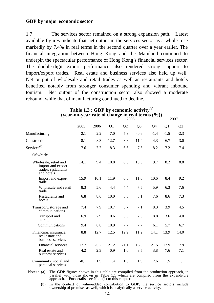## **GDP by major economic sector**

1.7 The services sector remained on a strong expansion path. Latest available figures indicate that net output in the services sector as a whole rose markedly by 7.4% in real terms in the second quarter over a year earlier. The financial integration between Hong Kong and the Mainland continued to underpin the spectacular performance of Hong Kong's financial services sector. The double-digit export performance also rendered strong support to import/export trades. Real estate and business services also held up well. Net output of wholesale and retail trades as well as restaurants and hotels benefited notably from stronger consumer spending and vibrant inbound tourism. Net output of the construction sector also showed a moderate rebound, while that of manufacturing continued to decline.

|                                                                                 |        |        |          | 2006   |                | $\cdot$ ,, |          | 2007     |
|---------------------------------------------------------------------------------|--------|--------|----------|--------|----------------|------------|----------|----------|
|                                                                                 | 2005   | 2006   | $\Omega$ | Q2     | Q <sub>3</sub> | $Q_4$      | $\Omega$ | $\Omega$ |
| Manufacturing                                                                   | 2.1    | 2.2    | 7.0      | 5.3    | $-0.6$         | $-1.4$     | $-1.5$   | $-2.3$   |
| Construction                                                                    | $-8.1$ | $-8.3$ | $-12.7$  | $-3.8$ | $-11.4$        | $-4.3$     | $-6.7$   | 3.0      |
| Services <sup>(b)</sup>                                                         | 7.6    | 7.7    | 8.3      | 6.6    | 7.5            | 8.2        | 7.2      | 7.4      |
| Of which:                                                                       |        |        |          |        |                |            |          |          |
| Wholesale, retail and<br>import and export<br>trades, restaurants<br>and hotels | 14.1   | 9.4    | 10.8     | 6.5    | 10.3           | 9.7        | 8.2      | 8.8      |
| Import and export<br>trade                                                      | 15.9   | 10.1   | 11.9     | 6.5    | 11.0           | 10.6       | 8.4      | 9.2      |
| Wholesale and retail<br>trade                                                   | 8.3    | 5.6    | 4.4      | 4.4    | 7.5            | 5.9        | 6.3      | 7.6      |
| Restaurants and<br>hotels                                                       | 6.8    | 8.6    | 10.0     | 8.5    | 8.1            | 7.6        | 8.6      | 7.3      |
| Transport, storage and<br>communications                                        | 7.4    | 7.9    | 10.7     | 5.7    | 7.1            | 8.3        | 3.9      | 4.5      |
| <b>Transport</b> and<br>storage                                                 | 6.9    | 7.9    | 10.6     | 5.3    | 7.0            | 8.8        | 3.6      | 4.0      |
| Communications                                                                  | 9.4    | 8.0    | 10.9     | 7.7    | 7.7            | 6.1        | 5.7      | 6.7      |
| Financing, insurance,<br>real estate and<br>business services                   | 8.8    | 12.7   | 12.5     | 12.9   | 11.2           | 14.1       | 13.9     | 14.0     |
| Financial services                                                              | 12.2   | 20.2   | 21.2     | 21.1   | 16.9           | 21.5       | 17.9     | 17.9     |
| Real estate and<br>business services                                            | 4.2    | 2.3    | 0.9      | 1.0    | 3.5            | 3.8        | 7.6      | 7.1      |
| Community, social and<br>personal services                                      | $-0.1$ | 1.9    | 1.4      | 1.5    | 1.9            | 2.6        | 1.5      | 1.1      |

## **Table 1.3 : GDP by economic activity(a) (year-on-year rate of change in real terms (%))**

Notes : (a) The GDP figures shown in this table are compiled from the production approach, in parallel with those shown in Table 1.1 which are compiled from the expenditure approach. For details, see Note (1) to this chapt

 (b) In the context of value-added contribution to GDP, the service sectors include ownership of premises as well, which is analytically a service activity.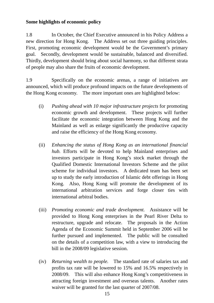## **Some highlights of economic policy**

1.8 In October, the Chief Executive announced in his Policy Address a new direction for Hong Kong. The Address set out three guiding principles. First, promoting economic development would be the Government's primary goal. Secondly, development would be sustainable, balanced and diversified. Thirdly, development should bring about social harmony, so that different strata of people may also share the fruits of economic development.

1.9 Specifically on the economic arenas, a range of initiatives are announced, which will produce profound impacts on the future developments of the Hong Kong economy. The more important ones are highlighted below:

- (i) *Pushing ahead with 10 major infrastructure projects* for promoting economic growth and development. These projects will further facilitate the economic integration between Hong Kong and the Mainland as well as enlarge significantly the productive capacity and raise the efficiency of the Hong Kong economy.
- (ii) *Enhancing the status of Hong Kong as an international financial hub.* Efforts will be devoted to help Mainland enterprises and investors participate in Hong Kong's stock market through the Qualified Domestic International Investors Scheme and the pilot scheme for individual investors. A dedicated team has been set up to study the early introduction of Islamic debt offerings in Hong Kong. Also, Hong Kong will promote the development of its international arbitration services and forge closer ties with international arbitral bodies.
- (iii) *Promoting economic and trade development.* Assistance will be provided to Hong Kong enterprises in the Pearl River Delta to restructure, upgrade and relocate. The proposals in the Action Agenda of the Economic Summit held in September 2006 will be further pursued and implemented. The public will be consulted on the details of a competition law, with a view to introducing the bill in the 2008/09 legislative session.
- (iv) *Returning wealth to people.* The standard rate of salaries tax and profits tax rate will be lowered to 15% and 16.5% respectively in 2008/09. This will also enhance Hong Kong's competitiveness in attracting foreign investment and overseas talents. Another rates waiver will be granted for the last quarter of 2007/08.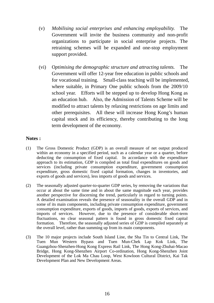- (v) *Mobilising social enterprises and enhancing employability.* The Government will invite the business community and non-profit organizations to participate in social enterprise projects. The retraining schemes will be expanded and one-stop employment support provided.
- (vi) O*ptimising the demographic structure and attracting talents.* The Government will offer 12-year free education in public schools and for vocational training. Small-class teaching will be implemented, where suitable, in Primary One public schools from the 2009/10 school year. Efforts will be stepped up to develop Hong Kong as an education hub. Also, the Admission of Talents Scheme will be modified to attract talents by relaxing restrictions on age limits and other prerequisites. All these will increase Hong Kong's human capital stock and its efficiency, thereby contributing to the long term development of the economy.

## **Notes :**

- (1) The Gross Domestic Product (GDP) is an overall measure of net output produced within an economy in a specified period, such as a calendar year or a quarter, before deducting the consumption of fixed capital. In accordance with the expenditure approach to its estimation, GDP is compiled as total final expenditures on goods and services (including private consumption expenditure, government consumption expenditure, gross domestic fixed capital formation, changes in inventories, and exports of goods and services), less imports of goods and services.
- (2) The seasonally adjusted quarter-to-quarter GDP series, by removing the variations that occur at about the same time and in about the same magnitude each year, provides another perspective for discerning the trend, particularly in regard to turning points. A detailed examination reveals the presence of seasonality in the overall GDP and in some of its main components, including private consumption expenditure, government consumption expenditure, exports of goods, imports of goods, exports of services, and imports of services. However, due to the presence of considerable short-term fluctuations, no clear seasonal pattern is found in gross domestic fixed capital formation. Therefore, the seasonally adjusted series of GDP is compiled separately at the overall level, rather than summing up from its main components.
- (3) The 10 major projects include South Island Line, the Sha Tin to Central Link, The Tuen Mun Western Bypass and Tuen Mun-Chek Lap Kok Link, The Guangzhou-Shenzhen-Hong Kong Express Rail Link, The Hong Kong-Zhuhai-Macao Bridge, Hong Kong-Shenzhen Airport Co-ordination, Hong Kong-Shenzhen Joint Development of the Lok Ma Chau Loop, West Kowloon Cultural District, Kai Tak Development Plan and New Development Areas.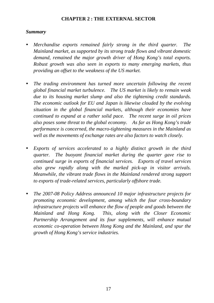## **CHAPTER 2 : THE EXTERNAL SECTOR**

## *Summary*

- *Merchandise exports remained fairly strong in the third quarter. The Mainland market, as supported by its strong trade flows and vibrant domestic demand, remained the major growth driver of Hong Kong's total exports. Robust growth was also seen in exports to many emerging markets, thus providing an offset to the weakness of the US market.*
- *The trading environment has turned more uncertain following the recent global financial market turbulence. The US market is likely to remain weak due to its housing market slump and also the tightening credit standards. The economic outlook for EU and Japan is likewise clouded by the evolving situation in the global financial markets, although their economies have continued to expand at a rather solid pace. The recent surge in oil prices also poses some threat to the global economy. As far as Hong Kong's trade performance is concerned, the macro-tightening measures in the Mainland as well as the movements of exchange rates are also factors to watch closely.*
- *Exports of services accelerated to a highly distinct growth in the third quarter. The buoyant financial market during the quarter gave rise to continued surge in exports of financial services. Exports of travel services also grew rapidly along with the marked pick-up in visitor arrivals. Meanwhile, the vibrant trade flows in the Mainland rendered strong support to exports of trade-related services, particularly offshore trade.*
- *The 2007-08 Policy Address announced 10 major infrastructure projects for promoting economic development, among which the four cross-boundary infrastructure projects will enhance the flow of people and goods between the Mainland and Hong Kong. This, along with the Closer Economic Partnership Arrangement and its four supplements, will enhance mutual economic co-operation between Hong Kong and the Mainland, and spur the growth of Hong Kong's service industries.*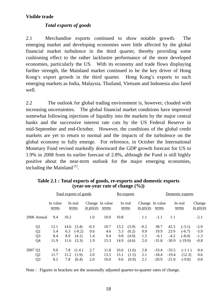## **Visible trade**

## *Total exports of goods*

2.1 Merchandise exports continued to show notable growth. The emerging market and developing economies were little affected by the global financial market turbulence in the third quarter, thereby providing some cushioning effect to the rather lacklustre performance of the more developed economies, particularly the US. With its economy and trade flows displaying further strength, the Mainland market continued to be the key driver of Hong Kong's export growth in the third quarter. Hong Kong's exports to such emerging markets as India, Malaysia, Thailand, Vietnam and Indonesia also fared well.

2.2 The outlook for global trading environment is, however, clouded with increasing uncertainties. The global financial market conditions have improved somewhat following injections of liquidity into the markets by the major central banks and the successive interest rate cuts by the US Federal Reserve in mid-September and end-October. However, the conditions of the global credit markets are yet to return to normal and the impacts of the turbulence on the global economy to fully emerge. For reference, in October the International Monetary Fund revised markedly downward the GDP growth forecast for US to 1.9% in 2008 from its earlier forecast of 2.8%, although the Fund is still highly positive about the near-term outlook for the major emerging economies, including the Mainland  $<sup>(1)</sup>$ .</sup>

|         | Total exports of goods |                   |      |                  |                              |       | Re-exports |                  |                              |         | Domestic exports |                  |                     |
|---------|------------------------|-------------------|------|------------------|------------------------------|-------|------------|------------------|------------------------------|---------|------------------|------------------|---------------------|
|         |                        | In value<br>terms |      | In real<br>terms | Change In value<br>in prices | terms |            | In real<br>terms | Change In value<br>in prices | terms   |                  | In real<br>terms | Change<br>in prices |
|         | 2006 Annual            | 9.4               | 10.2 |                  | 1.0                          | 10.0  | 10.8       |                  | 1.1                          | $-1.1$  | 1.1              |                  | $-2.1$              |
|         | Q <sub>1</sub>         | 12.1              | 14.6 | (3.4)            | $-0.3$                       | 10.7  | 13.2       | (3.9)            | $-0.2$                       | 38.7    | 42.3             | $(-3.1)$         | $-2.9$              |
|         | Q <sub>2</sub>         | 5.4               | 6.3  | $(-0.2)$         | 0.6                          | 4.6   | 5.3        | (0.2)            | 0.9                          | 19.9    | 23.9             | $(-6.7)$         | $-3.9$              |
|         | Q <sub>3</sub>         | 8.4               | 8.9  | (4.1)            | 1.4                          | 9.4   | 9.8        | (4.9)            | 1.5                          | $-6.1$  | $-4.2$           | $(-8.0)$         | $-1.3$              |
|         | Q <sub>4</sub>         | 11.9              | 11.6 | (3.3)            | 1.9                          | 15.3  | 14.9       | (4.6)            | 2.0                          | $-31.8$ | $-30.9$          | $(-19.9)$        | $-0.8$              |
| 2007 Q1 |                        | 9.0               | 7.8  | (1.4)            | 2.7                          | 11.8  | 10.6       | (1.6)            | 2.8                          | $-33.4$ | $-33.5$          | $(-1.1)$         | 0.4                 |
|         | Q <sub>2</sub>         | 11.7              | 11.2 | (1.9)            | 2.0                          | 13.5  | 13.1       | (1.5)            | 2.1                          | $-18.4$ | $-19.4$          | (12.3)           | 0.6                 |
|         | Q <sub>3</sub>         | 8.2               | 7.8  | (0.4)            | 2.0                          | 10.0  | 9.6        | (0.9)            | 2.1                          | $-20.9$ | $-21.0$          | $(-9.8)$         | 0.8                 |

## **Table 2.1 : Total exports of goods, re-exports and domestic exports (year-on-year rate of change (%))**

Note : Figures in brackets are the seasonally adjusted quarter-to-quarter rates of change.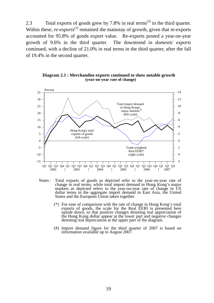2.3 Total exports of goods grew by  $7.8\%$  in real terms<sup>(2)</sup> in the third quarter. Within these, *re-exports*<sup>(3)</sup> remained the mainstay of growth, given that re-exports accounted for 95.8% of goods export value. Re-exports posted a year-on-year growth of 9.6% in the third quarter. The downtrend in *domestic exports* continued, with a decline of 21.0% in real terms in the third quarter, after the fall of 19.4% in the second quarter.

**Diagram 2.1 : Merchandise exports continued to show notable growth (year-on-year rate of change)**



- Notes : Total exports of goods as depicted refer to the year-on-year rate of change in real terms, while total import demand in Hong Kong's major markets as depicted refers to the year-on-year rate of change in US dollar terms in the aggregate import demand in East Asia, the United States and the European Union taken together.
	- States and the European Union taken together.<br>
	(\*) For ease of comparison with the rate of change in Hong Kong's total exports of goods, the scale for the Real EERI is presented here upside down, so that positive changes denoting real appreciation of the Hong Kong dollar appear at the lower part and negative changes denoting real depreciation at the upper part of the diagram.
	- (#) Import demand figure for the third quarter of 2007 is based on information available up to August 2007.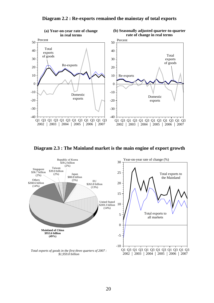

**Diagram 2.2 : Re-exports remained the mainstay of total exports**

**Diagram 2.3 : The Mainland market is the main engine of export growth**

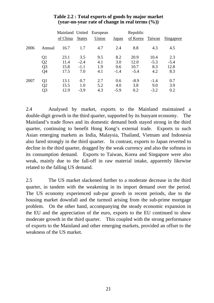|      |                |          |               | Mainland United European |        | Republic |        |           |
|------|----------------|----------|---------------|--------------------------|--------|----------|--------|-----------|
|      |                | of China | <b>States</b> | Union                    | Japan  | of Korea | Taiwan | Singapore |
| 2006 | Annual         | 16.7     | 1.7           | 4.7                      | 2.4    | 8.8      | 4.3    | 4.5       |
|      | Q1             | 23.1     | 3.5           | 9.5                      | 8.2    | 20.9     | 10.4   | 2.3       |
|      | Q2             | 11.4     | $-2.4$        | 4.1                      | 3.0    | 12.0     | $-5.3$ | $-5.4$    |
|      | Q <sub>3</sub> | 15.8     | $-1.1$        | 1.9                      | 0.6    | 10.7     | 8.3    | 12.8      |
|      | Q4             | 17.5     | 7.0           | 4.1                      | $-1.4$ | $-5.4$   | 4.2    | 8.3       |
| 2007 | Q <sub>1</sub> | 13.1     | 0.7           | 2.7                      | 0.6    | $-8.9$   | $-1.4$ | 0.7       |
|      | Q2             | 15.5     | 1.0           | 5.2                      | 4.0    | 3.8      | 9.0    | 3.9       |
|      | Q3             | 12.9     | $-3.9$        | 4.3                      | $-5.9$ | 0.2      | $-3.2$ | 0.2       |

## **Table 2.2 : Total exports of goods by major market (year-on-year rate of change in real terms (%))**

2.4 Analysed by market, exports to the Mainland maintained a double-digit growth in the third quarter, supported by its buoyant economy. The Mainland's trade flows and its domestic demand both stayed strong in the third quarter, continuing to benefit Hong Kong's external trade. Exports to such Asian emerging markets as India, Malaysia, Thailand, Vietnam and Indonesia also fared strongly in the third quarter. In contrast, exports to Japan reverted to decline in the third quarter, dragged by the weak currency and also the softness in its consumption demand. Exports to Taiwan, Korea and Singapore were also weak, mainly due to the fall-off in raw material intake, apparently likewise related to the falling US demand.

2.5 The US market slackened further to a moderate decrease in the third quarter, in tandem with the weakening in its import demand over the period. The US economy experienced sub-par growth in recent periods, due to the housing market downfall and the turmoil arising from the sub-prime mortgage problem. On the other hand, accompanying the steady economic expansion in the EU and the appreciation of the euro, exports to the EU continued to show moderate growth in the third quarter. This coupled with the strong performance of exports to the Mainland and other emerging markets, provided an offset to the weakness of the US market.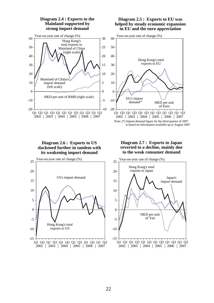

**Diagram 2.4 : Exports to the** 

#### **Diagram 2.5 : Exports to EU was helped by steady economic expansion in EU and the euro appreciation**



is based on information available up to August 2007.





#### **Diagram 2.7 : Exports to Japan reverted to a decline, mainly due to the weak consumer demand**

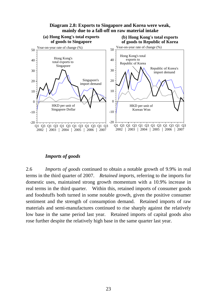

## *Imports of goods*

2.6 *Imports of goods* continued to obtain a notable growth of 9.9% in real terms in the third quarter of 2007. *Retained imports*, referring to the imports for domestic uses, maintained strong growth momentum with a 10.9% increase in real terms in the third quarter. Within this, retained imports of consumer goods and foodstuffs both turned in some notable growth, given the positive consumer sentiment and the strength of consumption demand. Retained imports of raw materials and semi-manufactures continued to rise sharply against the relatively low base in the same period last year. Retained imports of capital goods also rose further despite the relatively high base in the same quarter last year.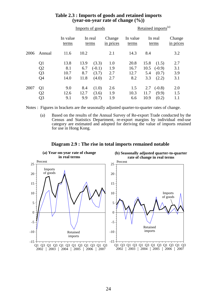|      |                |                   |      | Imports of goods |                     | Retained imports <sup>(a)</sup> |      |                  |                     |  |
|------|----------------|-------------------|------|------------------|---------------------|---------------------------------|------|------------------|---------------------|--|
|      |                | In value<br>terms |      | In real<br>terms | Change<br>in prices | In value<br>terms               |      | In real<br>terms | Change<br>in prices |  |
| 2006 | Annual         | 11.6              | 10.2 |                  | 2.1                 | 14.3                            | 8.4  |                  | 3.2                 |  |
|      | Q <sub>1</sub> | 13.8              | 13.9 | (3.3)            | 1.0                 | 20.8                            | 15.8 | (1.5)            | 2.7                 |  |
|      | Q <sub>2</sub> | 8.1               | 6.7  | $(-0.1)$         | 1.9                 | 16.7                            | 10.5 | $(-0.9)$         | 3.1                 |  |
|      | Q <sub>3</sub> | 10.7              | 8.7  | (3.7)            | 2.7                 | 12.7                            | 5.4  | (0.7)            | 3.9                 |  |
|      | Q <sub>4</sub> | 14.0              | 11.8 | (4.0)            | 2.7                 | 8.2                             | 3.3  | (2.2)            | 3.1                 |  |
| 2007 | Q <sub>1</sub> | 9.0               | 8.4  | (1.0)            | 2.6                 | 1.5                             | 2.7  | $(-0.8)$         | 2.0                 |  |
|      | Q <sub>2</sub> | 12.6              | 12.7 | (3.6)            | 1.9                 | 10.3                            | 11.7 | (9.9)            | 1.5                 |  |
|      | Q <sub>3</sub> | 9.1               | 9.9  | (0.7)            | 1.9                 | 6.6                             | 10.9 | (0.2)            | 1.1                 |  |

## **Table 2.3 : Imports of goods and retained imports (year-on-year rate of change (%))**

Notes : Figures in brackets are the seasonally adjusted quarter-to-quarter rates of change.

 (a) Based on the results of the Annual Survey of Re-export Trade conducted by the Census and Statistics Department, re-export margins by individual end-use category are estimated and adopted for deriving the value of imports retained for use in Hong Kong.



#### **Diagram 2.9 : The rise in total imports remained notable**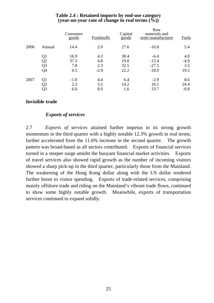|                | Consumer<br>goods | Foodstuffs | Capital<br>$\overline{goods}$ | Raw<br>materials and<br>semi-manufactures | Fuels  |
|----------------|-------------------|------------|-------------------------------|-------------------------------------------|--------|
| Annual         | 14.4              | 2.0        | 27.6                          | $-16.8$                                   | 5.4    |
| Q1             | 16.9              | 4.3        | 38.4                          | $-6.4$                                    | 4.0    |
| Q2             | 37.3              | 4.8        | 19.8                          | $-13.4$                                   | $-4.9$ |
| Q <sub>3</sub> | 7.8               | 2.3        | 32.5                          | $-27.5$                                   | 3.5    |
| Q4             | 0.5               | $-2.9$     | 22.2                          | $-18.9$                                   | 19.5   |
| Q1             | $-1.0$            | 4.4        | 6.4                           | $-2.9$                                    | 8.6    |
|                | 2.3               | 3.5        | 14.2                          | 16.1                                      | 24.4   |
| Q3             | 6.6               | 8.9        | 1.6                           | 33.7                                      | $-0.8$ |
|                | Q2                |            |                               |                                           |        |

## **Table 2.4 : Retained imports by end-use category (year-on-year rate of change in real terms (%))**

## **Invisible trade**

## *Exports of services*

2.7 *Exports of services* attained further impetus in its strong growth momentum in the third quarter with a highly notable 12.3% growth in real terms, further accelerated from the 11.6% increase in the second quarter. The growth pattern was broad-based as all sectors contributed. Exports of financial services turned in a steeper surge amidst the buoyant financial market activities. Exports of travel services also showed rapid growth as the number of incoming visitors showed a sharp pick-up in the third quarter, particularly those from the Mainland. The weakening of the Hong Kong dollar along with the US dollar rendered further boost to visitor spending. Exports of trade-related services, comprising mainly offshore trade and riding on the Mainland's vibrant trade flows, continued to show some highly notable growth. Meanwhile, exports of transportation services continued to expand solidly.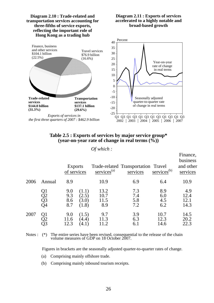

## **Table 2.5 : Exports of services by major service group\* (year-on-year rate of change in real terms (%))**

*Of which :*

|      |                      | <b>Exports</b><br>of services |                                  | $s$ ervices <sup>(a)</sup>  | Trade-related Transportation Travel<br>services | services <sup>(b)</sup>  | Finance,<br>business<br>and other<br>services |
|------|----------------------|-------------------------------|----------------------------------|-----------------------------|-------------------------------------------------|--------------------------|-----------------------------------------------|
| 2006 | Annual               | 8.9                           |                                  | 10.9                        | 6.9                                             | 6.4                      | 10.9                                          |
|      | Q1<br>Q2<br>Q3<br>Q4 | 9.0<br>9.3<br>8.6<br>8.7      | (1.1)<br>(2.5)<br>(3.0)<br>(1.8) | 13.2<br>10.7<br>11.5<br>8.9 | 7.3<br>7.4<br>5.8<br>7.2                        | 8.9<br>6.0<br>4.5<br>6.2 | 4.9<br>12.4<br>12.1<br>14.3                   |
| 2007 | Q1                   | 9.0<br>11.6<br>12.3           | (1.5)<br>(4.4)<br>(4.1)          | 9.7<br>11.3<br>11.2         | 3.9<br>6.3<br>6.1                               | 10.7<br>12.3<br>14.6     | 14.5<br>20.2<br>22.3                          |

Notes : (\*) The entire series have been revised, consequential to the release of the chain volume measures of GDP on 18 October 2007.

Figures in brackets are the seasonally adjusted quarter-to-quarter rates of change.

- (a) Comprising mainly offshore trade.
- (b) Comprising mainly inbound tourism receipts.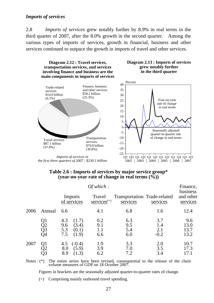## *Imports of services*

2.8 *Imports of services* grew notably further by 8.9% in real terms in the third quarter of 2007, after the 8.0% growth in the second quarter. Among the various types of imports of services, growth in financial, business and other services continued to outpace the growth in imports of travel and other services.



| Table 2.6 : Imports of services by major service group* |
|---------------------------------------------------------|
| (year-on-year rate of change in real terms $(\%))$      |

|      | Of which:            |                                                              |                                                   |                                          |                             |                                   |  |  |
|------|----------------------|--------------------------------------------------------------|---------------------------------------------------|------------------------------------------|-----------------------------|-----------------------------------|--|--|
|      |                      | Imports<br>of services                                       | Travel<br>$s$ ervices <sup><math>(+)</math></sup> | Transportation Trade-related<br>services | services                    | business<br>and other<br>services |  |  |
| 2006 | Annual               | 6.6                                                          | 4.1                                               | 6.8                                      | 1.6                         | 12.4                              |  |  |
|      | Q1<br>Q2<br>Q3<br>Q4 | 4.3<br>(1.7)<br>9.6<br>(3.4)<br>5.3<br>(0.1)<br>7.5<br>(1.9) | 0.2<br>9.1<br>1.1<br>6.6                          | 6.3<br>9.5<br>5.4<br>6.0                 | 3.7<br>1.4<br>2.1<br>$-0.2$ | 9.6<br>13.0<br>13.7<br>13.2       |  |  |
| 2007 | Q1<br>Q2<br>Q3       | $(-0.4)$<br>4.5<br>(5.9)<br>8.0<br>8.9                       | 1.9<br>3.9<br>6.2                                 | 3.3<br>7.0<br>7.2                        | 2.0<br>3.5<br>3.4           | 10.7<br>17.3<br>17.1              |  |  |

Notes : (\*) The entire series have been revised, consequential to the release of the chain volume measures of GDP on 18 October 2007.

Figures in brackets are the seasonally adjusted quarter-to-quarter rates of change.

(+) Comprising mainly outbound travel spending.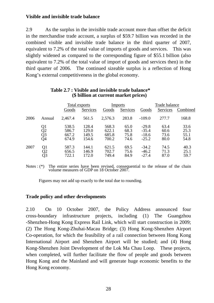## **Visible and invisible trade balance**

2.9 As the surplus in the invisible trade account more than offset the deficit in the merchandise trade account, a surplus of \$59.7 billion was recorded in the combined visible and invisible trade balance in the third quarter of 2007, equivalent to 7.2% of the total value of imports of goods and services. This was slightly widened as compared to the corresponding figure of \$55.1 billion (also equivalent to 7.2% of the total value of import of goods and services then) in the third quarter of 2006. The continued sizeable surplus is a reflection of Hong Kong's external competitiveness in the global economy.

|      |                      | Total exports                    |                                  | Imports                          |                              | Trade balance                            |                              |                              |
|------|----------------------|----------------------------------|----------------------------------|----------------------------------|------------------------------|------------------------------------------|------------------------------|------------------------------|
|      |                      | Goods                            | Services                         | Goods                            | Services                     | Goods                                    | <b>Services</b>              | Combined                     |
| 2006 | Annual               | 2,467.4                          | 561.5                            | 2,576.3                          | 283.8                        | $-109.0$                                 | 277.7                        | 168.8                        |
|      | Q1<br>Q2<br>Q3<br>Q4 | 538.5<br>586.7<br>667.2<br>674.9 | 128.4<br>129.0<br>149.5<br>154.6 | 568.3<br>622.1<br>685.8<br>700.2 | 65.0<br>68.3<br>75.8<br>74.6 | $-29.8$<br>$-35.4$<br>$-18.6$<br>$-25.2$ | 63.4<br>60.6<br>73.6<br>80.0 | 33.6<br>25.3<br>55.1<br>54.8 |
| 2007 | Q1<br>Q2<br>Q3       | 587.3<br>656.5<br>722.1          | 144.1<br>146.9<br>172.0          | 621.5<br>702.7<br>749.4          | 69.5<br>75.6<br>84.9         | $-34.2$<br>$-46.2$<br>$-27.4$            | 74.5<br>71.3<br>87.0         | 40.3<br>25.1<br>59.7         |

## **Table 2.7 : Visible and invisible trade balance\* (\$ billion at current market prices)**

Notes : (\*) The entire series have been revised, consequential to the release of the chain volume measures of GDP on 18 October 2007.

Figures may not add up exactly to the total due to rounding.

## **Trade policy and other developments**

2.10 On 10 October 2007, the Policy Address announced four cross-boundary infrastructure projects, including (1) The Guangzhou -Shenzhen-Hong Kong Express Rail Link, which will start construction in 2009; (2) The Hong Kong-Zhuhai-Macau Bridge; (3) Hong Kong-Shenzhen Airport Co-operation, for which the feasibility of a rail connection between Hong Kong International Airport and Shenzhen Airport will be studied; and (4) Hong Kong-Shenzhen Joint Development of the Lok Ma Chau Loop. These projects, when completed, will further facilitate the flow of people and goods between Hong Kong and the Mainland and will generate huge economic benefits to the Hong Kong economy.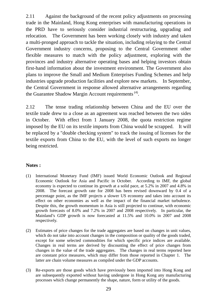2.11 Against the background of the recent policy adjustments on processing trade in the Mainland, Hong Kong enterprises with manufacturing operations in the PRD have to seriously consider industrial restructuring, upgrading and relocation. The Government has been working closely with industry and taken a multi-pronged approach to tackle the situation, including relaying to the Central Government industry concerns, proposing to the Central Government other flexible measures to match with the policy adjustment, exploring with the provinces and industry alternative operating bases and helping investors obtain first-hand information about the investment environment. The Government also plans to improve the Small and Medium Enterprises Funding Schemes and help industries upgrade production facilities and explore new markets. In September, the Central Government in response allowed alternative arrangements regarding the Guarantee Shadow Margin Account requirements (4).

2.12 The tense trading relationship between China and the EU over the textile trade drew to a close as an agreement was reached between the two sides in October. With effect from 1 January 2008, the quota restriction regime imposed by the EU on its textile imports from China would be scrapped. It will be replaced by a "double checking system" to track the issuing of licenses for the textile exports from China to the EU, with the level of such exports no longer being restricted.

## **Notes :**

- (1) International Monetary Fund (IMF) issued World Economic Outlook and Regional Economic Outlook for Asia and Pacific in October. According to IMF, the global economy is expected to continue its growth at a solid pace, at 5.2% in 2007 and 4.8% in 2008. The forecast growth rate for 2008 has been revised downward by 0.4 of a percentage point, as the IMF projects a slower US economy and takes into account its effect on other economies as well as the impact of the financial market turbulence. Despite this, the growth momentum in Asia is still projected to continue, with economic growth forecasts of 8.0% and 7.2% in 2007 and 2008 respectively. In particular, the Mainland's GDP growth is now forecasted at 11.5% and 10.0% in 2007 and 2008 respectively.
- (2) Estimates of price changes for the trade aggregates are based on changes in unit values, which do not take into account changes in the composition or quality of the goods traded, except for some selected commodities for which specific price indices are available. Changes in real terms are derived by discounting the effect of price changes from changes in the value of the trade aggregates. The changes in real terms reported here are constant price measures, which may differ from those reported in Chapter 1. The latter are chain volume measures as compiled under the GDP accounts.
- (3) Re-exports are those goods which have previously been imported into Hong Kong and are subsequently exported without having undergone in Hong Kong any manufacturing processes which change permanently the shape, nature, form or utility of the goods.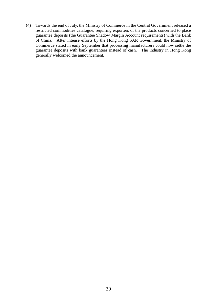(4) Towards the end of July, the Ministry of Commerce in the Central Government released a restricted commodities catalogue, requiring exporters of the products concerned to place guarantee deposits (the Guarantee Shadow Margin Account requirements) with the Bank of China. After intense efforts by the Hong Kong SAR Government, the Ministry of Commerce stated in early September that processing manufacturers could now settle the guarantee deposits with bank guarantees instead of cash. The industry in Hong Kong generally welcomed the announcement.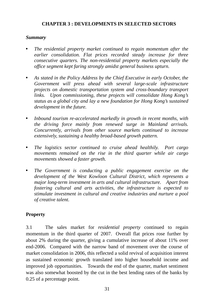# **CHAPTER 3 : DEVELOPMENTS IN SELECTED SECTORS**

### *Summary*

- *The residential property market continued to regain momentum after the earlier consolidation. Flat prices recorded steady increase for three consecutive quarters. The non-residential property markets especially the office segment kept faring strongly amidst general business upturn.*
- As stated in the Policy Address by the Chief Executive in early October, the *Government will press ahead with several large-scale infrastructure projects on domestic transportation system and cross-boundary transport links. Upon commissioning, these projects will consolidate Hong Kong's status as a global city and lay a new foundation for Hong Kong's sustained development in the future.*
- *Inbound tourism re-accelerated markedly in growth in recent months, with the driving force mainly from renewed surge in Mainland arrivals. Concurrently, arrivals from other source markets continued to increase extensively, sustaining a healthy broad-based growth pattern.*
- *The logistics sector continued to cruise ahead healthily. Port cargo movements remained on the rise in the third quarter while air cargo movements showed a faster growth.*
- The Government is conducting a public engagement exercise on the *development of the West Kowloon Cultural District, which represents a major long-term investment in arts and cultural infrastructure. Apart from fostering cultural and arts activities, the infrastructure is expected to stimulate investment in cultural and creative industries and nurture a pool of creative talent.*

# **Property**

3.1 The sales market for *residential property* continued to regain momentum in the third quarter of 2007. Overall flat prices rose further by about 2% during the quarter, giving a cumulative increase of about 11% over end-2006. Compared with the narrow band of movement over the course of market consolidation in 2006, this reflected a solid revival of acquisition interest as sustained economic growth translated into higher household income and improved job opportunities. Towards the end of the quarter, market sentiment was also somewhat boosted by the cut in the best lending rates of the banks by 0.25 of a percentage point.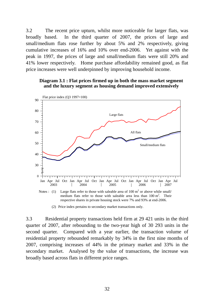3.2 The recent price upturn, whilst more noticeable for larger flats, was broadly based. In the third quarter of 2007, the prices of large and small/medium flats rose further by about 5% and 2% respectively, giving cumulative increases of 16% and 10% over end-2006. Yet against with the peak in 1997, the prices of large and small/medium flats were still 20% and 41% lower respectively. Home purchase affordability remained good, as flat price increases were well underpinned by improving household income.



Small/medium flats

**Diagram 3.1 : Flat prices firmed up in both the mass market segment and the luxury segment as housing demand improved extensively**



(2) Price index pertains to secondary market transactions only.

40

3.3 Residential property transactions held firm at 29 421 units in the third quarter of 2007, after rebounding to the two-year high of 30 293 units in the second quarter. Compared with a year earlier, the transaction volume of residential property rebounded remarkably by 34% in the first nine months of 2007, comprising increases of 44% in the primary market and 33% in the secondary market. Analysed by the value of transactions, the increase was broadly based across flats in different price ranges.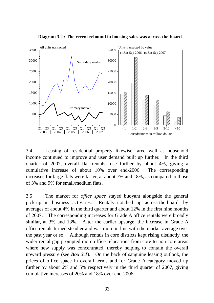

**Diagram 3.2 : The recent rebound in housing sales was across-the-board**

3.4 Leasing of residential property likewise fared well as household income continued to improve and user demand built up further. In the third quarter of 2007, overall flat rentals rose further by about 4%, giving a cumulative increase of about 10% over end-2006. The corresponding increases for large flats were faster, at about 7% and 18%, as compared to those of 3% and 9% for small/medium flats.

3.5 The market for *office space* stayed buoyant alongside the general pick-up in business activities. Rentals notched up across-the-board, by averages of about 4% in the third quarter and about 12% in the first nine months of 2007. The corresponding increases for Grade A office rentals were broadly similar, at 3% and 13%. After the earlier upsurge, the increase in Grade A office rentals turned steadier and was more in line with the market average over the past year or so. Although rentals in core districts kept rising distinctly, the wider rental gap prompted more office relocations from core to non-core areas where new supply was concentrated, thereby helping to contain the overall upward pressure (see *Box 3.1*). On the back of sanguine leasing outlook, the prices of office space in overall terms and for Grade A category moved up further by about 6% and 5% respectively in the third quarter of 2007, giving cumulative increases of 20% and 18% over end-2006.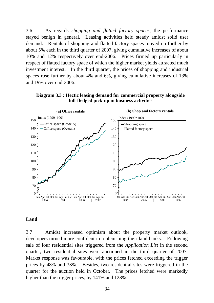3.6 As regards *shopping and flatted factory spaces*, the performance stayed benign in general. Leasing activities held steady amidst solid user demand. Rentals of shopping and flatted factory spaces moved up further by about 5% each in the third quarter of 2007, giving cumulative increases of about 10% and 12% respectively over end-2006. Prices firmed up particularly in respect of flatted factory space of which the higher market yields attracted much investment interest. In the third quarter, the prices of shopping and industrial spaces rose further by about 4% and 6%, giving cumulative increases of 13% and 19% over end-2006.





#### **Land**

3.7 Amidst increased optimism about the property market outlook, developers turned more confident in replenishing their land banks. Following sale of four residential sites triggered from the *Application List* in the second quarter, two residential sites were auctioned in the third quarter of 2007. Market response was favourable, with the prices fetched exceeding the trigger prices by 48% and 33%. Besides, two residential sites were triggered in the quarter for the auction held in October. The prices fetched were markedly higher than the trigger prices, by 141% and 128%.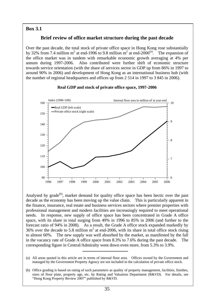#### $\overline{a}$ **Box 3.1**

## **Brief review of office market structure during the past decade**

Over the past decade, the total stock of private office space in Hong Kong rose substantially by 32% from 7.4 million m<sup>2</sup> at end-1996 to 9.8 million m<sup>2</sup> at end-2006<sup>(a)</sup>. The expansion of the office market was in tandem with remarkable economic growth averaging at 4% per annum during 1997-2006. Also contributed were further shift of economic structure towards service orientation (with the share of services sector in GDP up from 86% in 1997 to around 90% in 2006) and development of Hong Kong as an international business hub (with the number of regional headquarters and offices up from 2 514 in 1997 to 3 845 in 2006).

#### 1996 1997 1998 1999 2000 2001 2002 2003 2004 2005 2006 90 100 110 120 130 140 150  $160 - \frac{\text{Index} (1996=100)}{}$ 6 7 8  $\alpha$ 10 Real GDP (left scale) Private office stock (right scale) Internal floor area in million  $m<sup>2</sup>$  at year-end

#### **Real GDP and stock of private office space, 1997-2006**

Analysed by grade $^{(b)}$ , market demand for quality office space has been hectic over the past decade as the economy has been moving up the value chain. This is particularly apparent in the finance, insurance, real estate and business services sectors where premier properties with professional management and modern facilities are increasingly required to meet operational needs. In response, new supply of office space has been concentrated in Grade A office space, with its share in total surging from 49% in 1996 to 85% in 2006 (and further to the forecast ratio of 94% in 2008). As a result, the Grade A office stock expanded markedly by 36% over the decade to 5.8 million  $m^2$  at end-2006, with its share in total office stock rising to almost 60%. The new supply was well absorbed by the market, as manifested by the fall in the vacancy rate of Grade A office space from 8.3% to 7.6% during the past decade. The corresponding figure in Central/Admiralty went down even more, from 5.3% to 3.9%.

- (a) All areas quoted in this article are in terms of internal floor area. Offices owned by the Government and managed by the Government Property Agency are not included in the calculation of private office stock.
- (b) Office grading is based on rating of such parameters as quality of property management, facilities, finishes, sizes of floor plate, property age, etc. by Rating and Valuation Department (R&VD). For details, see "Hong Kong Property Review 2007" published by R&VD.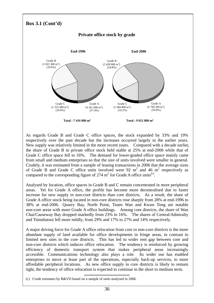

As regards Grade B and Grade C office spaces, the stock expanded by 33% and 19% respectively over the past decade but the increases occurred largely in the earlier years. New supply was relatively limited in the more recent years. Compared with a decade earlier, the share of Grade B in private office stock held stable at 25% at end-2006 while that of Grade C office space fell to 16%. The demand for lower-graded office space mainly came from small and medium enterprises so that the size of units involved were smaller in general. Crudely, it was estimated from a sample of leasing transactions in 2006 that the average sizes of Grade B and Grade C office units involved were  $92 \text{ m}^2$  and  $46 \text{ m}^2$  respectively as compared to the corresponding figure of 274  $m^2$  for Grade A office units<sup>(c)</sup>.

Analysed by location, office spaces in Grade B and C remain concentrated in more peripheral areas. Yet for Grade A office, the profile has become more decentralised due to faster increase for new supply in non-core districts than core districts. As a result, the share of Grade A office stock being located in non-core districts rose sharply from 28% at end-1996 to 38% at end-2006. Quarry Bay, North Point, Tsuen Wan and Kwun Tong are notable non-core areas with more Grade A office buildings. Among core districts, the share of Wan Chai/Causeway Bay dropped markedly from 23% to 16%. The shares of Central/Admiralty and Tsimshatsui fell more mildly, from 29% and 17% to 27% and 14% respectively.

A major driving force for Grade A office relocation from core to non-core districts is the more abundant supply of land available for office developments in fringe areas, in contrast to limited new sites in the core districts. This has led to wider rent gap between core and non-core districts which induces office relocation. The tendency is reinforced by growing efficiency of domestic transport system that makes peripheral areas increasingly accessible. Communications technology also plays a role. Its wider use has enabled enterprises to move at lease part of the operations, especially back-up services, to more affordable peripheral locations. As new office supply in core districts is likely to remain tight, the tendency of office relocation is expected to continue in the short to medium term.

<sup>(</sup>c) Crude estimates by R&VD based on a sample of units analysed in 2006.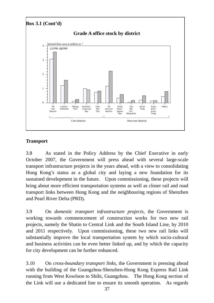

# **Transport**

3.8 As stated in the Policy Address by the Chief Executive in early October 2007, the Government will press ahead with several large-scale transport infrastructure projects in the years ahead, with a view to consolidating Hong Kong's status as a global city and laying a new foundation for its sustained development in the future. Upon commissioning, these projects will bring about more efficient transportation systems as well as closer rail and road transport links between Hong Kong and the neighbouring regions of Shenzhen and Pearl River Delta (PRD).

3.9 On *domestic transport infrastructure projects*, the Government is working towards commencement of construction works for two new rail projects, namely the Shatin to Central Link and the South Island Line, by 2010 and 2011 respectively. Upon commissioning, these two new rail links will substantially improve the local transportation system by which socio-cultural and business activities can be even better linked up, and by which the capacity for city development can be further enhanced.

3.10 On *cross-boundary transport links*, the Government is pressing ahead with the building of the Guangzhou-Shenzhen-Hong Kong Express Rail Link running from West Kowloon to Shibi, Guangzhou. The Hong Kong section of the Link will use a dedicated line to ensure its smooth operation. As regards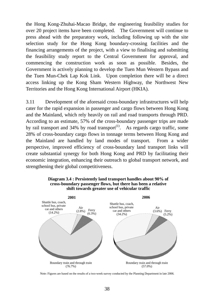the Hong Kong-Zhuhai-Macao Bridge, the engineering feasibility studies for over 20 project items have been completed. The Government will continue to press ahead with the preparatory work, including following up with the site selection study for the Hong Kong boundary-crossing facilities and the financing arrangements of the project, with a view to finalising and submitting the feasibility study report to the Central Government for approval, and commencing the construction work as soon as possible. Besides, the Government is actively planning to develop the Tuen Mun Western Bypass and the Tuen Mun-Chek Lap Kok Link. Upon completion there will be a direct access linking up the Kong Sham Western Highway, the Northwest New Territories and the Hong Kong International Airport (HKIA).

3.11 Development of the aforesaid cross-boundary infrastructures will help cater for the rapid expansion in passenger and cargo flows between Hong Kong and the Mainland, which rely heavily on rail and road transports through PRD. According to an estimate, 57% of the cross-boundary passenger trips are made by rail transport and 34% by road transport<sup>(1)</sup>. As regards cargo traffic, some 28% of cross-boundary cargo flows in tonnage terms between Hong Kong and the Mainland are handled by land modes of transport. From a wider perspective, improved efficiency of cross-boundary land transport links will create substantial synergy for both Hong Kong and PRD by facilitating their economic integration, enhancing their outreach to global transport network, and strengthening their global competitiveness.



#### **Diagram 3.4 : Persistently land transport handles about 90% of cross-boundary passenger flows, but there has been a relative shift towards greater use of vehicular traffic**

Note: Figures are based on the results of a two-week survey conducted by the Planning Department in late 2006.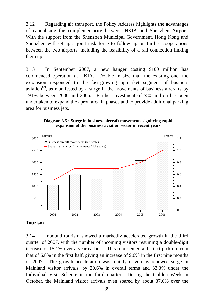3.12 Regarding air transport, the Policy Address highlights the advantages of capitalising the complementarity between HKIA and Shenzhen Airport. With the support from the Shenzhen Municipal Government, Hong Kong and Shenzhen will set up a joint task force to follow up on further cooperations between the two airports, including the feasibility of a rail connection linking them up.

3.13 In September 2007, a new hanger costing \$100 million has commenced operation at HKIA. Double in size than the existing one, the expansion responded to the fast-growing upmarket segment of business aviation<sup>(2)</sup>, as manifested by a surge in the movements of business aircrafts by 191% between 2000 and 2006. Further investment of \$80 million has been undertaken to expand the apron area in phases and to provide additional parking area for business jets.





#### **Tourism**

3.14 Inbound tourism showed a markedly accelerated growth in the third quarter of 2007, with the number of incoming visitors resuming a double-digit increase of 15.1% over a year earlier. This represented a distinct pick up from that of 6.8% in the first half, giving an increase of 9.6% in the first nine months of 2007. The growth acceleration was mainly driven by renewed surge in Mainland visitor arrivals, by 20.6% in overall terms and 33.3% under the Individual Visit Scheme in the third quarter. During the Golden Week in October, the Mainland visitor arrivals even soared by about 37.6% over the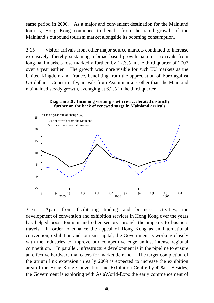same period in 2006. As a major and convenient destination for the Mainland tourists, Hong Kong continued to benefit from the rapid growth of the Mainland's outbound tourism market alongside its booming consumption.

3.15 Visitor arrivals from other major source markets continued to increase extensively, thereby sustaining a broad-based growth pattern. Arrivals from long-haul markets rose markedly further, by 12.3% in the third quarter of 2007 over a year earlier. The growth was more visible for such EU markets as the United Kingdom and France, benefiting from the appreciation of Euro against US dollar. Concurrently, arrivals from Asian markets other than the Mainland maintained steady growth, averaging at 6.2% in the third quarter.

#### **Diagram 3.6 : Incoming visitor growth re-accelerated distinctly further on the back of renewed surge in Mainland arrivals**



3.16 Apart from facilitating trading and business activities, the development of convention and exhibition services in Hong Kong over the years has helped boost tourism and other sectors through the impetus to business travels. In order to enhance the appeal of Hong Kong as an international convention, exhibition and tourism capital, the Government is working closely with the industries to improve our competitive edge amidst intense regional competition. In parallel, infrastructure development is in the pipeline to ensure an effective hardware that caters for market demand. The target completion of the atrium link extension in early 2009 is expected to increase the exhibition area of the Hong Kong Convention and Exhibition Centre by 42%. Besides, the Government is exploring with AsiaWorld-Expo the early commencement of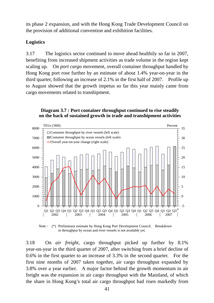its phase 2 expansion, and with the Hong Kong Trade Development Council on the provision of additional convention and exhibition facilities.

### **Logistics**

3.17 The logistics sector continued to move ahead healthily so far in 2007, benefiting from increased shipment activities as trade volume in the region kept scaling up. On *port cargo* movement, overall container throughput handled by Hong Kong port rose further by an estimate of about 1.4% year-on-year in the third quarter, following an increase of 2.1% in the first half of 2007. Profile up to August showed that the growth impetus so far this year mainly came from cargo movements related to transhipment.

### **Diagram 3.7 : Port container throughput continued to rise steadily on the back of sustained growth in trade and transhipment activities**



Note : (\*) Preliminary estimate by Hong Kong Port Development Council. Breakdown in throughput by ocean and river vessels is not available yet.

3.18 On *air freight,* cargo throughput picked up further by 8.1% year-on-year in the third quarter of 2007, after switching from a brief decline of 0.6% in the first quarter to an increase of 3.3% in the second quarter. For the first nine months of 2007 taken together, air cargo throughput expanded by 3.8% over a year earlier. A major factor behind the growth momentum in air freight was the expansion in air cargo throughput with the Mainland, of which the share in Hong Kong's total air cargo throughput had risen markedly from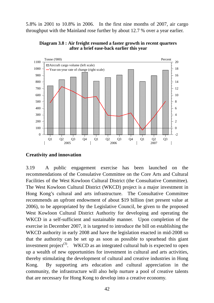5.8% in 2001 to 10.8% in 2006. In the first nine months of 2007, air cargo throughput with the Mainland rose further by about 12.7 % over a year earlier.





### **Creativity and innovation**

3.19 A public engagement exercise has been launched on the recommendations of the Consulative Committee on the Core Arts and Cultural Facilities of the West Kowloon Cultural District (the Consultative Committee). The West Kowloon Cultural District (WKCD) project is a major investment in Hong Kong's cultural and arts infrastructure. The Consultative Committee recommends an upfront endowment of about \$19 billion (net present value at 2006), to be appropriated by the Legislative Council, be given to the proposed West Kowloon Cultural District Authority for developing and operating the WKCD in a self-sufficient and sustainable manner. Upon completion of the exercise in December 2007, it is targeted to introduce the bill on establishing the WKCD authority in early 2008 and have the legislation enacted in mid-2008 so that the authority can be set up as soon as possible to spearhead this giant investment project<sup>(3)</sup>. WKCD as an integrated cultural hub is expected to open up a wealth of new opportunities for investment in cultural and arts activities, thereby stimulating the development of cultural and creative industries in Hong Kong. By supporting arts education and cultural appreciation in the community, the infrastructure will also help nurture a pool of creative talents that are necessary for Hong Kong to develop into a creative economy.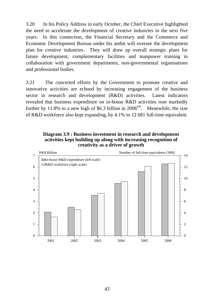3.20 In his Policy Address in early October, the Chief Executive highlighted the need to accelerate the development of creative industries in the next five years. In this connection, the Financial Secretary and the Commerce and Economic Development Bureau under his ambit will oversee the development plan for creative industries. They will draw up overall strategic plans for future development, complementary facilities and manpower training in collaboration with government departments, non-governmental organisations and professional bodies.

3.21 The concerted efforts by the Government to promote creative and innovative activities are echoed by increasing engagement of the business sector in research and development (R&D) activities. Latest indicators revealed that business expenditure on in-house R&D activities rose markedly further by 11.8% to a new high of \$6.3 billion in  $2006^{(4)}$ . Meanwhile, the size of R&D workforce also kept expanding, by 4.1% to 12 681 full-time equivalent.



**Diagram 3.9 : Business investment in research and development activities kept building up along with increasing recognition of creativity as a driver of growth**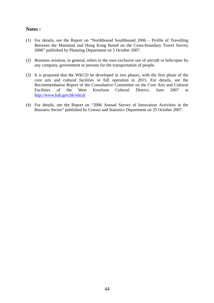#### **Notes :**

- (1) For details, see the Report on "Northbound Southbound 2006 Profile of Travelling Between the Mainland and Hong Kong Based on the Cross-boundary Travel Survey 2006" published by Planning Department on 5 October 2007.
- (2) Business aviation, in general, refers to the own exclusive use of aircraft or helicopter by any company, government or persons for the transportation of people.
- (3) It is proposed that the WKCD be developed in two phases, with the first phase of the core arts and cultural facilities in full operation in 2015. For details, see the Recommendation Report of the Consultative Committee on the Core Arts and Cultural Facilities of the West Kowloon Cultural District, June 2007 at http://www.hab.gov.hk/wkcd/
- (4) For details, see the Report on "2006 Annual Survey of Innovation Activities in the Business Sector" published by Census and Statistics Department on 25 October 2007.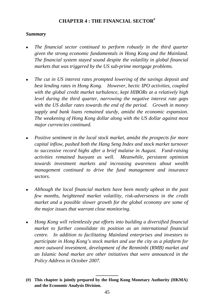# **CHAPTER 4 : THE FINANCIAL SECTOR#**

### *Summary*

- *The financial sector continued to perform robustly in the third quarter given the strong economic fundamentals in Hong Kong and the Mainland. The financial system stayed sound despite the volatility in global financial markets that was triggered by the US sub-prime mortgage problems.*
- <sup>z</sup>*The cut in US interest rates prompted lowering of the savings deposit and best lending rates in Hong Kong. However, hectic IPO activities, coupled with the global credit market turbulence, kept HIBORs at a relatively high level during the third quarter, narrowing the negative interest rate gaps with the US dollar rates towards the end of the period. Growth in money supply and bank loans remained sturdy, amidst the economic expansion. The weakening of Hong Kong dollar along with the US dollar against most major currencies continued.*
- *Positive sentiment in the local stock market, amidst the prospects for more capital inflow, pushed both the Hang Seng Index and stock market turnover to successive record highs after a brief malaise in August. Fund-raising activities remained buoyant as well. Meanwhile, persistent optimism towards investment markets and increasing awareness about wealth management continued to drive the fund management and insurance sectors.*
- <sup>z</sup>*Although the local financial markets have been mostly upbeat in the past few months, heightened market volatility, risk-adverseness in the credit market and a possible slower growth for the global economy are some of the major issues that warrant close monitoring.*
- <sup>z</sup>*Hong Kong will relentlessly put efforts into building a diversified financial market to further consolidate its position as an international financial centre. In addition to facilitating Mainland enterprises and investors to participate in Hong Kong's stock market and use the city as a platform for more outward investment, development of the Renminbi (RMB) market and an Islamic bond market are other initiatives that were announced in the Policy Address in October 2007.*
- **(#) This chapter is jointly prepared by the Hong Kong Monetary Authority (HKMA) and the Economic Analysis Division.**

**\_\_\_\_\_\_\_\_\_**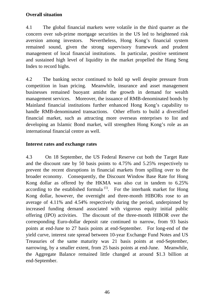# **Overall situation**

4.1 The global financial markets were volatile in the third quarter as the concern over sub-prime mortgage securities in the US led to heightened risk aversion among investors. Nevertheless, Hong Kong's financial system remained sound, given the strong supervisory framework and prudent management of local financial institutions. In particular, positive sentiment and sustained high level of liquidity in the market propelled the Hang Seng Index to record highs.

4.2 The banking sector continued to hold up well despite pressure from competition in loan pricing. Meanwhile, insurance and asset management businesses remained buoyant amidst the growth in demand for wealth management services. Moreover, the issuance of RMB-denominated bonds by Mainland financial institutions further enhanced Hong Kong's capability to handle RMB-denominated transactions. Other efforts to build a diversified financial market, such as attracting more overseas enterprises to list and developing an Islamic Bond market, will strengthen Hong Kong's role as an international financial centre as well.

# **Interest rates and exchange rates**

4.3 On 18 September, the US Federal Reserve cut both the Target Rate and the discount rate by 50 basis points to 4.75% and 5.25% respectively to prevent the recent disruptions in financial markets from spilling over to the broader economy. Consequently, the Discount Window Base Rate for Hong Kong dollar as offered by the HKMA was also cut in tandem to 6.25% according to the established formula  $(1)$ . For the interbank market for Hong Kong dollar, however, the overnight and three-month HIBORs rose to an average of 4.11% and 4.54% respectively during the period, underpinned by increased funding demand associated with vigorous equity initial public offering (IPO) activities. The discount of the three-month HIBOR over the corresponding Euro-dollar deposit rate continued to narrow, from 93 basis points at end-June to 27 basis points at end-September. For long-end of the yield curve, interest rate spread between 10-year Exchange Fund Notes and US Treasuries of the same maturity was 21 basis points at end-September, narrowing, by a smaller extent, from 25 basis points at end-June. Meanwhile, the Aggregate Balance remained little changed at around \$1.3 billion at end-September.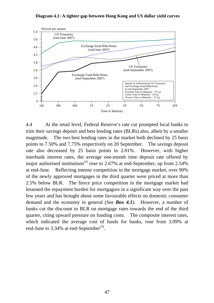#### **Diagram 4.1: A tighter gap between Hong Kong and US dollar yield curves**



4.4 At the retail level, Federal Reserve's rate cut prompted local banks to trim their savings deposit and best lending rates (BLRs) also, albeit by a smaller magnitude. The two best lending rates in the market both declined by 25 basis points to 7.50% and 7.75% respectively on 20 September. The savings deposit rate also decreased by 25 basis points to 2.01%. However, with higher interbank interest rates, the average one-month time deposit rate offered by major authorised institutions<sup>(2)</sup> rose to 2.67% at end-September, up from 2.54% at end-June. Reflecting intense competition in the mortgage market, over 90% of the newly approved mortgages in the third quarter were priced at more than 2.5% below BLR. The fierce price competition in the mortgage market had lessened the repayment burden for mortgagors in a significant way over the past few years and has brought about some favourable effects on domestic consumer demand and the economy in general (See *Box 4.1*). However, a number of banks cut the discount to BLR on mortgage rates towards the end of the third quarter, citing upward pressure on funding costs. The composite interest rates, which indicated the average cost of funds for banks, rose from 3.09% at end-June to  $3.34\%$  at end-September<sup>(3)</sup>.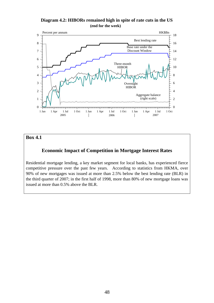**Diagram 4.2: HIBORs remained high in spite of rate cuts in the US (end for the week)**



#### **Box 4.1**

### **Economic Impact of Competition in Mortgage Interest Rates**

Residential mortgage lending, a key market segment for local banks, has experienced fierce competitive pressure over the past few years. According to statistics from HKMA, over 90% of new mortgages was issued at more than 2.5% below the best lending rate (BLR) in the third quarter of 2007; in the first half of 1998, more than 80% of new mortgage loans was issued at more than 0.5% above the BLR.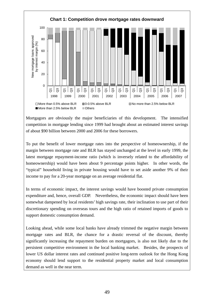

Mortgagors are obviously the major beneficiaries of this development. The intensified competition in mortgage lending since 1999 had brought about an estimated interest savings of about \$90 billion between 2000 and 2006 for these borrowers.

To put the benefit of lower mortgage rates into the perspective of homeownership, if the margin between mortgage rate and BLR has stayed unchanged at the level in early 1999, the latest mortgage repayment-income ratio (which is inversely related to the affordability of homeownership) would have been about 9 percentage points higher. In other words, the "typical" household living in private housing would have to set aside another 9% of their income to pay for a 20-year mortgage on an average residential flat.

In terms of economic impact, the interest savings would have boosted private consumption expenditure and, hence, overall GDP. Nevertheless, the economic impact should have been somewhat dampened by local residents' high savings rate, their inclination to use part of their discretionary spending on overseas tours and the high ratio of retained imports of goods to support domestic consumption demand.

Looking ahead, while some local banks have already trimmed the negative margin between mortgage rates and BLR, the chance for a drastic reversal of the discount, thereby significantly increasing the repayment burden on mortgagors, is also not likely due to the persistent competitive environment in the local banking market. Besides, the prospects of lower US dollar interest rates and continued positive long-term outlook for the Hong Kong economy should lend support to the residential property market and local consumption demand as well in the near term.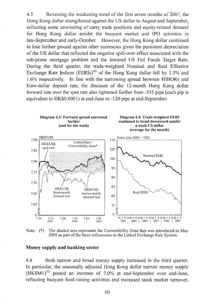4.5 Reversing the weakening trend of the first seven months of 2007, the Hong Kong dollar strengthened against the US dollar in August and September, reflecting some unwinding of carry trade positions and equity-related demand for Hong Kong dollar amidst the buoyant market and IPO activities in late-September and early-October. However, the Hong Kong dollar continued to lose further ground against other currencies given the persistent depreciation of the US dollar that reflected the negative spill-over effect associated with the sub-prime mortgage problem and the lowered US Fed Funds Target Rate. During the third quarter, the trade-weighted Nominal and Real Effective Exchange Rate Indices (EERIs)<sup>(4)</sup> of the Hong Kong dollar fell by 1.3% and 1.6% respectively. In line with the narrowing spread between HIBORs and Euro-dollar deposit rate, the discount of the 12-month Hong Kong dollar forward rate over the spot rate also tightened further from -555 pips (each pip is equivalent to HK\$0.0001) at end-June to -120 pips at end-September.



Note:  $(*)$ The shaded area represents the Convertibility Zone that was introduced in May 2005 as part of the three refinements to the Linked Exchange Rate System.

#### Money supply and banking sector

4.6 Both narrow and broad money supply increased in the third quarter. In particular, the seasonally adjusted Hong Kong dollar narrow money supply  $(HK$M1)^{(5)}$  posted an increase of 2.0% at end-September over end-June, reflecting buoyant fund-raising activities and increased stock market turnover.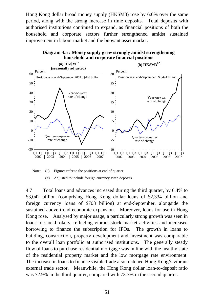Hong Kong dollar broad money supply (HK\$M3) rose by 6.6% over the same period, along with the strong increase in time deposits. Total deposits with authorised institutions continued to expand, as financial positions of both the household and corporate sectors further strengthened amidst sustained improvement in labour market and the buoyant asset market.



**Diagram 4.5 : Money supply grew strongly amidst strengthening**

Note: ( $\wedge$ ) Figures refer to the positions at end of quarter.

(#) Adjusted to include foreign currency swap deposits.

4.7 Total loans and advances increased during the third quarter, by 6.4% to \$3,042 billion (comprising Hong Kong dollar loans of \$2,334 billion and foreign currency loans of \$708 billion) at end-September, alongside the sustained above-trend economic expansion. Moreover, loans for use in Hong Kong rose. Analysed by major usage, a particularly strong growth was seen in loans to stockbrokers, reflecting vibrant stock market activities and increased borrowing to finance the subscription for IPOs. The growth in loans to building, construction, property development and investment was comparable to the overall loan portfolio at authorised institutions. The generally steady flow of loans to purchase residential mortgage was in line with the healthy state of the residential property market and the low mortgage rate environment. The increase in loans to finance visible trade also matched Hong Kong's vibrant external trade sector. Meanwhile, the Hong Kong dollar loan-to-deposit ratio was 72.9% in the third quarter, compared with 73.7% in the second quarter.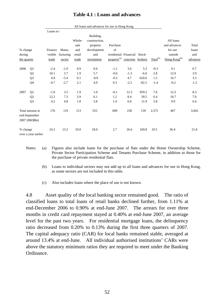# **Table 4.1 : Loans and advances**

|             |                                                   | Loans to: |           |        |                            |                         |          |         |                      |                          |          |
|-------------|---------------------------------------------------|-----------|-----------|--------|----------------------------|-------------------------|----------|---------|----------------------|--------------------------|----------|
|             |                                                   |           |           | Whole- | Building,<br>construction, |                         |          |         |                      | All loans                |          |
|             |                                                   |           |           | sale   | property                   | Purchase                |          |         |                      | and advances             | Total    |
| % change    |                                                   | Finance   | Manu-     | and    | development                | of                      |          |         |                      | for use                  | loans    |
| during      |                                                   | visible   | facturing | retail | and                        | residential Financial   |          | Stock-  |                      | outside                  | and      |
| the quarter |                                                   | trade     | sector    | trade  | investment                 | property <sup>(a)</sup> | concerns | brokers | Total <sup>(b)</sup> | Hong Kong <sup>(c)</sup> | advances |
| 2006        | Q1                                                | $-2.4$    | $-1.9$    | 0.9    | 0.6                        | $-1.1$                  | 3.6      | 5.3     | $-0.3$               | 9.1                      | 0.7      |
|             | Q <sub>2</sub>                                    | 10.1      | 3.7       | 1.9    | 5.7                        | $-0.6$                  | $-1.3$   | $-6.0$  | 2.8                  | 12.0                     | 3.9      |
|             | Q <sub>3</sub>                                    | 4.9       | $-5.4$    | 0.1    | $-0.9$                     | $-0.5$                  | 4.7      | 620.6   | 1.5                  | 16.7                     | 3.3      |
|             | Q4                                                | $-4.7$    | $-2.7$    | 2.1    | 4.0                        | 0.3                     | $-2.5$   | $-82.5$ | $-1.4$               | $-0.2$                   | $-1.2$   |
| 2007        | Q1                                                | $-1.0$    | 3.5       | 1.9    | 1.0                        | $-0.1$                  | 12.5     | 959.5   | 7.6                  | 12.3                     | 8.3      |
|             | Q2                                                | 12.2      | 7.3       | 3.9    | 6.1                        | 1.2                     | 8.4      | 39.5    | 6.4                  | 10.7                     | 7.0      |
|             | Q <sub>3</sub>                                    | 4.2       | 4.8       | 1.8    | 5.8                        | 1.4                     | 6.0      | 11.9    | 5.8                  | 9.9                      | 6.4      |
|             | Total amount at<br>end-September<br>2007 (HK\$Bn) | 176       | 119       | 113    | 555                        | 609                     | 230      | 139     | 2,575                | 467                      | 3,042    |
| % change    | over a year earlier                               | 10.3      | 13.2      | 10.0   | 18.0                       | 2.7                     | 26.6     | 169.8   | 19.5                 | 36.4                     | 21.8     |

- Notes: (a) Figures also include loans for the purchase of flats under the Home Ownership Scheme, Private Sector Participation Scheme and Tenants Purchase Scheme, in addition to those for the purchase of private residential flats.
	- (b) Loans to individual sectors may not add up to all loans and advances for use in Hong Kong, as some sectors are not included in this table.
	- (c) Also includes loans where the place of use is not known.

4.8 Asset quality of the local banking sector remained good. The ratio of classified loans to total loans of retail banks declined further, from 1.11% at end-December 2006 to 0.90% at end-June 2007. The arrears for over three months in credit card repayment stayed at 0.40% at end-June 2007, an average level for the past two years. For residential mortgage loans, the delinquency ratio decreased from 0.20% to 0.13% during the first three quarters of 2007. The capital adequacy ratio (CAR) for local banks remained stable, averaged at around 13.4% at end-June. All individual authorised institutions' CARs were above the statutory minimum ratios they are required to meet under the Banking Ordinance.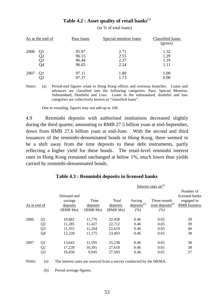# Table 4.2 : Asset quality of retail banks<sup>(a)</sup>

|      | As at the end of                 | Pass loans                       | Special mention loans        | Classified loans<br>(gross)  |
|------|----------------------------------|----------------------------------|------------------------------|------------------------------|
| 2006 | Q <sub>1</sub><br>Q2<br>Q3<br>Q4 | 95.97<br>96.15<br>96.44<br>96.65 | 2.71<br>2.55<br>2.37<br>2.24 | 1.32<br>1.29<br>1.19<br>1.11 |
| 2007 | Q1                               | 97.11<br>97.37                   | 1.89<br>1.73                 | 1.00<br>0.90                 |

(as % of total loans)

Notes: (a) Period-end figures relate to Hong Kong offices and overseas branches. Loans and advances are classified into the following categories: Pass, Special Mention, Substandard, Doubtful and Loss. Loans in the substandard, doubtful and loss categories are collectively known as "classified loans".

Due to rounding, figures may not add up to 100.

4.9 Renminbi deposits with authorised institutions decreased slightly during the third quarter, amounting to RMB 27.5 billion yuan at end-September, down from RMB 27.6 billion yuan at end-June. With the second and third issuances of the renminbi-denominated bonds in Hong Kong, there seemed to be a shift away from the time deposits to these debt instruments, partly reflecting a higher yield for these bonds. The retail-level renminbi interest rates in Hong Kong remained unchanged at below 1%, much lower than yields carried by renminbi-denominated bonds.

#### **Table 4.3 : Renminbi deposits in licensed banks**

|              |                |                                               |                              | Interest rates on <sup>(a)</sup> |                                    |                                                         |                                                                  |  |
|--------------|----------------|-----------------------------------------------|------------------------------|----------------------------------|------------------------------------|---------------------------------------------------------|------------------------------------------------------------------|--|
| As at end of |                | Demand and<br>savings<br>deposits<br>(RMB Mn) | Time<br>deposits<br>(RMB Mn) | Total<br>deposits<br>(RMB Mn)    | Saving<br>$deposits^{(b)}$<br>(% ) | Three-month<br>$time$ deposits <sup>(b)</sup><br>$(\%)$ | Number of<br>licensed banks<br>engaged in<br><b>RMB</b> business |  |
| 2006         | Q <sub>1</sub> | 10,682                                        | 11,776                       | 22,458                           | 0.46                               | 0.65                                                    | 39                                                               |  |
|              | Q2             | 11,285                                        | 11,427                       | 22,712                           | 0.46                               | 0.65                                                    | 39                                                               |  |
|              | Q <sub>3</sub> | 11,355                                        | 11,264                       | 22,619                           | 0.46                               | 0.65                                                    | 40                                                               |  |
|              | Q4             | 12,228                                        | 11,175                       | 23,403                           | 0.46                               | 0.65                                                    | 38                                                               |  |
| 2007         | Q1             | 13,643                                        | 11,595                       | 25,238                           | 0.46                               | 0.65                                                    | 38                                                               |  |
|              | Q2             | 17,228                                        | 10,391                       | 27,618                           | 0.46                               | 0.65                                                    | 38                                                               |  |
|              | Q <sub>3</sub> | 18,458                                        | 9,045                        | 27,503                           | 0.46                               | 0.65                                                    | 37                                                               |  |

Notes: (a) The interest rates are sourced from a survey conducted by the HKMA.

(b) Period average figures.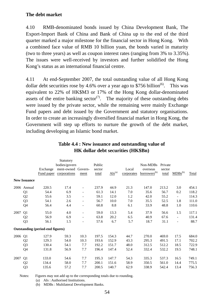# **The debt market**

4.10 RMB-denominated bonds issued by China Development Bank, The Export-Import Bank of China and Bank of China up to the end of the third quarter marked a major milestone for the financial sector in Hong Kong. With a combined face value of RMB 10 billion yuan, the bonds varied in maturity (two to three years) as well as coupon interest rates (ranging from 3% to 3.35%). The issues were well-received by investors and further solidified the Hong Kong's status as an international financial centre.

4.11 At end-September 2007, the total outstanding value of all Hong Kong dollar debt securities rose by 4.6% over a year ago to \$756 billion<sup>(6)</sup>. This was equivalent to 22% of HK\$M3 or 17% of the Hong Kong dollar-denominated assets of the entire banking sector<sup>(7)</sup>. The majority of these outstanding debts were issued by the private sector, while the remaining were mainly Exchange Fund papers and debt issued by the Government and statutory organisations. In order to create an increasingly diversified financial market in Hong Kong, the Government will step up efforts to nurture the growth of the debt market, including developing an Islamic bond market.

|         |                     |                                         | Statutory          |                              |        |                        |            |                          |         |                          |       |
|---------|---------------------|-----------------------------------------|--------------------|------------------------------|--------|------------------------|------------|--------------------------|---------|--------------------------|-------|
|         |                     |                                         | bodies/govern      |                              | Public |                        |            | Non-MDBs                 | Private |                          |       |
|         |                     | Exchange                                | ment-owned Govern- |                              | sector |                        | Local      | overseas                 | sector  |                          |       |
|         |                     | Fund paper                              | corporations       | ment                         | total  | $\overline{AIs}^{(a)}$ | corporates | borrowers <sup>(b)</sup> | total   | $MDBs^{(b)}$             | Total |
|         | <b>New Issuance</b> |                                         |                    |                              |        |                        |            |                          |         |                          |       |
| 2006    | Annual              | 220.5                                   | 17.4               | $\overline{\phantom{a}}$     | 237.9  | 44.9                   | 21.3       | 147.0                    | 213.2   | 3.0                      | 454.1 |
|         | Q1                  | 54.4                                    | 6.9                | $\overline{\phantom{0}}$     | 61.3   | 14.1                   | 7.0        | 35.6                     | 56.7    | 0.2                      | 118.2 |
|         | Q <sub>2</sub>      | 55.6                                    | 3.5                | $\blacksquare$               | 59.1   | 12.0                   | 1.2        | 42.0                     | 55.2    | $\overline{\phantom{0}}$ | 114.3 |
|         | Q <sub>3</sub>      | 54.1                                    | 2.6                | $\overline{\phantom{a}}$     | 56.7   | 10.0                   | 7.0        | 35.5                     | 52.5    | 1.8                      | 111.0 |
|         | Q4                  | 56.4                                    | 4.4                | $\qquad \qquad \blacksquare$ | 60.8   | 8.8                    | 6.1        | 33.9                     | 48.8    | 1.0                      | 110.6 |
| 2007    | Q <sub>1</sub>      | 55.0                                    | 4.0                | $\overline{\phantom{a}}$     | 59.0   | 13.3                   | 5.4        | 37.9                     | 56.6    | 1.5                      | 117.1 |
|         | Q <sub>2</sub>      | 56.9                                    | 6.9                | $\overline{\phantom{a}}$     | 63.8   | 20.2                   | 6.5        | 40.9                     | 67.6    | $\overline{\phantom{a}}$ | 131.4 |
|         | Q <sub>3</sub>      | 56.1                                    | 1.5                | $\qquad \qquad \blacksquare$ | 57.6   | 6.7                    | 5.7        | 18.7                     | 31.1    | $\overline{\phantom{a}}$ | 88.7  |
|         |                     | <b>Outstanding (period-end figures)</b> |                    |                              |        |                        |            |                          |         |                          |       |
| 2006 Q1 |                     | 127.9                                   | 59.3               | 10.3                         | 197.5  | 154.3                  | 44.7       | 270.0                    | 469.0   | 17.5                     | 684.0 |
|         | Q <sub>2</sub>      | 129.3                                   | 54.0               | 10.3                         | 193.6  | 152.9                  | 43.3       | 295.3                    | 491.5   | 17.1                     | 702.2 |
|         | Q <sub>3</sub>      | 130.4                                   | 54.1               | 7.7                          | 192.2  | 151.7                  | 48.0       | 312.5                    | 512.2   | 18.5                     | 722.9 |
|         | Q4                  | 131.8                                   | 56.9               | 7.7                          | 196.4  | 147.4                  | 52.4       | 332.4                    | 532.2   | 19.5                     | 748.1 |
| 2007    | Q1                  | 133.0                                   | 54.6               | 7.7                          | 195.3  | 147.7                  | 54.3       | 335.3                    | 537.3   | 16.5                     | 749.1 |
|         | Q <sub>2</sub>      | 134.4                                   | 58.0               | 7.7                          | 200.1  | 151.6                  | 58.9       | 350.5                    | 561.0   | 14.4                     | 775.5 |
|         | Q <sub>3</sub>      | 135.6                                   | 57.2               | 7.7                          | 200.5  | 140.7                  | 62.9       | 338.9                    | 542.4   | 13.4                     | 756.3 |

# **Table 4.4 : New issuance and outstanding value of HK dollar debt securities (HK\$Bn)**

Notes: Figures may not add up to the corresponding totals due to rounding.

(a) AIs : Authorised Institutions.

(b) MDBs : Multilateral Development Banks.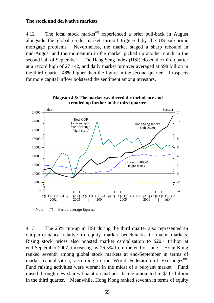#### **The stock and derivative markets**

4.12 The local stock market<sup> $(8)$ </sup> experienced a brief pull-back in August alongside the global credit market turmoil triggered by the US sub-prime mortgage problems. Nevertheless, the market staged a sharp rebound in mid-August and the momentum in the market picked up another notch in the second half of September. The Hang Seng Index (HSI) closed the third quarter at a record high of 27 142, and daily market turnover averaged at \$98 billion in the third quarter, 48% higher than the figure in the second quarter. Prospects for more capital inflow bolstered the sentiment among investors.



**Diagram 4.6: The market weathered the turbulence and trended up further in the third quarter** 

Note: (\*) Period average figures.

4.13 The 25% run-up in HSI during the third quarter also represented an out-performance relative to equity market benchmarks in major markets. Rising stock prices also boosted market capitalisation to \$20.1 trillion at end-September 2007, increasing by 26.5% from the end of June. Hong Kong ranked seventh among global stock markets at end-September in terms of market capitalisation, according to the World Federation of Exchanges<sup> $(9)$ </sup>. Fund raising activities were vibrant in the midst of a buoyant market. Fund raised through new shares floatation and post-listing amounted to \$117 billion in the third quarter. Meanwhile, Hong Kong ranked seventh in terms of equity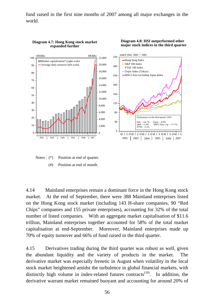fund raised in the first nine months of 2007 among all major exchanges in the world.





#### **Diagram 4.8: HSI outperformed other major stock indices in the third quarter**



(#) Position at end of month.

4.14 Mainland enterprises remain a dominant force in the Hong Kong stock market. At the end of September, there were 388 Mainland enterprises listed on the Hong Kong stock market (including 143 H-share companies, 90 "Red Chips" companies and 155 private enterprises), accounting for 32% of the total number of listed companies. With an aggregate market capitalisation of \$11.6 trillion, Mainland enterprises together accounted for 58% of the total market capitalisation at end-September. Moreover, Mainland enterprises made up 70% of equity turnover and 66% of fund raised in the third quarter.

4.15 Derivatives trading during the third quarter was robust as well, given the abundant liquidity and the variety of products in the market. The derivative market was especially frenetic in August when volatility in the local stock market heightened amidst the turbulence in global financial markets, with distinctly high volume in index-related futures contracts<sup> $(10)$ </sup>. In addition, the derivative warrant market remained buoyant and accounting for around 20% of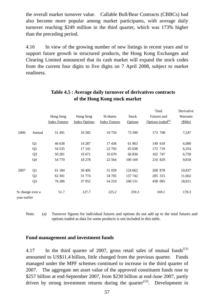the overall market turnover value. Callable Bull/Bear Contracts (CBBCs) had also become more popular among market participants, with average daily turnover reaching \$249 million in the third quarter, which was 173% higher than the preceding period.

4.16 In view of the growing number of new listings in recent years and to support future growth in structured products, the Hong Kong Exchanges and Clearing Limited announced that its cash market will expand the stock codes from the current four digits to five digits on 7 April 2008, subject to market readiness.

|              |                 |                      |                      |                      |              | Total                         | Derivative |
|--------------|-----------------|----------------------|----------------------|----------------------|--------------|-------------------------------|------------|
|              |                 | Hang Seng            | Hang Seng            | H-shares             | <b>Stock</b> | Futures and                   | Warrants   |
|              |                 | <b>Index Futures</b> | <b>Index Options</b> | <b>Index Futures</b> | Options      | Options traded <sup>(a)</sup> | (SMn)      |
| 2006         | Annual          | 51 491               | 16 5 8 2             | 19759                | 73 390       | 173 708                       | 7,247      |
|              | Q1              | 46 638               | 14 287               | 17436                | 61 863       | 149 618                       | 6,080      |
|              | Q2              | 54 5 35              | 17 14 1              | 22 703               | 65 038       | 172 719                       | 6,354      |
|              | Q <sub>3</sub>  | 50 281               | 16 671               | 16 670               | 66 836       | 162 747                       | 6,758      |
|              | Q4              | 54 770               | 18 278               | 22 5 6 4             | 100 169      | 210 829                       | 9,818      |
| 2007         | Q <sub>1</sub>  | 61 184               | 30 4 95              | 31 059               | 124 662      | 268 878                       | 10,837     |
|              | Q2              | 62 301               | 31 774               | 34783                | 137 742      | 285 315                       | 11,662     |
|              | Q <sub>3</sub>  | 76 28 6              | 37952                | 54 210               | 240 131      | 438 005                       | 18,811     |
| vear earlier | % change over a | 51.7                 | 127.7                | 225.2                | 259.3        | 169.1                         | 178.3      |

# **Table 4.5 : Average daily turnover of derivatives contracts of the Hong Kong stock market**

Note: (a) Turnover figures for individual futures and options do not add up to the total futures and options traded as data for some products is not included in this table.

#### **Fund management and investment funds**

4.17 In the third quarter of 2007, gross retail sales of mutual funds<sup> $(11)$ </sup> amounted to US\$11.4 billion, little changed from the previous quarter. Funds managed under the MPF schemes continued to increase in the third quarter of 2007. The aggregate net asset value of the approved constituent funds rose to \$257 billion at end-September 2007, from \$230 billion at end-June 2007, partly driven by strong investment returns during the quarter $(12)$ . Development in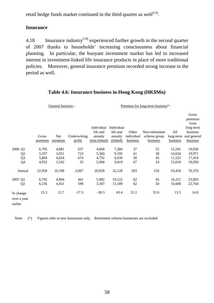retail hedge funds market continued in the third quarter as well<sup> $(13)$ </sup>.

# **Insurance**

4.18 Insurance industry $^{(14)}$  experienced further growth in the second quarter of 2007 thanks to households' increasing consciousness about financial planning. In particular, the buoyant investment market has led to increased interest in investment-linked life insurance products in place of more traditional policies. Moreover, general insurance premium recorded strong increase in the period as well.

|                | General business: |                |                        | Premium for long-term business <sup>*</sup> :     |                                               |                                 |                                            |                              |                                                                                     |  |
|----------------|-------------------|----------------|------------------------|---------------------------------------------------|-----------------------------------------------|---------------------------------|--------------------------------------------|------------------------------|-------------------------------------------------------------------------------------|--|
|                | Gross<br>premium  | Net<br>premium | Underwriting<br>profit | Individual<br>life and<br>annuity<br>(non-linked) | Individual<br>life and<br>annuity<br>(linked) | Other<br>individual<br>business | Non-retirement<br>scheme group<br>business | All<br>long-term<br>business | Gross<br>premium<br>from<br>long-term<br>business<br>and general<br><u>business</u> |  |
| 2006 Q1        | 6,795             | 4,881          | 637                    | 4,868                                             | 7,284                                         | 37                              | 52                                         | 12,241                       | 19,036                                                                              |  |
| Q2             | 5,337             | 3,951          | 723                    | 5,360                                             | 9,195                                         | 41                              | 38                                         | 14,634                       | 19,971                                                                              |  |
| Q <sub>3</sub> | 5,894             | 4,024          | 674                    | 4,792                                             | 6,630                                         | 58                              | 45                                         | 11,525                       | 17,419                                                                              |  |
| Q <sub>4</sub> | 4,932             | 3,342          | 33                     | 5,908                                             | 9,019                                         | 67                              | 24                                         | 15,018                       | 19,950                                                                              |  |
| Annual         | 22,958            | 16,198         | 2,067                  | 20,928                                            | 32,128                                        | 203                             | 159                                        | 53,418                       | 76,376                                                                              |  |
| 2007 Q1        | 6,792             | 4,904          | 441                    | 5,982                                             | 10,122                                        | 62                              | 45                                         | 16,211                       | 23,003                                                                              |  |
| Q <sub>2</sub> | 6,156             | 4,451          | 598                    | 3,307                                             | 13,189                                        | 62                              | 50                                         | 16,608                       | 22,764                                                                              |  |
| % change       | 15.3              | 12.7           | $-17.3$                | $-38.3$                                           | 43.4                                          | 51.2                            | 31.6                                       | 13.5                         | 14.0                                                                                |  |
| over a year    |                   |                |                        |                                                   |                                               |                                 |                                            |                              |                                                                                     |  |
| earlier        |                   |                |                        |                                                   |                                               |                                 |                                            |                              |                                                                                     |  |

# **Table 4.6: Insurance business in Hong Kong (HK\$Mn)**

Note: (\*) Figures refer to new businesses only. Retirement scheme businesses are excluded.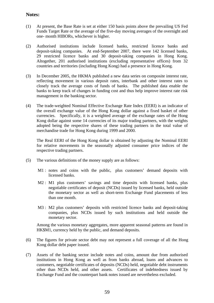#### **Notes:**

- (1) At present, the Base Rate is set at either 150 basis points above the prevailing US Fed Funds Target Rate or the average of the five-day moving averages of the overnight and one- month HIBORs, whichever is higher.
- (2) Authorised institutions include licensed banks, restricted licence banks and deposit-taking companies. At end-September 2007, there were 142 licensed banks, 29 restricted licence banks and 30 deposit-taking companies in Hong Kong. Altogether, 201 authorised institutions (excluding representative offices) from 32 countries and territories (including Hong Kong) had a presence in Hong Kong.
- (3) In December 2005, the HKMA published a new data series on composite interest rate, reflecting movement in various deposit rates, interbank and other interest rates to closely track the average costs of funds of banks. The published data enable the banks to keep track of changes in funding cost and thus help improve interest rate risk management in the banking sector.
- (4) The trade-weighted Nominal Effective Exchange Rate Index (EERI) is an indicator of the overall exchange value of the Hong Kong dollar against a fixed basket of other currencies. Specifically, it is a weighted average of the exchange rates of the Hong Kong dollar against some 14 currencies of its major trading partners, with the weights adopted being the respective shares of these trading partners in the total value of merchandise trade for Hong Kong during 1999 and 2000.

 The Real EERI of the Hong Kong dollar is obtained by adjusting the Nominal EERI for relative movements in the seasonally adjusted consumer price indices of the respective trading partners.

- (5) The various definitions of the money supply are as follows:
	- M1 : notes and coins with the public, plus customers' demand deposits with licensed banks.
	- M2 : M1 plus customers' savings and time deposits with licensed banks, plus negotiable certificates of deposit (NCDs) issued by licensed banks, held outside the monetary sector as well as short-term Exchange Fund placements of less than one month.
	- M3 : M2 plus customers' deposits with restricted licence banks and deposit-taking companies, plus NCDs issued by such institutions and held outside the monetary sector.

 Among the various monetary aggregates, more apparent seasonal patterns are found in HK\$M1, currency held by the public, and demand deposits.

- (6) The figures for private sector debt may not represent a full coverage of all the Hong Kong dollar debt paper issued.
- (7) Assets of the banking sector include notes and coins, amount due from authorised institutions in Hong Kong as well as from banks abroad, loans and advances to customers, negotiable certificates of deposits (NCDs) held, negotiable debt instruments other than NCDs held, and other assets. Certificates of indebtedness issued by Exchange Fund and the counterpart bank notes issued are nevertheless excluded.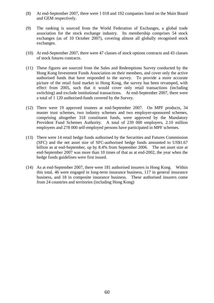- (8) At end-September 2007, there were 1 018 and 192 companies listed on the Main Board and GEM respectively.
- (9) The ranking is sourced from the World Federation of Exchanges, a global trade association for the stock exchange industry. Its membership comprises 54 stock exchanges (as of 10 October 2007), covering almost all globally recognised stock exchanges.
- (10) At end-September 2007, there were 47 classes of stock options contracts and 43 classes of stock futures contracts.
- (11) These figures are sourced from the Sales and Redemptions Survey conducted by the Hong Kong Investment Funds Association on their members, and cover only the active authorised funds that have responded to the survey. To provide a more accurate picture of the retail fund market in Hong Kong, the survey has been revamped, with effect from 2005, such that it would cover only retail transactions (including switching) and exclude institutional transactions. At end-September 2007, there were a total of 1 120 authorised-funds covered by the Survey.
- (12) There were 19 approved trustees at end-September 2007. On MPF products, 34 master trust schemes, two industry schemes and two employer-sponsored schemes, comprising altogether 318 constituent funds, were approved by the Mandatory Provident Fund Schemes Authority. A total of 239 000 employers, 2.10 million employees and 278 000 self-employed persons have participated in MPF schemes.
- (13) There were 14 retail hedge funds authorised by the Securities and Futures Commission (SFC) and the net asset size of SFC-authorised hedge funds amounted to US\$1.67 billion as at end-September, up by 8.4% from September 2006. The net asset size at end-September 2007 was more than 10 times of that as at end-2002, the year when the hedge funds guidelines were first issued.
- (14) As at end-September 2007, there were 181 authorised insurers in Hong Kong. Within this total, 46 were engaged in long-term insurance business, 117 in general insurance business, and 18 in composite insurance business. These authorised insurers come from 24 countries and territories (including Hong Kong)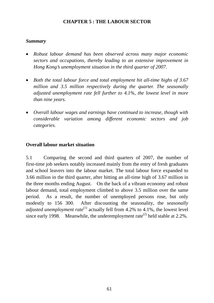# **CHAPTER 5 : THE LABOUR SECTOR**

### *Summary*

- *Robust labour demand has been observed across many major economic sectors and occupations, thereby leading to an extensive improvement in Hong Kong's unemployment situation in the third quarter of 2007.*
- *Both the total labour force and total employment hit all-time highs of 3.67 million and 3.5 million respectively during the quarter. The seasonally adjusted unemployment rate fell further to 4.1%, the lowest level in more than nine years.*
- *Overall labour wages and earnings have continued to increase, though with considerable variation among different economic sectors and job categories.*

## **Overall labour market situation**

5.1 Comparing the second and third quarters of 2007, the number of first-time job seekers notably increased mainly from the entry of fresh graduates and school leavers into the labour market. The total labour force expanded to 3.66 million in the third quarter, after hitting an all-time high of 3.67 million in the three months ending August. On the back of a vibrant economy and robust labour demand, total employment climbed to above 3.5 million over the same period. As a result, the number of unemployed persons rose, but only modestly to 156 300. After discounting the seasonality, the *seasonally adjusted unemployment rate*<sup>(1)</sup> actually fell from 4.2% to 4.1%, the lowest level since early 1998. Meanwhile, the underemployment rate<sup>(2)</sup> held stable at  $2.2\%$ .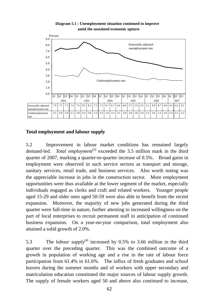

**Diagram 5.1 : Unemployment situation continued to improve amid the sustained economic upturn**

### **Total employment and labour supply**

5.2 Improvement in labour market conditions has remained largely demand-led. *Total employment*<sup>(3)</sup> exceeded the 3.5 million mark in the third quarter of 2007, marking a quarter-to-quarter increase of 0.5%. Broad gains in employment were observed in such service sectors as transport and storage, sanitary services, retail trade, and business services. Also worth noting was the appreciable increase in jobs in the construction sector. More employment opportunities were thus available at the lower segment of the market, especially individuals engaged as clerks and craft and related workers. Younger people aged 15-29 and older ones aged 50-59 were also able to benefit from the recent expansion. Moreover, the majority of new jobs generated during the third quarter were full-time in nature, further attesting to increased willingness on the part of local enterprises to recruit permanent staff in anticipation of continued business expansion. On a year-on-year comparison, total employment also attained a solid growth of 2.0%.

5.3 The *labour supply*<sup>(4)</sup> increased by 0.5% to 3.66 million in the third quarter over the preceding quarter. This was the combined outcome of a growth in population of working age and a rise in the rate of labour force participation from 61.4% to 61.6%. The influx of fresh graduates and school leavers during the summer months and of workers with upper secondary and matriculation education constituted the major sources of labour supply growth. The supply of female workers aged 50 and above also continued to increase,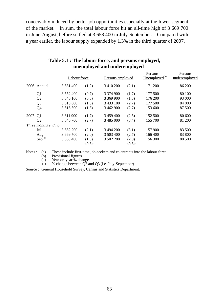conceivably induced by better job opportunities especially at the lower segment of the market. In sum, the total labour force hit an all-time high of 3 669 700 in June-August, before settled at 3 658 400 in July-September. Compared with a year earlier, the labour supply expanded by 1.3% in the third quarter of 2007.

|      |                     | Labour force  |       | Persons employed |       | Persons<br>Unemployed <sup>(a)</sup> | Persons<br>underemployed |
|------|---------------------|---------------|-------|------------------|-------|--------------------------------------|--------------------------|
|      | 2006 Annual         | 3 5 8 1 4 0 0 | (1.2) | 3 410 200        | (2.1) | 171 200                              | 86 200                   |
|      | Q1                  | 3 552 400     | (0.7) | 3 374 900        | (1.7) | 177 500                              | 80 100                   |
|      | Q <sub>2</sub>      | 3 546 100     | (0.5) | 3 369 900        | (1.3) | 176 200                              | 93 000                   |
|      | Q <sub>3</sub>      | 3 610 600     | (1.8) | 3 433 100        | (2.7) | 177 500                              | 84 000                   |
|      | Q <sub>4</sub>      | 3 616 500     | (1.8) | 3 462 900        | (2.7) | 153 600                              | 87 500                   |
| 2007 | Q <sub>1</sub>      | 3 611 900     | (1.7) | 3 459 400        | (2.5) | 152 500                              | 80 600                   |
|      | Q2                  | 3 640 700     | (2.7) | 3 485 000        | (3.4) | 155 700                              | 81 200                   |
|      | Three months ending |               |       |                  |       |                                      |                          |
|      | Jul                 | 3 652 200     | (2.1) | 3 494 200        | (3.1) | 157 900                              | 83 500                   |
|      | Aug                 | 3 669 700     | (2.0) | 3 503 400        | (2.7) | 166 400                              | 83 800                   |
|      | $Sep^{(b)}$         | 3 658 400     | (1.3) | 3 502 200        | (2.0) | 156 300                              | 80 500                   |
|      |                     |               | <0.5> |                  | <0.5> |                                      |                          |

# **Table 5.1 : The labour force, and persons employed, unemployed and underemployed**

Notes : (a) These include first-time job-seekers and re-entrants into the labour force.<br>(b) Provisional figures.

(b) Provisional figures.<br>  $($  ) Year-on-year % channel

 $\overrightarrow{ }$   $\rightarrow$  Year-on-year % change.<br>  $\left\langle >\right\rangle$  % change between O2 as

% change between  $\overline{Q2}$  and  $\overline{Q3}$  (i.e. July-September).

Source : General Household Survey, Census and Statistics Department.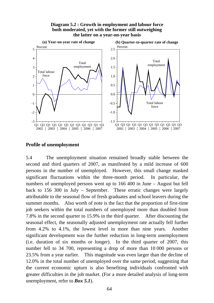

#### **Profile of unemployment**

5.4 The unemployment situation remained broadly stable between the second and third quarters of 2007, as manifested by a mild increase of 600 persons in the number of unemployed. However, this small change masked significant fluctuations within the three-month period. In particular, the numbers of unemployed persons went up to 166 400 in June – August but fell back to 156 300 in July – September. These erratic changes were largely attributable to the seasonal flow of fresh graduates and school leavers during the summer months. Also worth of note is the fact that the proportion of first-time job seekers within the total numbers of unemployed more than doubled from 7.8% in the second quarter to 15.9% in the third quarter. After discounting the seasonal effect, the seasonally adjusted unemployment rate actually fell further from 4.2% to 4.1%, the lowest level in more than nine years. Another significant development was the further reduction in long-term unemployment (i.e. duration of six months or longer). In the third quarter of 2007, this number fell to 34 700, representing a drop of more than 10 000 persons or 23.5% from a year earlier. This magnitude was even larger than the decline of 12.0% in the total number of unemployed over the same period, suggesting that the current economic upturn is also benefiting individuals confronted with greater difficulties in the job market. (For a more detailed analysis of long-term unemployment, refer to *Box 5.1*).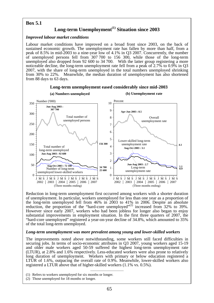#### **Box 5.1**

# **Long-term Unemployment(1) Situation since 2003**

#### *Improved labour market conditions*

Labour market conditions have improved on a broad front since 2003, on the back of sustained economic growth. The unemployment rate has fallen by more than half, from a peak of 8.5% in mid-2003 to a nine-year low of 4.1% in Q3 2007. Concurrently, the number of unemployed persons fell from 307 700 to 156 300, while those of the long-term unemployed also dropped from 92 600 to 34 700. With the latter group registering a more noticeable decline, the long-term unemployment rate fell from a peak of 2.7% to 0.9% in Q3 2007, with the share of long-term unemployed in the total numbers unemployed shrinking from 30% to 22%. Meanwhile, the median duration of unemployment has also shortened from 88 days to 63 days.



Reduction in long-term unemployment first occurred among workers with a shorter duration of unemployment. In particular, workers unemployed for less than one year as a proportion of the long-term unemployed fell from 46% in 2003 to 41% in 2006. Despite an absolute reduction, the proportion of the "hard-core unemployed"<sup>(2)</sup> increased from  $32\%$  to  $39\%$ . However since early 2007, workers who had been jobless for longer also began to enjoy substantial improvements in employment situation. In the first three quarters of 2007, the "hard-core unemployed" registered a year-on-year decline of 34.8%, which amounted to 35% of the total long-term unemployed.

# *Long-term unemployment was more prevalent among young and lower-skilled workers*

The improvements noted above notwithstanding, some workers still faced difficulties in securing jobs. In terms of socio-economic attributes in Q3 2007, young workers aged 15-19 and older male workers aged 50-59 suffered the highest long-term unemployment rate (LTUR), at 2.8% and 1.6% respectively. Less-educated workers were also prone to relatively long duration of unemployment. Workers with primary or below education registered a LTUR of 1.6%, outpacing the overall rate of 0.9%. Meanwhile, lower-skilled workers also registered a LTUR above that of higher-skilled workers (1.1% vs. 0.5%).

 $\frac{1}{2}$  ,  $\frac{1}{2}$  ,  $\frac{1}{2}$  ,  $\frac{1}{2}$  ,  $\frac{1}{2}$  ,  $\frac{1}{2}$  ,  $\frac{1}{2}$  ,  $\frac{1}{2}$  ,  $\frac{1}{2}$  ,  $\frac{1}{2}$  ,  $\frac{1}{2}$  ,  $\frac{1}{2}$  ,  $\frac{1}{2}$  ,  $\frac{1}{2}$  ,  $\frac{1}{2}$  ,  $\frac{1}{2}$  ,  $\frac{1}{2}$  ,  $\frac{1}{2}$  ,  $\frac{1$ 

(1) Refers to workers unemployed for six months or longer.

<sup>(2)</sup> Those unemployed for 18 months or longer.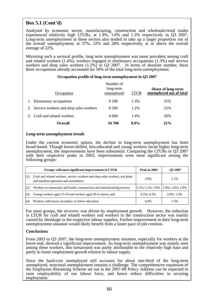### **Box 5.1 (Cont'd)**

Analysed by economic sector, manufacturing, construction and wholesale/retail trades experienced relatively high LTURs, at 1.9%, 1.6% and 1.3% respectively in Q3 2007. Long-term unemployment in these sectors also tended to take up a larger proportion out of the overall unemployment, at 37%, 22% and 28% respectively, at or above the overall average of 22%.

Mirroring such a sectoral profile, long term unemployment was more prevalent among craft and related workers (1.4%), workers engaged in elementary occupations (1.3%) and service workers and shop sales workers  $(1.2\%)$  in Q3 2007. In terms of absolute number, these three occupations already accounted for 56% of the total long-term unemployment.

#### **Occupation profile of long-term unemployment in Q3 2007**

|    | Occupation                                | Number of<br>long-term<br>unemployed | <b>LTUR</b> | <b>Share of long-term</b><br>unemployed out of total |
|----|-------------------------------------------|--------------------------------------|-------------|------------------------------------------------------|
| 1. | Elementary occupations                    | 9 100                                | 1.3%        | 31%                                                  |
|    | 2. Service workers and shop sales workers | 6 500                                | 1.2%        | 22%                                                  |
|    | 3. Craft and related workers              | 4 0 0 0                              | 1.4%        | 20%                                                  |
|    | Overall                                   | 34 700                               | $0.9\%$     | 22%                                                  |

#### *Long-term unemployment trends*

Under the current economic upturn, the decline in long-term unemployment has been broad-based. Though lower-skilled, less-educated and young workers faced higher long-term unemployment, the improvements have been substantial. Comparing the LTURs in Q3 2007 with their respective peaks in 2003, improvements were most significant among the following groups:

|     | Groups with most significant improvement in LTUR                                                                      | <b>Peak in 2003</b>    | <b>O3 2007</b>       |
|-----|-----------------------------------------------------------------------------------------------------------------------|------------------------|----------------------|
| (1) | Craft and related workers, service workers and shop sales workers, and plant<br>and machine operators and assemblers; | 3.9%                   | 1.1%                 |
| (2) | Workers in restaurants and hotels, construction and manufacturing sectors;                                            | $5.1\%$ ; 5.1\%; 3.9\% | $1.0\%$ ; 1.6%; 1.9% |
| (3) | Young workers aged 15-19 and workers aged 50 or above; and                                                            | $8.5\%$ ; 4.3%         | $2.8\%$ ; 1.4%       |
| (4) | Workers with lower secondary or below education.                                                                      | 4.4%                   | 1.5%                 |

For most groups, the recovery was driven by employment growth. However, the reduction in LTUR for craft and related workers and workers in the construction sector was mainly caused by shrinkage in the respective labour supplies. Further improvement in their long-term unemployment situation would likely benefit from a faster pace of job creation.

#### *Conclusions*

From 2003 to Q3 2007, the long-term unemployment situation, especially for workers at the lower-end, showed a significant improvement. As long-term unemployment was mainly seen among these workers, this turnaround was partly attributable to the relatively high base and partly to faster employment growth relative to labour supply.

Since the hard-core unemployed still accounts for about one-third of the long-term unemployed, structural unemployment remains a challenge. The comprehensive expansion of the Employees Retraining Scheme set out in the 2007-08 Policy Address can be expected to raise employability of our labour force, and hence reduce difficulties in securing employment.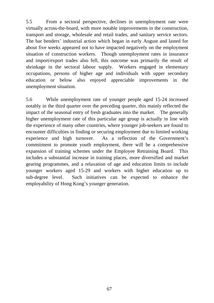5.5 From a sectoral perspective, declines in unemployment rate were virtually across-the-board, with more notable improvements in the construction, transport and storage, wholesale and retail trades, and sanitary service sectors. The bar benders' industrial action which began in early August and lasted for about five weeks appeared not to have impacted negatively on the employment situation of construction workers. Though unemployment rates in insurance and import/export trades also fell, this outcome was primarily the result of shrinkage in the sectoral labour supply. Workers engaged in elementary occupations, persons of higher age and individuals with upper secondary education or below also enjoyed appreciable improvements in the unemployment situation.

5.6 While unemployment rate of younger people aged 15-24 increased notably in the third quarter over the preceding quarter, this mainly reflected the impact of the seasonal entry of fresh graduates into the market. The generally higher unemployment rate of this particular age group is actually in line with the experience of many other countries, where younger job-seekers are found to encounter difficulties in finding or securing employment due to limited working experience and high turnover. As a reflection of the Government's commitment to promote youth employment, there will be a comprehensive expansion of training schemes under the Employee Retraining Board. This includes a substantial increase in training places, more diversified and market gearing programmes, and a relaxation of age and education limits to include younger workers aged 15-29 and workers with higher education up to sub-degree level. Such initiatives can be expected to enhance the employability of Hong Kong's younger generation.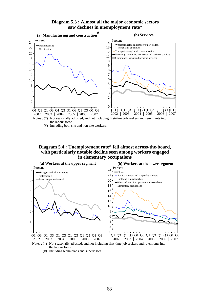



**Diagram 5.4 : Unemployment rate\* fell almost across-the-board, with particularly notable decline seen among workers engaged in elementary occupations**



Notes : (\*) Not seasonally adjusted, and not including first-time job seekers and re-entrants into the labour force.

(#) Including technicians and supervisors.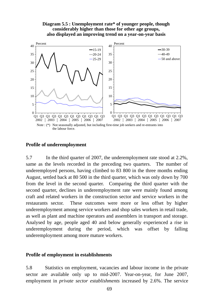

**Diagram 5.5 : Unemployment rate\* of younger people, though** 

#### **Profile of underemployment**

5.7 In the third quarter of 2007, the underemployment rate stood at 2.2%, same as the levels recorded in the preceding two quarters. The number of underemployed persons, having climbed to 83 800 in the three months ending August, settled back at 80 500 in the third quarter, which was only down by 700 from the level in the second quarter. Comparing the third quarter with the second quarter, declines in underemployment rate were mainly found among craft and related workers in the construction sector and service workers in the restaurants sector. These outcomes were more or less offset by higher underemployment among service workers and shop sales workers in retail trade, as well as plant and machine operators and assemblers in transport and storage. Analysed by age, people aged 40 and below generally experienced a rise in underemployment during the period, which was offset by falling underemployment among more mature workers.

#### **Profile of employment in establishments**

5.8 Statistics on employment, vacancies and labour income in the private sector are available only up to mid-2007. Year-on-year, for June 2007, employment in *private sector establishments* increased by 2.6%. The service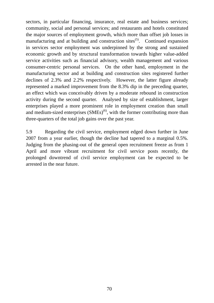sectors, in particular financing, insurance, real estate and business services; community, social and personal services; and restaurants and hotels constituted the major sources of employment growth, which more than offset job losses in manufacturing and at building and construction sites<sup> $(5)$ </sup>. Continued expansion in services sector employment was underpinned by the strong and sustained economic growth and by structural transformation towards higher value-added service activities such as financial advisory, wealth management and various consumer-centric personal services. On the other hand, employment in the manufacturing sector and at building and construction sites registered further declines of 2.3% and 2.2% respectively. However, the latter figure already represented a marked improvement from the 8.3% dip in the preceding quarter, an effect which was conceivably driven by a moderate rebound in construction activity during the second quarter. Analysed by size of establishment, larger enterprises played a more prominent role in employment creation than small and medium-sized enterprises  $(SMEs)^{(6)}$ , with the former contributing more than three-quarters of the total job gains over the past year.

5.9 Regarding the civil service, employment edged down further in June 2007 from a year earlier, though the decline had tapered to a marginal 0.5%. Judging from the phasing-out of the general open recruitment freeze as from 1 April and more vibrant recruitment for civil service posts recently, the prolonged downtrend of civil service employment can be expected to be arrested in the near future.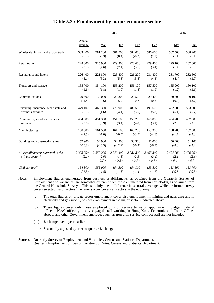#### **Table 5.2 : Employment by major economic sector**

|                                                                     |                    |                             | 2006                        |                             |                             |                             | 2007                        |
|---------------------------------------------------------------------|--------------------|-----------------------------|-----------------------------|-----------------------------|-----------------------------|-----------------------------|-----------------------------|
|                                                                     | Annual<br>average  | Mar                         | Jun                         | <b>Sep</b>                  | Dec                         | Mar                         | Jun                         |
| Wholesale, import and export trades                                 | 583 400            | 581 200                     | 581 700                     | 584 000                     | 586 600                     | 587 500                     | 588 200                     |
|                                                                     | (0.3)              | $(-0.3)$                    | (0.4)                       | $(-0.2)$                    | (1.2)                       | (1.1)                       | (1.1)                       |
| Retail trade                                                        | 228 300            | 225 900                     | 229 300                     | 228 600                     | 229 400                     | 229 100                     | 232 600                     |
|                                                                     | (3.3)              | (4.6)                       | (2.1)                       | (3.1)                       | (3.4)                       | (1.4)                       | (1.5)                       |
| Restaurants and hotels                                              | 226 400            | 221 800                     | 225 800                     | 226 200                     | 231 800                     | 231 700                     | 232 500                     |
|                                                                     | (5.1)              | (5.3)                       | (5.3)                       | (5.5)                       | (4.3)                       | (4.4)                       | (3.0)                       |
| Transport and storage                                               | 155 700            | 154 100                     | 155 200                     | 156 100                     | 157 500                     | 155 900                     | 160 100                     |
|                                                                     | (1.6)              | (1.8)                       | (1.0)                       | (1.8)                       | (1.9)                       | (1.2)                       | (3.1)                       |
| Communications                                                      | 29 600             | 30 000                      | 29 300                      | 29 500                      | 29 400                      | 30 300                      | 30 100                      |
|                                                                     | $(-1.4)$           | (0.6)                       | $(-5.9)$                    | $(-0.7)$                    | (0.8)                       | (0.8)                       | (2.7)                       |
| Financing, insurance, real estate and                               | 479 100            | 468 300                     | 475 900                     | 480 500                     | 491 600                     | 492 000                     | 503 200                     |
| business services                                                   | (5.0)              | (4.6)                       | (4.1)                       | (5.5)                       | (5.8)                       | (5.1)                       | (5.7)                       |
| Community, social and personal                                      | 454 800            | 451 300                     | 451 700                     | 455 200                     | 460 800                     | 464 200                     | 467 900                     |
| services                                                            | (3.6)              | (3.9)                       | (3.4)                       | (4.0)                       | (3.1)                       | (2.9)                       | (3.6)                       |
| Manufacturing                                                       | 160 500            | 161 500                     | 161 100                     | 160 200                     | 159 300                     | 158 700                     | 157 300                     |
|                                                                     | $(-2.5)$           | $(-1.0)$                    | $(-0.5)$                    | $(-3.7)$                    | $(-4.8)$                    | $(-1.7)$                    | $(-2.3)$                    |
| Building and construction sites                                     | 52 900             | 54 900                      | 52 300                      | 53 300                      | 51 000                      | 50 400                      | 51 100                      |
|                                                                     | $(-10.8)$          | $(-16.5)$                   | $(-12.9)$                   | $(-6.3)$                    | $(-6.3)$                    | $(-8.3)$                    | $(-2.2)$                    |
| All establishments surveyed in the<br>private sector <sup>(a)</sup> | 2 378 700<br>(2.1) | 2 357 200<br>(2.0)<br><0.7> | 2 370 400<br>(1.8)<br><0.3> | 2 381 800<br>(2.3)<br><0.7> | 2 405 300<br>(2.4)<br><0.7> | 2 407 800<br>(2.1)<br><0.4> | 2 430 900<br>(2.6)<br><0.7> |
| Civil service <sup>(b)</sup>                                        | 154 300            | 155 000                     | 154 500                     | 154 100                     | 153 800                     | 153 800                     | 153 700                     |
|                                                                     | $(-1.3)$           | $(-1.5)$                    | $(-1.5)$                    | $(-1.4)$                    | $(-1.1)$                    | $(-0.8)$                    | $(-0.5)$                    |

Notes : Employment figures enumerated from business establishments, as obtained from the Quarterly Survey of Employment and Vacancies, are somewhat different from those enumerated from households, as obtained from the General Household Survey. This is mainly due to difference in sectoral coverage: while the former survey covers selected major sectors, the latter survey covers all sectors in the economy.

- (a) The total figures on private sector employment cover also employment in mining and quarrying and in electricity and gas supply, besides employment in the major sectors indicated above.
- (b) These figures cover only those employed on civil service terms of appointment. Judges, judicial officers, ICAC officers, locally engaged staff working in Hong Kong Economic and Trade Offices abroad, and other Government employees such as non-civil service contract staff are not included.
- ( ) % change over a year earlier.
- < > Seasonally adjusted quarter-to-quarter % change.
- Sources : Quarterly Survey of Employment and Vacancies, Census and Statistics Department. Quarterly Employment Survey of Construction Sites, Census and Statistics Department.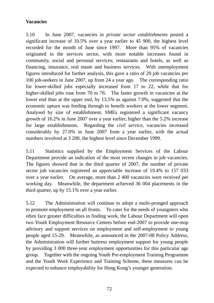## **Vacancies**

5.10 In June 2007, vacancies in *private sector establishments* posted a significant increase of 10.5% over a year earlier to 45 900, the highest level recorded for the month of June since 1997. More than 95% of vacancies originated in the services sector, with more notable increases found in community, social and personal services; restaurants and hotels, as well as financing, insurance, real estate and business services. With unemployment figures introduced for further analysis, this gave a ratio of 29 job vacancies per 100 job-seekers in June 2007, up from 24 a year ago. The corresponding ratio for lower-skilled jobs especially increased from 17 to 22, while that for higher-skilled jobs rose from 70 to 76. The faster growth in vacancies at the lower end than at the upper end, by 13.5% as against 7.0%, suggested that the economic upturn was feeding through to benefit workers at the lower segment. Analysed by size of establishment, SMEs registered a significant vacancy growth of 16.2% in June 2007 over a year earlier, higher than the 5.2% increase for large establishments. Regarding the *civil service,* vacancies increased considerably by 27.0% in June 2007 from a year earlier, with the actual numbers involved at 3 200, the highest level since December 1999.

5.11 Statistics supplied by the Employment Services of the Labour Department provide an indication of the most recent changes in job vacancies. The figures showed that in the third quarter of 2007, the number of private sector job vacancies registered an appreciable increase of 19.4% to 157 033 over a year earlier. On average, more than 2 400 vacancies were received per working day. Meanwhile, the department achieved 36 004 placements in the third quarter, up by 15.1% over a year earlier.

5.12 The Administration will continue to adopt a multi-pronged approach to promote employment on all fronts. To cater for the needs of youngsters who often face greater difficulties in finding work, the Labour Department will open two Youth Employment Resource Centres before end-2007 to provide one-stop advisory and support services on employment and self-employment to young people aged 15-29. Meanwhile, as announced in the 2007-08 Policy Address, the Administration will further buttress employment support for young people by providing 3 000 three-year employment opportunities for this particular age group. Together with the ongoing Youth Pre-employment Training Programme and the Youth Work Experience and Training Scheme, these measures can be expected to enhance employability for Hong Kong's younger generation.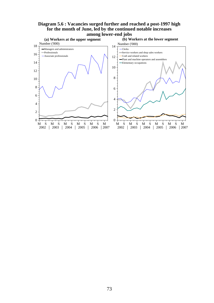

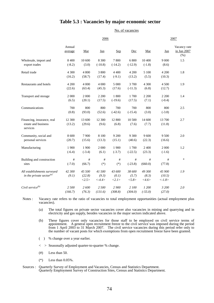#### **Table 5.3 : Vacancies by major economic sector**

No. of vacancies

|                                                               |                   | 2006                      |                              |                          |                           |                          | 2007                                       |                                     |  |
|---------------------------------------------------------------|-------------------|---------------------------|------------------------------|--------------------------|---------------------------|--------------------------|--------------------------------------------|-------------------------------------|--|
|                                                               | Annual<br>average | Mar                       | Jun                          | <u>Sep</u>               | Dec                       | Mar                      | $Jun$                                      | Vacancy rate<br>in Jun 2007<br>(% ) |  |
| Wholesale, import and<br>export trades                        | 8 400<br>$(-8.2)$ | 10 600<br>(3.0)           | 8 3 0 0<br>$(-10.8)$         | 7800<br>$(-14.2)$        | 6 800<br>$(-12.9)$        | 10 400<br>$(-1.8)$       | 9 0 0 0<br>(8.6)                           | 1.5                                 |  |
| Retail trade                                                  | 4 3 0 0<br>(16.2) | 4 800<br>(58.7)           | 3 800<br>(17.4)              | 4 4 0 0<br>$(-9.1)$      | 4 200<br>(13.2)           | 5 100<br>(5.5)           | 4 200<br>(10.3)                            | 1.8                                 |  |
| Restaurants and hotels                                        | 4 200<br>(22.6)   | 4 0 0 0<br>(63.4)         | 4 0 0 0<br>(45.3)            | 5 000<br>(17.6)          | 3700<br>$(-11.3)$         | 4 300<br>(6.8)           | 4 500<br>(12.7)                            | 1.9                                 |  |
| Transport and storage                                         | 2 000<br>(6.5)    | 2 000<br>(20.1)           | 2 200<br>(17.5)              | 1800<br>$(-19.6)$        | 1700<br>(17.5)            | 2 200<br>(7.1)           | 2 2 0 0<br>$(-0.4)$                        | 1.4                                 |  |
| Communications                                                | 700<br>(0.8)      | 800<br>(93.0)             | 800<br>(52.6)                | 700<br>$(-42.6)$         | 700<br>$(-15.4)$          | 800<br>(3.0)             | 800<br>$(-3.8)$                            | 2.5                                 |  |
| Financing, insurance, real<br>estate and business<br>services | 12 300<br>(13.2)  | 13 600<br>(29.6)          | 12 300<br>(9.6)              | 12 800<br>(6.8)          | 10 500<br>(7.6)           | 14 600<br>(7.7)          | 13 700<br>(11.8)                           | 2.7                                 |  |
| Community, social and<br>personal services                    | 8 600<br>(20.7)   | 7 9 0 0<br>(15.6)         | 8 100<br>(13.3)              | 9 200<br>(15.1)          | 9 3 0 0<br>(40.6)         | 9 600<br>(22.3)          | 9 500<br>(16.6)                            | 2.0                                 |  |
| Manufacturing                                                 | 1 900<br>$(-6.4)$ | 1 900<br>$(-3.4)$         | 2 000<br>(6.1)               | 1 900<br>$(-3.7)$        | 1700<br>$(-22.5)$         | 2 400<br>(23.3)          | 2 000<br>$(-1.6)$                          | 1.2                                 |  |
| Building and construction<br>sites                            | #<br>$(-7.0)$     | #<br>(66.7)               | $\#$<br>$(*)$                | #<br>$(*)$               | #<br>$(-23.8)$            | #<br>(660.0)             | $\#$<br>(77.8)                             | $\ast$                              |  |
| All establishments surveyed<br>in the private sector $^{(a)}$ | 42 300<br>(9.1)   | 45 500<br>(22.8)<br><2.5> | 41 500<br>(9.3)<br>$< -4.4>$ | 43 600<br>(0.1)<br><2.1> | 38 600<br>(5.7)<br>< 5.8> | 49 300<br>(8.3)<br><4.6> | 45 900<br>(10.5)<br>$\langle -1.8 \rangle$ | 1.9                                 |  |
| Civil service <sup>(b)</sup>                                  | 2 500<br>(166.7)  | 2 600<br>(76.3)           | 2 500<br>(131.6)             | 2 900<br>(308.8)         | 2 100<br>(304.0)          | 1 200<br>$(-55.0)$       | 3 200<br>(27.0)                            | 2.0                                 |  |

Notes : Vacancy rate refers to the ratio of vacancies to total employment opportunities (actual employment plus vacancies).

(a) The total figures on private sector vacancies cover also vacancies in mining and quarrying and in electricity and gas supply, besides vacancies in the major sectors indicated above.

(b) These figures cover only vacancies for those staff to be employed on civil service terms of appointment. A general open recruitment freeze to the civil service was imposed during the period from 1 April 2003 to 31 March 2007. The civil service vacancies during this period refer only to the number of vacant posts for which exemptions from open recruitment freeze have been granted.

( ) % change over a year earlier.

< > Seasonally adjusted quarter-to-quarter % change.

 $(\#)$  Less than 50.

- $(*)$  Less than  $0.05\%$ .
- Sources : Quarterly Survey of Employment and Vacancies, Census and Statistics Department. Quarterly Employment Survey of Construction Sites, Census and Statistics Department.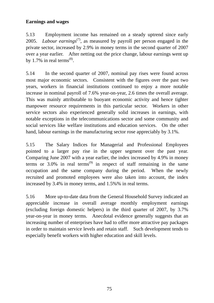## **Earnings and wages**

5.13 Employment income has remained on a steady uptrend since early 2005. *Labour earnings*<sup>(7)</sup>, as measured by payroll per person engaged in the private sector, increased by 2.9% in money terms in the second quarter of 2007 over a year earlier. After netting out the price change, labour earnings went up by 1.7% in real terms<sup> $(8)$ </sup>.

5.14 In the second quarter of 2007, nominal pay rises were found across most major economic sectors. Consistent with the figures over the past two years, workers in financial institutions continued to enjoy a more notable increase in nominal payroll of 7.6% year-on-year, 2.6 times the overall average. This was mainly attributable to buoyant economic activity and hence tighter manpower resource requirements in this particular sector. Workers in other service sectors also experienced generally solid increases in earnings, with notable exceptions in the telecommunications sector and some community and social services like welfare institutions and education services. On the other hand, labour earnings in the manufacturing sector rose appreciably by 3.1%.

5.15 The Salary Indices for Managerial and Professional Employees pointed to a larger pay rise in the upper segment over the past year. Comparing June 2007 with a year earlier, the index increased by 4.9% in money terms or 3.0% in real terms<sup>(9)</sup> in respect of staff remaining in the same occupation and the same company during the period. When the newly recruited and promoted employees were also taken into account, the index increased by 3.4% in money terms, and 1.5%% in real terms.

5.16 More up-to-date data from the General Household Survey indicated an appreciable increase in overall average monthly employment earnings (excluding foreign domestic helpers) in the third quarter of 2007, by 3.7% year-on-year in money terms. Anecdotal evidence generally suggests that an increasing number of enterprises have had to offer more attractive pay packages in order to maintain service levels and retain staff. Such development tends to especially benefit workers with higher education and skill levels.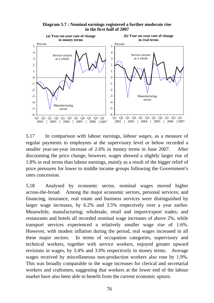**Diagram 5.7 : Nominal earnings registered a further moderate rise in the first half of 2007**



5.17 In comparison with labour earnings, *labour wages*, as a measure of regular payments to employees at the supervisory level or below recorded a smaller year-on-year increase of 2.6% in money terms in June 2007. After discounting the price change, however, wages showed a slightly larger rise of 1.8% in real terms than labour earnings, mainly as a result of the bigger relief of price pressures for lower to middle income groups following the Government's rates concession.

5.18 Analysed by economic sector, nominal wages moved higher across-the-broad. Among the major economic sectors, personal services; and financing, insurance, real estate and business services were distinguished by larger wage increases, by 6.2% and 3.5% respectively over a year earlier. Meanwhile, manufacturing; wholesale, retail and import/export trades; and restaurants and hotels all recorded nominal wage increases of above 2%, while transport services experienced a relatively smaller wage rise of 1.6%. However, with modest inflation during the period, real wages increased in all these major sectors. In terms of occupation categories, supervisory and technical workers, together with service workers, enjoyed greater upward revisions in wages, by 3.4% and 3.0% respectively in money terms. Average wages received by miscellaneous non-production workers also rose by 1.9%. This was broadly comparable to the wage increases for clerical and secretarial workers and craftsmen, suggesting that workers at the lower end of the labour market have also been able to benefit from the current economic upturn.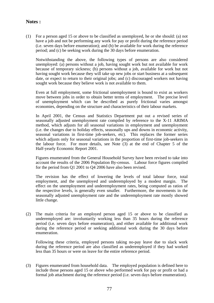#### **Notes :**

(1) For a person aged 15 or above to be classified as unemployed, he or she should: (a) not have a job and not be performing any work for pay or profit during the reference period (i.e. seven days before enumeration); and (b) be available for work during the reference period; and (c) be seeking work during the 30 days before enumeration.

 Notwithstanding the above, the following types of persons are also considered unemployed: (a) persons without a job, having sought work but not available for work because of temporary sickness; (b) persons without a job, available for work but not having sought work because they will take up new jobs or start business at a subsequent date, or expect to return to their original jobs; and (c) discouraged workers not having sought work because they believe work is not available to them.

 Even at full employment, some frictional unemployment is bound to exist as workers move between jobs in order to obtain better terms of employment. The precise level of unemployment which can be described as purely frictional varies amongst economies, depending on the structure and characteristics of their labour markets.

 In April 2001, the Census and Statistics Department put out a revised series of seasonally adjusted unemployment rate compiled by reference to the X-11 ARIMA method, which adjusts for all seasonal variations in employment and unemployment (i.e. the changes due to holiday effects, seasonally ups and downs in economic activity, seasonal variations in first-time job-seekers, etc). This replaces the former series which adjusts only for seasonal variations in the proportion of first-time job-seekers in the labour force. For more details, see Note (3) at the end of Chapter 5 of the Half-yearly Economic Report 2001.

 Figures enumerated from the General Household Survey have been revised to take into account the results of the 2006 Population By-census. Labour force figures compiled for the period from Q1 2001 to Q4 2006 have also been revised.

 The revision has the effect of lowering the levels of total labour force, total employment, and the unemployed and underemployed by a modest margin. The effect on the unemployment and underemployment rates, being computed as ratios of the respective levels, is generally even smaller. Furthermore, the movements in the seasonally adjusted unemployment rate and the underemployment rate mostly showed little change.

(2) The main criteria for an employed person aged 15 or above to be classified as underemployed are: involuntarily working less than 35 hours during the reference period (i.e. seven days before enumeration), and either available for additional work during the reference period or seeking additional work during the 30 days before enumeration.

 Following these criteria, employed persons taking no-pay leave due to slack work during the reference period are also classified as underemployed if they had worked less than 35 hours or were on leave for the entire reference period.

(3) Figures enumerated from household data. The employed population is defined here to include those persons aged 15 or above who performed work for pay or profit or had a formal job attachment during the reference period (i.e. seven days before enumeration).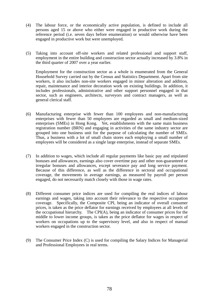- (4) The labour force, or the economically active population, is defined to include all persons aged 15 or above who either were engaged in productive work during the reference period (i.e. seven days before enumeration) or would otherwise have been engaged in productive work but were unemployed.
- (5) Taking into account off-site workers and related professional and support staff, employment in the entire building and construction sector actually increased by 3.8% in the third quarter of 2007 over a year earlier.

 Employment for the construction sector as a whole is enumerated from the General Household Survey carried out by the Census and Statistics Department. Apart from site workers, it also includes non-site workers engaged in minor alteration and addition, repair, maintenance and interior decoration work on existing buildings. In addition, it includes professionals, administrative and other support personnel engaged in that sector, such as engineers, architects, surveyors and contract managers, as well as general clerical staff.

- (6) Manufacturing enterprise with fewer than 100 employees and non-manufacturing enterprises with fewer than 50 employees are regarded as small and medium-sized enterprises (SMEs) in Hong Kong. Yet, establishments with the same main business registration number (BRN) and engaging in activities of the same industry sector are grouped into one business unit for the purpose of calculating the number of SMEs. Thus, a business with a lot of small chain stores each employing a small number of employees will be considered as a single large enterprise, instead of separate SMEs.
- (7) In addition to wages, which include all regular payments like basic pay and stipulated bonuses and allowances, earnings also cover overtime pay and other non-guaranteed or irregular bonuses and allowances, except severance pay and long service payment. Because of this difference, as well as the difference in sectoral and occupational coverage, the movements in average earnings, as measured by payroll per person engaged, do not necessarily match closely with those in wage rates.
- (8) Different consumer price indices are used for compiling the real indices of labour earnings and wages, taking into account their relevance to the respective occupation coverage. Specifically, the Composite CPI, being an indicator of overall consumer prices, is taken as the price deflator for earnings received by employees at all levels of the occupational hierarchy. The CPI(A), being an indicator of consumer prices for the middle to lower income groups, is taken as the price deflator for wages in respect of workers on occupations up to the supervisory level, and also in respect of manual workers engaged in the construction sector.
- (9) The Consumer Price Index (C) is used for compiling the Salary Indices for Managerial and Professional Employees in real terms.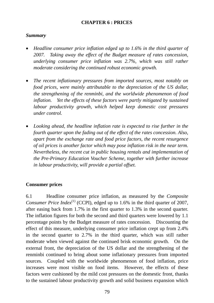## **CHAPTER 6 : PRICES**

#### *Summary*

- *Headline consumer price inflation edged up to 1.6% in the third quarter of 2007. Taking away the effect of the Budget measure of rates concession, underlying consumer price inflation was 2.7%, which was still rather moderate considering the continued robust economic growth.*
- *The recent inflationary pressures from imported sources, most notably on food prices, were mainly attributable to the depreciation of the US dollar, the strengthening of the renminbi, and the worldwide phenomenon of food inflation.* Yet the effects of these factors were partly mitigated by sustained *labour productivity growth, which helped keep domestic cost pressures under control.*
- *Looking ahead, the headline inflation rate is expected to rise further in the fourth quarter upon the fading out of the effect of the rates concession. Also, apart from the exchange rate and food price factors, the recent resurgence of oil prices is another factor which may pose inflation risk in the near term. Nevertheless, the recent cut in public housing rentals and implementation of the Pre-Primary Education Voucher Scheme, together with further increase in labour productivity, will provide a partial offset.*

## **Consumer prices**

6.1 Headline consumer price inflation, as measured by the *Composite Consumer Price Index*<sup>(1)</sup> (CCPI), edged up to 1.6% in the third quarter of 2007, after easing back from 1.7% in the first quarter to 1.3% in the second quarter. The inflation figures for both the second and third quarters were lowered by 1.1 percentage points by the Budget measure of rates concession. Discounting the effect of this measure, underlying consumer price inflation crept up from 2.4% in the second quarter to 2.7% in the third quarter, which was still rather moderate when viewed against the continued brisk economic growth. On the external front, the depreciation of the US dollar and the strengthening of the renminbi continued to bring about some inflationary pressures from imported sources. Coupled with the worldwide phenomenon of food inflation, price increases were most visible on food items. However, the effects of these factors were cushioned by the mild cost pressures on the domestic front, thanks to the sustained labour productivity growth and solid business expansion which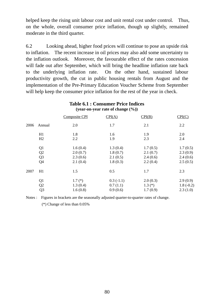helped keep the rising unit labour cost and unit rental cost under control. Thus, on the whole, overall consumer price inflation, though up slightly, remained moderate in the third quarter.

6.2 Looking ahead, higher food prices will continue to pose an upside risk to inflation. The recent increase in oil prices may also add some uncertainty to the inflation outlook. Moreover, the favourable effect of the rates concession will fade out after September, which will bring the headline inflation rate back to the underlying inflation rate. On the other hand, sustained labour productivity growth, the cut in public housing rentals from August and the implementation of the Pre-Primary Education Voucher Scheme from September will help keep the consumer price inflation for the rest of the year in check.

|      | (year-on-year rate of change $(\%)$ ) |               |             |          |             |  |
|------|---------------------------------------|---------------|-------------|----------|-------------|--|
|      |                                       | Composite CPI | CPI(A)      | CPI(B)   | CPI(C)      |  |
| 2006 | Annual                                | 2.0           | 1.7         | 2.1      | 2.2         |  |
|      | H1                                    | 1.8           | 1.6         | 1.9      | 2.0         |  |
|      | H2                                    | 2.2           | 1.9         | 2.3      | 2.4         |  |
|      | Q1                                    | 1.6(0.4)      | 1.3(0.4)    | 1.7(0.5) | 1.7(0.5)    |  |
|      | Q2                                    | 2.0(0.7)      | 1.8(0.7)    | 2.1(0.7) | 2.3(0.9)    |  |
|      | Q <sub>3</sub>                        | 2.3(0.6)      | 2.1(0.5)    | 2.4(0.6) | 2.4(0.6)    |  |
|      | Q4                                    | 2.1(0.4)      | 1.8(0.3)    | 2.2(0.4) | 2.5(0.5)    |  |
| 2007 | H1                                    | 1.5           | 0.5         | 1.7      | 2.3         |  |
|      | Q1                                    | $1.7(*)$      | $0.3(-1.1)$ | 2.0(0.3) | 2.9(0.9)    |  |
|      | Q2                                    | 1.3(0.4)      | 0.7(1.1)    | $1.3(*)$ | $1.8(-0.2)$ |  |
|      | Q <sub>3</sub>                        | 1.6(0.8)      | 0.9(0.6)    | 1.7(0.9) | 2.3(1.0)    |  |

# **Table 6.1 : Consumer Price Indices**

Notes : Figures in brackets are the seasonally adjusted quarter-to-quarter rates of change.

(\*) Change of less than 0.05%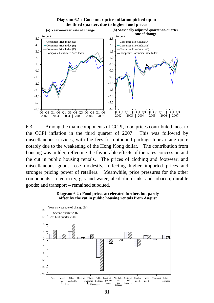

6.3 Among the main components of CCPI, food prices contributed most to the CCPI inflation in the third quarter of 2007. This was followed by miscellaneous services, with the fees for outbound package tours rising quite notably due to the weakening of the Hong Kong dollar. The contribution from housing was milder, reflecting the favourable effects of the rates concession and the cut in public housing rentals. The prices of clothing and footwear; and miscellaneous goods rose modestly, reflecting higher imported prices and stronger pricing power of retailers. Meanwhile, price pressures for the other components – electricity, gas and water; alcoholic drinks and tobacco; durable goods; and transport – remained subdued.



**Diagram 6.2 : Food prices accelerated further, but partly offset by the cut in public housing rentals from August**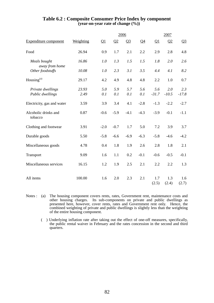|                                 |           |        |        | 2006           |                |              | 2007         |              |
|---------------------------------|-----------|--------|--------|----------------|----------------|--------------|--------------|--------------|
| <b>Expenditure component</b>    | Weighting | Q1     | Q2     | Q <sub>3</sub> | Q <sub>4</sub> | Q1           | Q2           | $Q_3$        |
| Food                            | 26.94     | 0.9    | 1.7    | 2.1            | 2.2            | 2.9          | 2.8          | 4.8          |
| Meals bought<br>away from home  | 16.86     | 1.0    | 1.3    | 1.5            | 1.5            | 1.8          | 2.0          | 2.6          |
| Other foodstuffs                | 10.08     | 1.0    | 2.3    | 3.1            | 3.5            | 4.4          | 4.1          | 8.2          |
| Housing <sup>(a)</sup>          | 29.17     | 4.2    | 4.9    | 4.8            | 4.8            | 2.2          | 1.0          | 0.7          |
| Private dwellings               | 23.93     | 5.0    | 5.9    | 5.7            | 5.6            | 5.6          | 2.0          | 2.3          |
| Public dwellings                | 2.49      | 0.1    | 0.1    | 0.1            | 0.1            | $-31.7$      | $-10.5$      | $-17.8$      |
| Electricity, gas and water      | 3.59      | 3.9    | 3.4    | 4.1            | $-2.8$         | $-1.3$       | $-2.2$       | $-2.7$       |
| Alcoholic drinks and<br>tobacco | 0.87      | $-0.6$ | $-5.9$ | $-4.1$         | $-4.3$         | $-3.9$       | $-0.1$       | $-1.1$       |
| Clothing and footwear           | 3.91      | $-2.0$ | $-0.7$ | 1.7            | 5.0            | 7.2          | 3.9          | 3.7          |
| Durable goods                   | 5.50      | $-5.8$ | $-6.6$ | $-6.9$         | $-6.3$         | $-5.8$       | $-4.6$       | $-4.2$       |
| Miscellaneous goods             | 4.78      | 0.4    | 1.8    | 1.9            | 2.6            | 2.8          | 1.8          | 2.1          |
| Transport                       | 9.09      | 1.6    | 1.1    | 0.2            | $-0.1$         | $-0.6$       | $-0.5$       | $-0.1$       |
| Miscellaneous services          | 16.15     | 1.2    | 1.9    | 2.5            | 2.1            | 2.2          | 2.2          | 1.3          |
| All items                       | 100.00    | 1.6    | 2.0    | 2.3            | 2.1            | 1.7<br>(2.5) | 1.3<br>(2.4) | 1.6<br>(2.7) |

#### **Table 6.2 : Composite Consumer Price Index by component (year-on-year rate of change (%))**

- Notes : (a) The housing component covers rents, rates, Government rent, maintenance costs and other housing charges. Its sub-components on private and public dwellings as presented here, however, cover rents, rates and Government rent only. Hence, the combined weighting of private and public dwellings is slightly less than the weighting of the entire housing component.
	- ( ) Underlying inflation rate after taking out the effect of one-off measures, specifically, the public rental waiver in February and the rates concession in the second and third quarters.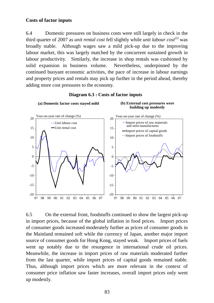## **Costs of factor inputs**

6.4 Domestic pressures on business costs were still largely in check in the third quarter of 2007 as *unit rental cost* fell slightly while *unit labour cost*<sup>(2)</sup> was broadly stable. Although wages saw a mild pick-up due to the improving labour market, this was largely matched by the concurrent sustained growth in labour productivity. Similarly, the increase in shop rentals was cushioned by solid expansion in business volume. Nevertheless, underpinned by the continued buoyant economic activities, the pace of increase in labour earnings and property prices and rentals may pick up further in the period ahead, thereby adding more cost pressures to the economy.



**Diagram 6.3 : Costs of factor inputs**

6.5 On the external front, foodstuffs continued to show the largest pick-up in import prices, because of the global inflation in food prices. Import prices of consumer goods increased moderately further as prices of consumer goods in the Mainland remained soft while the currency of Japan, another major import source of consumer goods for Hong Kong, stayed weak. Import prices of fuels went up notably due to the resurgence in international crude oil prices. Meanwhile, the increase in import prices of raw materials moderated further from the last quarter, while import prices of capital goods remained stable. Thus, although import prices which are more relevant in the context of consumer price inflation saw faster increases, overall import prices only went up modestly.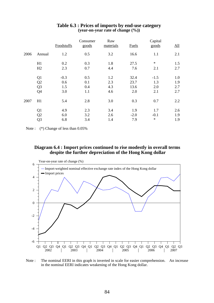|      |                | Foodstuffs | Consumer<br>goods | Raw<br>materials | <b>Fuels</b> | Capital<br>goods | $\underline{All}$ |
|------|----------------|------------|-------------------|------------------|--------------|------------------|-------------------|
| 2006 | Annual         | 1.2        | 0.5               | 3.2              | 16.6         | 1.1              | 2.1               |
|      | H1             | 0.2        | 0.3               | 1.8              | 27.5         | $\ast$           | 1.5               |
|      | H2             | 2.3        | 0.7               | 4.4              | 7.6          | 2.1              | 2.7               |
|      | Q <sub>1</sub> | $-0.3$     | 0.5               | 1.2              | 32.4         | $-1.5$           | 1.0               |
|      | Q <sub>2</sub> | 0.6        | 0.1               | 2.3              | 23.7         | 1.3              | 1.9               |
|      | Q <sub>3</sub> | 1.5        | 0.4               | 4.3              | 13.6         | 2.0              | 2.7               |
|      | Q4             | 3.0        | 1.1               | 4.6              | 2.0          | 2.1              | 2.7               |
| 2007 | H1             | 5.4        | 2.8               | 3.0              | 0.3          | 0.7              | 2.2               |
|      | Q <sub>1</sub> | 4.9        | 2.3               | 3.4              | 1.9          | 1.7              | 2.6               |
|      | Q <sub>2</sub> | 6.0        | 3.2               | 2.6              | $-2.0$       | $-0.1$           | 1.9               |
|      | Q <sub>3</sub> | 6.8        | 3.4               | 1.4              | 7.9          | $\ast$           | 1.9               |

#### **Table 6.3 : Prices of imports by end-use category (year-on-year rate of change (%))**

Note : (\*) Change of less than  $0.05\%$ 

#### **Diagram 6.4 : Import prices continued to rise modestly in overall terms despite the further depreciation of the Hong Kong dollar**



Note : The nominal EERI in this graph is inverted in scale for easier comprehension. An increase in the nominal EERI indicates weakening of the Hong Kong dollar.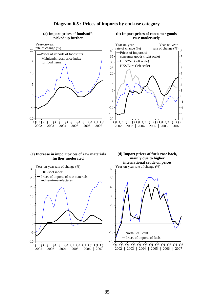

#### **Diagram 6.5 : Prices of imports by end-use category**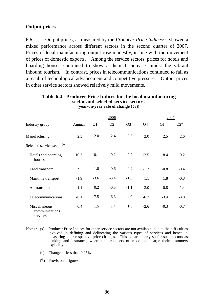## **Output prices**

6.6 Output prices, as measured by the *Producer Price Indices*(3), showed a mixed performance across different sectors in the second quarter of 2007. Prices of local manufacturing output rose modestly, in line with the movement of prices of domestic exports. Among the service sectors, prices for hotels and boarding houses continued to show a distinct increase amidst the vibrant inbound tourism. In contrast, prices in telecommunications continued to fall as a result of technological advancement and competitive pressure. Output prices in other service sectors showed relatively mild movements.

# **Table 6.4 : Producer Price Indices for the local manufacturing sector and selected service sectors**

|                                                                     |        |                       | 2006   |        |                | 2007                  |                   |
|---------------------------------------------------------------------|--------|-----------------------|--------|--------|----------------|-----------------------|-------------------|
| Industry group                                                      | Annual | $\Omega$ <sup>1</sup> | Q2     | $Q_3$  | Q <sub>4</sub> | $\Omega$ <sup>1</sup> | $\Omega^{\omega}$ |
| Manufacturing                                                       | 2.3    | 2.0                   | 2.4    | 2.6    | 2.0            | 2.5                   | 2.6               |
| Selected service sector $($ <sup><math>#</math><math>)</math></sup> |        |                       |        |        |                |                       |                   |
| Hotels and boarding<br>houses                                       | 10.3   | 10.1                  | 9.2    | 9.2    | 12.5           | 8.4                   | 9.2               |
| Land transport                                                      | $\ast$ | 1.0                   | 0.6    | $-0.2$ | $-1.2$         | $-0.8$                | $-0.4$            |
| Maritime transport                                                  | $-1.9$ | $-3.6$                | $-3.4$ | $-1.8$ | 1.1            | 1.8                   | $-0.8$            |
| Air transport                                                       | $-1.1$ | 0.2                   | $-0.5$ | $-1.1$ | $-3.0$         | 0.8                   | 1.4               |
| Telecommunications                                                  | $-6.1$ | $-7.5$                | $-6.3$ | $-4.0$ | $-6.7$         | $-3.4$                | $-3.8$            |
| Miscellaneous<br>communications<br>services                         | 0.4    | 1.5                   | 1.4    | 1.3    | $-2.6$         | $-0.3$                | $-0.7$            |

**(year-on-year rate of change (%))** 

- Notes : (#) Producer Price Indices for other service sectors are not available, due to the difficulties involved in defining and delineating the various types of services and hence in measuring their respective price changes. This is particularly so for such sectors as banking and insurance, where the producers often do not charge their customers explicitly.
	- (\*) Change of less than 0.05%
	- $\binom{6}{x}$  Provisional figures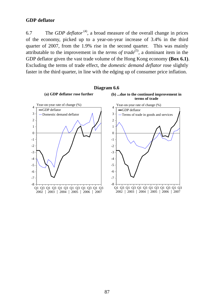## **GDP deflator**

6.7 The *GDP deflator*<sup>(4)</sup>, a broad measure of the overall change in prices of the economy, picked up to a year-on-year increase of 3.4% in the third quarter of 2007, from the 1.9% rise in the second quarter. This was mainly attributable to the improvement in the *terms of trade*<sup>(5)</sup>, a dominant item in the GDP deflator given the vast trade volume of the Hong Kong economy **(Box 6.1)**. Excluding the terms of trade effect, the *domestic demand deflator* rose slightly faster in the third quarter, in line with the edging up of consumer price inflation.

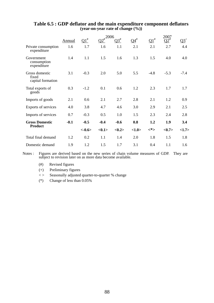|                                              |        |                   |                           |                 |                   |              | 2007            |         |
|----------------------------------------------|--------|-------------------|---------------------------|-----------------|-------------------|--------------|-----------------|---------|
|                                              | Annual | $\Omega^{\sharp}$ | $Q2^{\#}$ <sup>2006</sup> | $Q3^{\#}$       | $\Omega^{4^{\#}}$ | $\Omega^{1}$ | $\mathrm{Q2}^*$ | $Q_2^+$ |
| Private consumption<br>expenditure           | 1.6    | 1.7               | 1.6                       | 1.1             | 2.1               | 2.1          | 2.7             | 4.4     |
| Government<br>consumption<br>expenditure     | 1.4    | 1.1               | 1.5                       | 1.6             | 1.3               | 1.5          | 4.0             | 4.0     |
| Gross domestic<br>fixed<br>capital formation | 3.1    | $-0.3$            | 2.0                       | 5.0             | 5.5               | $-4.8$       | $-5.3$          | $-7.4$  |
| Total exports of<br>goods                    | 0.3    | $-1.2$            | 0.1                       | 0.6             | 1.2               | 2.3          | 1.7             | 1.7     |
| Imports of goods                             | 2.1    | 0.6               | 2.1                       | 2.7             | 2.8               | 2.1          | 1.2             | 0.9     |
| Exports of services                          | 4.0    | 3.8               | 4.7                       | 4.6             | 3.0               | 2.9          | 2.1             | 2.5     |
| Imports of services                          | 0.7    | $-0.3$            | 0.5                       | 1.0             | 1.5               | 2.3          | 2.4             | 2.8     |
| <b>Gross Domestic</b>                        | $-0.1$ | $-0.5$            | $-0.4$                    | $-0.6$          | 0.8               | 1.2          | 1.9             | 3.4     |
| <b>Product</b>                               |        | $<-0.6>$          | <0.1>                     | $<\!\!0.2\!\!>$ | <1.0>             | $<^*>$       | <0.7>           | <1.7>   |
| Total final demand                           | 1.2    | 0.2               | 1.1                       | 1.4             | 2.0               | 1.8          | 1.5             | 1.8     |
| Domestic demand                              | 1.9    | 1.2               | 1.5                       | 1.7             | 3.1               | 0.4          | 1.1             | 1.6     |

#### **Table 6.5 : GDP deflator and the main expenditure component deflators (year-on-year rate of change (%))**

Notes : Figures are derived based on the new series of chain volume measures of GDP. They are subject to revision later on as more data become available.

(#) Revised figures

(+) Preliminary figures

< > Seasonally adjusted quarter-to-quarter % change

(\*) Change of less than 0.05%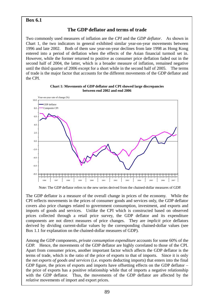#### **Box 6.1**

## **The GDP deflator and terms of trade**

Two commonly used measures of inflation are the *CPI* and the *GDP deflator*. As shown in Chart 1, the two indicators in general exhibited similar year-on-year movements between 1996 and late 2002. Both of them saw year-on-year declines from late 1998 as Hong Kong entered into a period of deflation when the effects of the Asian financial turmoil set in. However, while the former returned to positive as consumer price deflation faded out in the second half of 2004, the latter, which is a broader measure of inflation, remained negative until the third quarter of 2006 except for a short while in the second half of 2005. The terms of trade is the major factor that accounts for the different movements of the GDP deflator and the CPI.





Note: The GDP deflator refers to the new series derived from the chained-dollar measures of GDP.

The GDP deflator is a measure of the overall change in prices of the economy. While the CPI reflects movements in the prices of consumer goods and services only, the GDP deflator covers also price changes related to government consumption, investment, and exports and imports of goods and services. Unlike the CPI which is constructed based on observed prices collected through a retail price survey, the GDP deflator and its expenditure components are not direct measures of price changes. They are *implicit* price deflators derived by dividing current-dollar values by the corresponding chained-dollar values (see Box 1.1 for explanation on the chained-dollar measures of GDP).

Among the GDP components, *private consumption expenditure* accounts for some 60% of the GDP. Hence, the movements of the GDP deflator are highly correlated to those of the CPI. Apart from consumer prices, another important factor which affects the GDP deflator is the terms of trade, which is the ratio of the price of exports to that of imports. Since it is only the *net exports of goods and services* (i.e. exports deducting imports) that enters into the final GDP figure, the prices of exports and imports have offsetting effects on the GDP deflator – the price of exports has a positive relationship while that of imports a negative relationship with the GDP deflator. Thus, the movements of the GDP deflator are affected by the *relative* movements of import and export prices.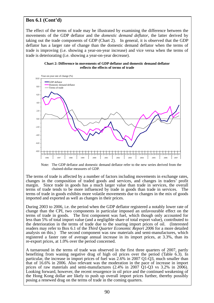## **Box 6.1 (Cont'd)**

The effect of the terms of trade may be illustrated by examining the difference between the movements of the GDP deflator and the *domestic demand deflator*, the latter derived by taking out the trade components of GDP (Chart 2). In general, it is observed that the GDP deflator has a larger rate of change than the domestic demand deflator when the terms of trade is improving (i.e. showing a year-on-year increase) and vice versa when the terms of trade is deteriorating (i.e. showing a year-on-year decrease).





Note: The GDP deflator and domestic demand deflator refer to the new series derived from the chained-dollar measures of GDP.

The terms of trade is affected by a number of factors including movements in exchange rates, changes in the composition of traded goods and services, and changes in traders' profit margin. Since trade in goods has a much larger value than trade in services, the overall terms of trade tends to be more influenced by trade in goods than trade in services. The terms of trade in goods exhibits more volatile movements due to changes in the mix of goods imported and exported as well as changes in their prices.

During 2003 to 2006, i.e. the period when the GDP deflator registered a notably lower rate of change than the CPI, two components in particular imposed an unfavourable effect on the terms of trade in goods. The first component was fuel, which though only accounted for less than 5% of total import value (and a negligible share of total export value), contributed to the deterioration in the terms of trade due to the soaring import prices of oil. (Interested readers may refer to Box 6.1 of the *Third Quarter Economic Report 2006* for a more detailed analysis on this.) The second component was raw materials and semi-manufactures, which registered a faster rate of average annual increase in its import prices, at 3.3%, than its re-export prices, at 1.0% over the period concerned.

A turnaround in the terms of trade was observed in the first three quarters of 2007, partly benefiting from waning negative drag of high oil prices over the period (Table 6.3). In particular, the increase in import prices of fuel was 2.6% in 2007 Q1-Q3, much smaller than that of 16.6% in 2006. Also relevant was the moderation in the pace of increase in import prices of raw materials and semi-manufactures (2.4% in 2007 Q1-Q3 vs 3.2% in 2006). Looking forward, however, the recent resurgence in oil price and the continued weakening of the Hong Kong dollar are likely to push up overall import prices further, thereby possibly posing a renewed drag on the terms of trade in the coming quarters.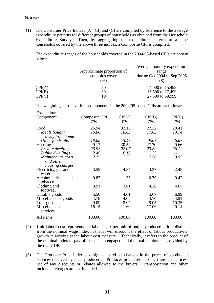#### **Notes :**

(1) The Consumer Price Indices (A), (B) and (C) are compiled by reference to the average expenditure patterns for different groups of households as obtained from the Household Expenditure Survey. Then, by aggregating the expenditure patterns of all the households covered by the above three indices, a Composite CPI is compiled.

 The expenditure ranges of the households covered in the 2004/05-based CPIs are shown below:

|        | Approximate proportion of<br>households covered<br>(%) | Average monthly expenditure.<br>range<br>during Oct 2004 to Sep $2005$ |
|--------|--------------------------------------------------------|------------------------------------------------------------------------|
| CPI(A) | 50                                                     | 4,000 to 15,499                                                        |
| CPI(B) | 30                                                     | 15,500 to 27,499                                                       |
| CPI(C) | 10                                                     | 27,500 to 59,999                                                       |

The weightings of the various components in the 2004/05-based CPIs are as follows:

| Expenditure          |                      |                        |        |        |
|----------------------|----------------------|------------------------|--------|--------|
| <b>Component</b>     | <b>Composite CPI</b> | $\text{CPI}(\text{A})$ | CPI(B) | CPI(C) |
|                      | $( \% )$             | (%)                    | (% )   | (%)    |
| Food                 | 26.94                | 32.10                  | 27.32  | 20.41  |
| Meals bought         | 16.86                | 18.63                  | 17.65  | 13.74  |
| away from home       |                      |                        |        |        |
| Other foodstuffs     | 10.08                | 13.47                  | 9.67   | 6.67   |
| Housing              | 29.17                | 30.54                  | 27.70  | 29.66  |
| Private dwellings    | 23.93                | 22.07                  | 23.89  | 26.11  |
| Public dwellings     | 2.49                 | 6.18                   | 1.25   |        |
| Maintenance costs    | 2.75                 | 2.29                   | 2.56   | 3.55   |
| and other            |                      |                        |        |        |
| housing charges      |                      |                        |        |        |
| Electricity, gas and | 3.59                 | 4.84                   | 3.37   | 2.45   |
| water                |                      |                        |        |        |
| Alcoholic drinks and | 0.87                 | 1.35                   | 0.79   | 0.42   |
| tobacco              |                      |                        |        |        |
| Clothing and         | 3.91                 | 2.81                   | 4.28   | 4.67   |
| footwear             |                      |                        |        |        |
| Durable goods        | 5.50                 | 4.01                   | 5.67   | 6.99   |
| Miscellaneous goods  | 4.78                 | 4.68                   | 4.76   | 4.91   |
| <b>Transport</b>     | 9.09                 | 8.07                   | 9.05   | 10.35  |
| Miscellaneous        | 16.15                | 11.60                  | 17.06  | 20.14  |
| services             |                      |                        |        |        |
| All items            | 100.00               | 100.00                 | 100.00 | 100.00 |
|                      |                      |                        |        |        |

- (2) Unit labour cost represents the labour cost per unit of output produced. It is distinct from the nominal wage index in that it will discount the effect of labour productivity growth in arriving at the labour cost measure. Technically, it refers to the product of the nominal index of payroll per person engaged and the total employment, divided by the real GDP.
- (3) The Producer Price Index is designed to reflect changes in the prices of goods and services received by local producers. Producer prices refer to the transacted prices, net of any discounts or rebates allowed to the buyers. Transportation and other incidental charges are not included.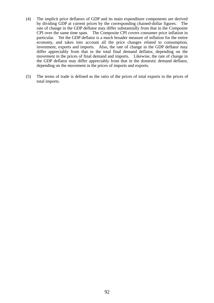- (4) The implicit price deflators of GDP and its main expenditure components are derived by dividing GDP at current prices by the corresponding chained-dollar figures. The rate of change in the GDP deflator may differ substantially from that in the Composite CPI over the same time span. The Composite CPI covers consumer price inflation in particular. Yet the GDP deflator is a much broader measure of inflation for the entire economy, and takes into account all the price changes related to consumption, investment, exports and imports. Also, the rate of change in the GDP deflator may differ appreciably from that in the total final demand deflator, depending on the movement in the prices of final demand and imports. Likewise, the rate of change in the GDP deflator may differ appreciably from that in the domestic demand deflator, depending on the movement in the prices of imports and exports.
- (5) The terms of trade is defined as the ratio of the prices of total exports to the prices of total imports.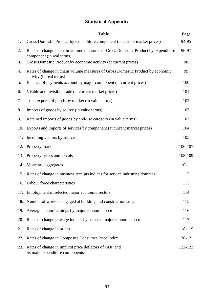# **Statistical Appendix**

|     | <b>Table</b>                                                                                                   | <b>Page</b> |
|-----|----------------------------------------------------------------------------------------------------------------|-------------|
| 1.  | Gross Domestic Product by expenditure component (at current market prices)                                     | 94-95       |
| 2.  | Rates of change in chain volume measures of Gross Domestic Product by expenditure<br>component (in real terms) | 96-97       |
| 3.  | Gross Domestic Product by economic activity (at current prices)                                                | 98          |
| 4.  | Rates of change in chain volume measures of Gross Domestic Product by economic<br>activity (in real terms)     | 99          |
| 5.  | Balance of payments account by major component (at current prices)                                             | 100         |
| 6.  | Visible and invisible trade (at current market prices)                                                         | 101         |
| 7.  | Total exports of goods by market (in value terms)                                                              | 102         |
| 8.  | Imports of goods by source (in value terms)                                                                    | 103         |
| 9.  | Retained imports of goods by end-use category (in value terms)                                                 | 103         |
| 10. | Exports and imports of services by component (at current market prices)                                        | 104         |
| 11. | Incoming visitors by source                                                                                    | 105         |
|     | 12. Property market                                                                                            | 106-107     |
|     | 13. Property prices and rentals                                                                                | 108-109     |
|     | 14. Monetary aggregates                                                                                        | 110-111     |
|     | 15. Rates of change in business receipts indices for service industries/domains                                | 112         |
|     | 16. Labour force characteristics                                                                               | 113         |
|     | 17. Employment in selected major economic sectors                                                              | 114         |
|     | 18. Number of workers engaged at building and construction sites                                               | 115         |
|     | 19. Average labour earnings by major economic sector                                                           | 116         |
|     | 20. Rates of change in wage indices by selected major economic sector                                          | 117         |
| 21. | Rates of change in prices                                                                                      | 118-119     |
| 22. | Rates of change in Composite Consumer Price Index                                                              | 120-121     |
| 23. | Rates of change in implicit price deflators of GDP and<br>its main expenditure components                      | 122-123     |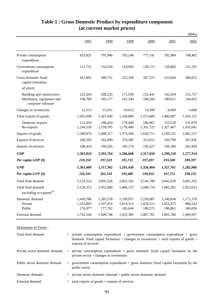|                                                                            |                                   |                                   |                                   |                                   |                                   | \$Mn\$                          |
|----------------------------------------------------------------------------|-----------------------------------|-----------------------------------|-----------------------------------|-----------------------------------|-----------------------------------|---------------------------------|
|                                                                            | 1997                              | 1998                              | 1999                              | 2000                              | 2001                              | 2002                            |
| Private consumption<br>expenditure                                         | 833,825                           | 795,948                           | 765,248                           | 777,141                           | 782,984                           | 748,402                         |
| Government consumption<br>expenditure                                      | 112,751                           | 116,550                           | 119,993                           | 120,172                           | 128,866                           | 131,291                         |
| Gross domestic fixed<br>capital formation                                  | 451,891                           | 388,731                           | 325,328                           | 347,375                           | 333,044                           | 286,025                         |
| of which:                                                                  |                                   |                                   |                                   |                                   |                                   |                                 |
| Building and construction<br>Machinery, equipment and<br>computer software | 223,264<br>190,760                | 208,235<br>165,177                | 171,930<br>141,349                | 155,441<br>180,204                | 142,659<br>180,011                | 131,757<br>144,832              |
| Changes in inventories                                                     | 12,313                            | $-15,651$                         | $-10,612$                         | 14,399                            | $-4,060$                          | 5,660                           |
| Total exports of goods                                                     | 1,455,949                         | 1,347,649                         | 1,349,000                         | 1,572,689                         | 1,480,987                         | 1,562,121                       |
| Domestic exports<br>Re-exports                                             | 211,410<br>1,244,539              | 188,454<br>1,159,195              | 170,600<br>1,178,400              | 180,967<br>1,391,722              | 153,520<br>1,327,467              | 131,079<br>1,431,041            |
| Imports of goods                                                           | 1,589,876                         | 1,408,317                         | 1,373,500                         | 1,636,711                         | 1,549,222                         | 1,601,527                       |
| Exports of services                                                        | 286,595                           | 262,099                           | 276,385                           | 315,012                           | 320,799                           | 347,836                         |
| Imports of services                                                        | 198,424                           | 194,245                           | 185,174                           | 192,427                           | 194,180                           | 202,494                         |
| <b>GDP</b>                                                                 | 1,365,024                         | 1,292,764                         | 1,266,668                         | 1,317,650                         | 1,299,218                         | 1,277,314                       |
| Per capita GDP $(\$)$                                                      | 210,350                           | 197,559                           | 191,731                           | 197,697                           | 193,500                           | 189,397                         |
| <b>GNP</b>                                                                 | 1,363,409                         | 1,317,362                         | 1,291,436                         | 1,326,404                         | 1,327,761                         | 1,282,966                       |
| Per capita $GNP$ (\$)                                                      | 210,101                           | 201,318                           | 195,480                           | 199,010                           | 197,751                           | 190,235                         |
| Total final demand                                                         | 3,153,324                         | 2,895,326                         | 2,825,342                         | 3,146,788                         | 3,042,620                         | 3,081,335                       |
| Total final demand<br>excluding re-exports <sup>(a)</sup>                  | 2,130,313                         | 1,952,900                         | 1,886,157                         | 2,048,719                         | 1,983,301                         | 1,923,623                       |
| Domestic demand<br>Private<br>Public                                       | 1,410,780<br>1,233,803<br>176,977 | 1,285,578<br>1,107,816<br>177,762 | 1,199,957<br>1,014,313<br>185,644 | 1,259,087<br>1,078,515<br>180,572 | 1,240,834<br>1,053,973<br>186,861 | 1,171,378<br>986,542<br>184,836 |
| External demand                                                            | 1,742,544                         | 1,609,748                         | 1,625,385                         | 1,887,701                         | 1,801,786                         | 1,909,957                       |

# **Table 1 : Gross Domestic Product by expenditure component (at current market prices)**

Definitions of Terms :

| Total final demand             | $=$ private consumption expenditure $+$ government consumption expenditure $+$ gross<br>domestic fixed capital formation $+$ changes in inventories $+$ total exports of goods $+$<br>exports of services |
|--------------------------------|-----------------------------------------------------------------------------------------------------------------------------------------------------------------------------------------------------------|
| Private sector domestic demand | $=$ private consumption expenditure $+$ gross domestic fixed capital formation by the<br>private sector $+$ changes in inventories                                                                        |
| Public sector domestic demand  | $=$ government consumption expenditure $+$ gross domestic fixed capital formation by the<br>public sector                                                                                                 |
| Domestic demand                | $=$ private sector domestic demand $+$ public sector domestic demand                                                                                                                                      |
| External demand                | $=$ total exports of goods + exports of services                                                                                                                                                          |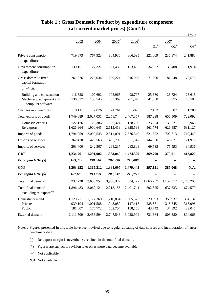|                                                                            |                                 |                                   |                                   |                                   |                              |                              | (SMn)                        |
|----------------------------------------------------------------------------|---------------------------------|-----------------------------------|-----------------------------------|-----------------------------------|------------------------------|------------------------------|------------------------------|
|                                                                            | 2003                            | 2004                              | $2005$ <sup>#</sup>               | $2006^{\text{*}}$                 |                              | 2007                         |                              |
|                                                                            |                                 |                                   |                                   |                                   | $\mathrm{Q1}^{\text{\#}}$    | $Q2^{\#}$                    | $Q3^{\text{\#}}$             |
| Private consumption<br>expenditure                                         | 719,873                         | 767,923                           | 804,936                           | 866,095                           | 221,009                      | 236,874                      | 241,880                      |
| Government consumption<br>expenditure                                      | 130,151                         | 127,327                           | 121,435                           | 123,436                           | 34,362                       | 30,408                       | 31,974                       |
| Gross domestic fixed<br>capital formation                                  | 261,576                         | 275,034                           | 289,224                           | 316,968                           | 71,890                       | 81,048                       | 78,575                       |
| of which:                                                                  |                                 |                                   |                                   |                                   |                              |                              |                              |
| Building and construction<br>Machinery, equipment and<br>computer software | 116,628<br>136,537              | 107,692<br>150,545                | 105,965<br>163,369                | 98,797<br>201,379                 | 25,630<br>41,558             | 26,724<br>48,975             | 25,615<br>46,587             |
| Changes in inventories                                                     | 9,111                           | 7,076                             | $-4,761$                          | $-926$                            | 2,132                        | 5,607                        | 1,708                        |
| Total exports of goods                                                     | 1,749,089                       | 2,027,031                         | 2,251,744                         | 2,467,357                         | 587,298                      | 656,509                      | 722,092                      |
| Domestic exports<br>Re-exports                                             | 122,126<br>1,626,964            | 126,386<br>1,900,645              | 136,324<br>2,115,419              | 138,759<br>2,328,598              | 23,524<br>563,774            | 30,021<br>626,487            | 30,965<br>691,127            |
| Imports of goods                                                           | 1,794,059                       | 2,099,545                         | 2,311,091                         | 2,576,340                         | 621,522                      | 702,713                      | 749,449                      |
| Exports of services                                                        | 362,420                         | 429,563                           | 495,799                           | 561,547                           | 144,066                      | 146,871                      | 171,976                      |
| Imports of services                                                        | 203,400                         | 242,507                           | 264,237                           | 283,808                           | 69,535                       | 75,593                       | 84,936                       |
| <b>GDP</b>                                                                 | 1,234,761                       | 1,291,902                         | 1,383,049                         | 1,474,329                         | 369,700                      | 379,011                      | 413,820                      |
| Per capita GDP (\$)                                                        | 183,449                         | 190,448                           | 202,996                           | 215,008                           |                              |                              |                              |
| <b>GNP</b>                                                                 | 1,263,252                       | 1,315,312                         | 1,384,697                         | 1,479,443                         | 397,121                      | 385,068                      | N.A.                         |
| Per capita GNP (\$)                                                        | 187,682                         | 193,899                           | 203,237                           | 215,753                           |                              |                              |                              |
| Total final demand                                                         | 3,232,220                       | 3,633,954                         | 3,958,377                         | 4,334,477                         | 1,060,757                    | 1,157,317                    | 1,248,205                    |
| Total final demand<br>excluding re-exports <sup>(a)</sup>                  | 1,896,483                       | 2,062,121                         | 2,213,156                         | 2,401,741                         | 592,825                      | 637,333                      | 674,570                      |
| Domestic demand<br>Private<br>Public                                       | 1,120,711<br>939,104<br>181,607 | 1,177,360<br>1,001,588<br>175,772 | 1,210,834<br>1,048,080<br>162,754 | 1,305,573<br>1,147,415<br>158,158 | 329,393<br>285,651<br>43,742 | 353,937<br>316,545<br>37,392 | 354,137<br>315,096<br>39,041 |
| External demand                                                            | 2,111,509                       | 2,456,594                         | 2,747,543                         | 3,028,904                         | 731,364                      | 803,380                      | 894,068                      |

# **Table 1 : Gross Domestic Product by expenditure component (at current market prices) (Cont'd)**

Notes : Figures presented in this table have been revised due to regular updating of data sources and incorporation of latest benchmark data.

- (a) Re-export margin is nevertheless retained in the total final demand.
- (#) Figures are subject to revision later on as more data become available.
- (--) Not applicable.
- N.A. Not available.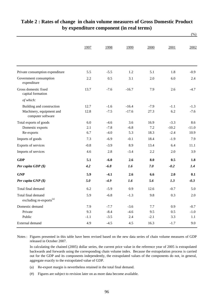|                                                           |        |        |         |        |         | $(\%)$  |
|-----------------------------------------------------------|--------|--------|---------|--------|---------|---------|
|                                                           | 1997   | 1998   | 1999    | 2000   | 2001    | 2002    |
| Private consumption expenditure                           | 5.5    | $-5.5$ | 1.2     | 5.1    | 1.8     | $-0.9$  |
| Government consumption<br>expenditure                     | 2.2    | 0.5    | 3.1     | 2.0    | 6.0     | 2.4     |
| Gross domestic fixed<br>capital formation                 | 13.7   | $-7.6$ | $-16.7$ | 7.9    | 2.6     | $-4.7$  |
| of which:                                                 |        |        |         |        |         |         |
| Building and construction                                 | 12.7   | $-1.6$ | $-16.4$ | $-7.9$ | $-1.1$  | $-1.3$  |
| Machinery, equipment and<br>computer software             | 12.8   | $-7.5$ | $-17.6$ | 27.3   | 6.2     | $-7.6$  |
| Total exports of goods                                    | 6.0    | $-4.6$ | 3.6     | 16.9   | $-3.3$  | 8.6     |
| Domestic exports                                          | 2.1    | $-7.8$ | $-6.8$  | 7.2    | $-10.2$ | $-11.0$ |
| Re-exports                                                | 6.7    | $-4.0$ | 5.3     | 18.3   | $-2.4$  | 10.9    |
| Imports of goods                                          | 7.3    | $-6.9$ | $-0.1$  | 18.4   | $-1.9$  | 7.9     |
| Exports of services                                       | $-0.8$ | $-3.9$ | 8.9     | 13.4   | 6.4     | 11.1    |
| Imports of services                                       | 4.6    | 2.8    | $-3.4$  | 2.2    | 2.0     | 3.9     |
| <b>GDP</b>                                                | 5.1    | $-6.0$ | 2.6     | 8.0    | 0.5     | 1.8     |
| Per capita GDP (\$)                                       | 4.2    | $-6.8$ | 1.6     | 7.0    | $-0.2$  | 1.4     |
| <b>GNP</b>                                                | 5.9    | $-4.1$ | 2.6     | 6.6    | 2.0     | 0.1     |
| Per capita GNP (\$)                                       | 5.0    | $-4.9$ | 1.6     | 5.6    | 1.3     | $-0.3$  |
| Total final demand                                        | 6.2    | $-5.9$ | 0.9     | 12.6   | $-0.7$  | 5.0     |
| Total final demand<br>excluding re-exports <sup>(a)</sup> | 5.9    | $-6.8$ | $-1.3$  | 9.8    | 0.3     | 2.0     |
| Domestic demand                                           | 7.9    | $-7.7$ | $-3.6$  | 7.7    | 0.9     | $-0.7$  |
| Private                                                   | 9.3    | $-8.4$ | $-4.6$  | 9.5    | 0.5     | $-1.0$  |
| Public                                                    | $-1.1$ | $-3.5$ | 2.4     | $-2.1$ | 3.3     | 1.1     |
| External demand                                           | 4.9    | $-4.5$ | 4.5     | 16.3   | $-1.7$  | 9.0     |

## **Table 2 : Rates of change in chain volume measures of Gross Domestic Product by expenditure component (in real terms)**

Notes : Figures presented in this table have been revised based on the new data series of chain volume measures of GDP released in October 2007.

In calculating the chained (2005) dollar series, the current price value in the reference year of 2005 is extrapolated backwards and forwards using the corresponding chain volume index. Because the extrapolation process is carried out for the GDP and its components independently, the extrapolated values of the components do not, in general, aggregate exactly to the extrapolated value of GDP.

- (a) Re-export margin is nevertheless retained in the total final demand.
- (#) Figures are subject to revision later on as more data become available.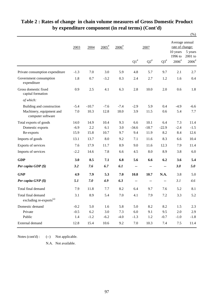|                                                           |        |         |                     |                     |                    |           |           |                                        | $(\%)$                                    |  |
|-----------------------------------------------------------|--------|---------|---------------------|---------------------|--------------------|-----------|-----------|----------------------------------------|-------------------------------------------|--|
|                                                           | 2003   | 2004    | $2005$ <sup>#</sup> | $2006$ <sup>#</sup> |                    | 2007      |           |                                        | Average annual<br>rate of change:         |  |
|                                                           |        |         |                     |                     | $\mathrm{Q1}^{\#}$ | $Q2^{\#}$ | $Q3^{\#}$ | 10 years<br>1996 to<br>$2006^{\rm{*}}$ | 5 years<br>2001 to<br>$2006$ <sup>#</sup> |  |
| Private consumption expenditure                           | $-1.3$ | 7.0     | 3.0                 | 5.9                 | 4.8                | 5.7       | 9.7       | 2.1                                    | 2.7                                       |  |
| Government consumption<br>expenditure                     | 1.8    | 0.7     | $-3.2$              | 0.3                 | 2.4                | 2.7       | 1.2       | 1.6                                    | 0.4                                       |  |
| Gross domestic fixed<br>capital formation                 | 0.9    | 2.5     | 4.1                 | 6.3                 | 2.8                | 10.0      | 2.0       | 0.6                                    | 1.8                                       |  |
| of which:                                                 |        |         |                     |                     |                    |           |           |                                        |                                           |  |
| Building and construction                                 | $-5.4$ | $-10.7$ | $-7.6$              | $-7.4$              | $-2.9$             | 5.9       | 0.4       | $-4.9$                                 | $-6.6$                                    |  |
| Machinery, equipment and<br>computer software             | 7.0    | 10.3    | 12.8                | 18.0                | 3.9                | 11.5      | 0.6       | 5.4                                    | 7.7                                       |  |
| Total exports of goods                                    | 14.0   | 14.9    | 10.4                | 9.3                 | 6.6                | 10.1      | 6.4       | 7.3                                    | 11.4                                      |  |
| Domestic exports                                          | $-6.9$ | 2.2     | 6.1                 | 3.0                 | $-34.6$            | $-18.7$   | $-22.9$   | $-2.4$                                 | $-1.5$                                    |  |
| Re-exports                                                | 15.9   | 15.8    | 10.7                | 9.7                 | 9.4                | 11.9      | 8.2       | 8.4                                    | 12.6                                      |  |
| Imports of goods                                          | 13.1   | 13.7    | 8.0                 | 9.2                 | 7.1                | 11.6      | 8.3       | 6.6                                    | 10.4                                      |  |
| Exports of services                                       | 7.6    | 17.9    | 11.7                | 8.9                 | 9.0                | 11.6      | 12.3      | 7.9                                    | 11.4                                      |  |
| Imports of services                                       | $-2.2$ | 14.6    | 7.8                 | 6.6                 | 4.5                | 8.0       | 8.9       | 3.8                                    | 6.0                                       |  |
| <b>GDP</b>                                                | 3.0    | 8.5     | 7.1                 | 6.8                 | 5.6                | 6.6       | 6.2       | 3.6                                    | 5.4                                       |  |
| Per capita GDP $(\$)$                                     | 3.2    | 7.6     | 6.7                 | 6.1                 | --                 | --        | --        | 3.0                                    | 5.0                                       |  |
| <b>GNP</b>                                                | 4.9    | 7.9     | 5.3                 | 7.0                 | 10.8               | 10.7      | N.A.      | 3.8                                    | 5.0                                       |  |
| Per capita GNP (\$)                                       | 5.1    | 7.0     | 4.9                 | 6.3                 | --                 |           |           | 3.1                                    | 4.6                                       |  |
| Total final demand                                        | 7.9    | 11.8    | 7.7                 | 8.2                 | 6.4                | 9.7       | 7.6       | 5.2                                    | 8.1                                       |  |
| Total final demand<br>excluding re-exports <sup>(a)</sup> | 3.1    | 8.9     | 5.4                 | 7.0                 | 4.1                | 7.9       | $7.2\,$   | 3.3                                    | 5.2                                       |  |
| Domestic demand                                           | $-0.2$ | 5.0     | 1.6                 | 5.8                 | 5.0                | 8.2       | 8.2       | 1.5                                    | 2.3                                       |  |
| Private                                                   | $-0.5$ | $6.2\,$ | 3.0                 | $7.3$               | $6.0\,$            | 9.1       | 9.5       | 2.0                                    | 2.9                                       |  |
| Public                                                    | 1.4    | $-1.2$  | $-6.2$              | $-4.0$              | $-1.3$             | 1.2       | $-0.7$    | $-1.0$                                 | $-1.8$                                    |  |
| External demand                                           | 12.8   | 15.4    | 10.6                | 9.2                 | 7.0                | 10.3      | 7.4       | 7.5                                    | 11.4                                      |  |

# **Table 2 : Rates of change in chain volume measures of Gross Domestic Product by expenditure component (in real terms) (Cont'd)**

Notes (cont'd) : (--) Not applicable.

N.A. Not available.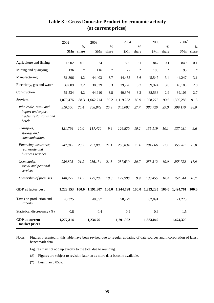|                                                                                 | 2002      | 2003<br>$\frac{0}{0}$<br>$\%$ |           | 2004         |                 | 2005<br>$\%$  |                 | $2006^{\text{*}}$ |           |               |
|---------------------------------------------------------------------------------|-----------|-------------------------------|-----------|--------------|-----------------|---------------|-----------------|-------------------|-----------|---------------|
|                                                                                 | \$Mn      | share                         | \$Mn      | share        | \$Mn            | $\%$<br>share | \$Mn            | share             | \$Mn      | $\%$<br>share |
| Agriculture and fishing                                                         | 1,002     | 0.1                           | 824       | 0.1          | 886             | 0.1           | 847             | 0.1               | 849       | 0.1           |
| Mining and quarrying                                                            | 136       | $\ast$                        | 116       | $\ast$       | 72              | $\ast$        | 100             | $\ast$            | 93        | $\ast$        |
| Manufacturing                                                                   | 51,396    | 4.2                           | 44,403    | 3.7          | 44,455          | 3.6           | 45,547          | 3.4               | 44,247    | 3.1           |
| Electricity, gas and water                                                      | 39,609    | 3.2                           | 38,839    | 3.3          | 39,726          | 3.2           | 39,924          | 3.0               | 40,180    | 2.8           |
| Construction                                                                    | 51,534    | 4.2                           | 44,910    | 3.8          | 40,376          | 3.2           | 38,538          | 2.9               | 39,106    | 2.7           |
| Services                                                                        | 1,079,476 | 88.3                          | 1,062,714 | 89.2         | 1,119,283       | 89.9          | 1,208,278       | 90.6              | 1,300,286 | 91.3          |
| Wholesale, retail and<br>import and export<br>trades, restaurants and<br>hotels | 310,500   | 25.4                          | 308,872   | 25.9         | 345,092         | 27.7          | 386,726         | 29.0              | 399,179   | 28.0          |
| Transport,<br>storage and<br>communications                                     | 121,766   | 10.0                          | 117,420   | 9.9          | 126,820         | 10.2          | 135,119         | 10.1              | 137,081   | 9.6           |
| Financing, insurance,<br>real estate and<br>business services                   | 247,045   | 20.2                          | 251,085   | <i>21.1</i>  | 266,834         | 21.4          | 294,666         | 22.1              | 355,761   | 25.0          |
| Community,<br>social and personal<br>services                                   | 259,893   | 21.2                          | 256,134   | 21.5         | 257,630         | 20.7          | 253,312         | 19.0              | 255,722   | 17.9          |
| Ownership of premises                                                           | 140,273   | 11.5                          | 129,203   | 10.8         | 122,906         | 9.9           | 138,455         | 10.4              | 152,544   | 10.7          |
| <b>GDP</b> at factor cost                                                       | 1,223,153 | 100.0                         | 1,191,807 | <b>100.0</b> | 1,244,798 100.0 |               | 1,333,235 100.0 |                   | 1,424,761 | <b>100.0</b>  |
| Taxes on production and<br>imports                                              | 43,325    |                               | 48,057    |              | 58,729          |               | 62,891          |                   | 71,270    |               |
| Statistical discrepancy (%)                                                     | 0.8       |                               | $-0.4$    |              | $-0.9$          |               | $-0.9$          |                   | $-1.5$    |               |
| <b>GDP</b> at current<br>market prices                                          | 1,277,314 |                               | 1,234,761 |              | 1,291,902       |               | 1,383,049       |                   | 1,474,329 |               |

# **Table 3 : Gross Domestic Product by economic activity (at current prices)**

Notes : Figures presented in this table have been revised due to regular updating of data sources and incorporation of latest benchmark data.

Figures may not add up exactly to the total due to rounding.

- (#) Figures are subject to revision later on as more data become available.
- (\*) Less than 0.05%.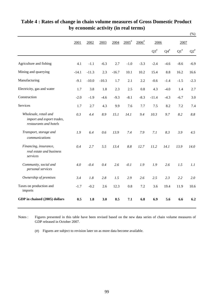|                                                                              |         |         |         |         |                     |                     |                           |           |                    | $(\% )$ |
|------------------------------------------------------------------------------|---------|---------|---------|---------|---------------------|---------------------|---------------------------|-----------|--------------------|---------|
|                                                                              | 2001    | 2002    | 2003    | 2004    | $2005$ <sup>#</sup> | $2006$ <sup>#</sup> |                           | 2006      |                    | 2007    |
|                                                                              |         |         |         |         |                     |                     | $\mathrm{Q3}^{\text{\#}}$ | $Q4^{\#}$ | $\mathrm{Q1}^{\#}$ | $Q2^*$  |
| Agriculture and fishing                                                      | 4.1     | $-1.1$  | $-6.3$  | 2.7     | $-1.0$              | $-3.3$              | $-2.4$                    | $-4.6$    | $-8.6$             | $-6.9$  |
| Mining and quarrying                                                         | $-14.1$ | $-11.3$ | 2.3     | $-16.7$ | 10.1                | 10.2                | 15.4                      | 8.8       | 16.2               | 16.6    |
| Manufacturing                                                                | $-9.1$  | $-10.0$ | $-10.3$ | 1.7     | 2.1                 | 2.2                 | $-0.6$                    | $-1.4$    | $-1.5$             | $-2.3$  |
| Electricity, gas and water                                                   | 1.7     | 3.8     | 1.8     | 2.3     | 2.5                 | 0.8                 | 4.3                       | $-4.0$    | 1.4                | 2.7     |
| Construction                                                                 | $-2.0$  | $-1.9$  | $-4.6$  | $-9.3$  | $-8.1$              | $-8.3$              | $-11.4$                   | $-4.3$    | $-6.7$             | 3.0     |
| Services                                                                     | 1.7     | 2.7     | 4.3     | 9.9     | 7.6                 | 7.7                 | 7.5                       | 8.2       | 7.2                | 7.4     |
| Wholesale, retail and<br>import and export trades,<br>restaurants and hotels | 0.3     | 4.4     | 8.9     | 15.1    | 14.1                | 9.4                 | 10.3                      | 9.7       | 8.2                | 8.8     |
| Transport, storage and<br>communications                                     | 1.9     | 6.4     | 0.6     | 13.9    | 7.4                 | 7.9                 | 7.1                       | 8.3       | 3.9                | 4.5     |
| Financing, insurance,<br>real estate and business<br>services                | 0.4     | 2.7     | 5.5     | 13.4    | 8.8                 | 12.7                | 11.2                      | 14.1      | 13.9               | 14.0    |
| Community, social and<br>personal services                                   | 4.0     | $-0.4$  | 0.4     | 2.6     | $-0.1$              | 1.9                 | 1.9                       | 2.6       | 1.5                | 1.1     |
| Ownership of premises                                                        | 3.4     | 1.8     | 2.8     | 1.5     | 2.9                 | 2.6                 | 2.5                       | 2.3       | 2.2                | 2.0     |
| Taxes on production and<br>imports                                           | $-1.7$  | $-0.2$  | 2.6     | 12.3    | 0.8                 | 7.2                 | 3.6                       | 19.4      | 11.9               | 10.6    |
| GDP in chained (2005) dollars                                                | 0.5     | 1.8     | 3.0     | 8.5     | 7.1                 | 6.8                 | 6.9                       | 5.6       | 6.6                | 6.2     |

# **Table 4 : Rates of change in chain volume measures of Gross Domestic Product by economic activity (in real terms)**

Notes : Figures presented in this table have been revised based on the new data series of chain volume measures of GDP released in October 2007.

(#) Figures are subject to revision later on as more data become available.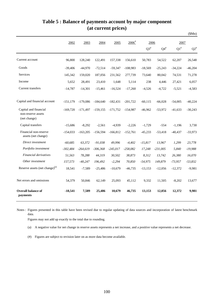|                                                             |            |            |             |            |                     |           |            |           | \$Mn)              |
|-------------------------------------------------------------|------------|------------|-------------|------------|---------------------|-----------|------------|-----------|--------------------|
|                                                             | 2002       | 2003       | 2004        | 2005       | $2006$ <sup>#</sup> |           | 2006       |           | 2007               |
|                                                             |            |            |             |            |                     | $Q3^{\#}$ | $Q4^{\#}$  | $Q1^*$    | $\mathrm{Q2}^{\#}$ |
| Current account                                             | 96,800     | 128,240    | 122,491     | 157,338    | 156,610             | 50,783    | 54,522     | 62,207    | 26,548             |
| Goods                                                       | $-39,406$  | $-44,970$  | $-72,514$   | $-59,347$  | $-108,983$          | $-18,569$ | $-25,243$  | $-34,224$ | $-46,204$          |
| Services                                                    | 145,342    | 159,020    | 187,056     | 231,562    | 277,739             | 73,640    | 80,042     | 74,531    | 71,278             |
| Income                                                      | 5,652      | 28,491     | 23,410      | 1,648      | 5,114               | 238       | 4,446      | 27,421    | 6,057              |
| Current transfers                                           | $-14,787$  | $-14,301$  | $-15,461$   | $-16,524$  | $-17,260$           | $-4,526$  | $-4,722$   | $-5,521$  | $-4,583$           |
| Capital and financial account                               | $-151,179$ | $-179,086$ | $-184,640$  | $-182,431$ | $-201,722$          | $-60,115$ | $-66,028$  | $-54,005$ | $-40,224$          |
| Capital and financial<br>non-reserve assets<br>(net change) | $-169,720$ | $-171,497$ | $-159, 155$ | $-171,752$ | $-154,987$          | $-46,962$ | $-53,972$  | $-41,633$ | $-30,243$          |
| Capital transfers                                           | $-15,686$  | $-8,292$   | $-2,561$    | $-4,939$   | $-2,226$            | $-1,729$  | $-554$     | $-1,196$  | 3,730              |
| Financial non-reserve<br>assets (net change)                | $-154,033$ | $-163,205$ | $-156,594$  | $-166,812$ | $-152,761$          | $-45,233$ | $-53,418$  | $-40,437$ | $-33,973$          |
| Direct investment                                           | $-60,685$  | 63,372     | $-91,038$   | 49,996     | $-4,402$            | $-15,817$ | 13,967     | 1,299     | 23,778             |
| Portfolio investment                                        | $-302,484$ | $-264,619$ | $-306,368$  | $-245,017$ | $-258,082$          | 17,248    | $-231,005$ | 5,840     | $-19,988$          |
| Financial derivatives                                       | 51,563     | 78,288     | 44,319      | 30,502     | 38,873              | 8,312     | 13,742     | 26,380    | 16,070             |
| Other investment                                            | 157,573    | $-40,247$  | 196,492     | $-2,294$   | 70,850              | $-54,975$ | 149,879    | $-73,957$ | $-53,832$          |
| Reserve assets (net change) <sup>(a)</sup>                  | 18,541     | $-7,589$   | $-25,486$   | $-10,679$  | $-46,735$           | $-13,153$ | $-12,056$  | $-12,372$ | $-9,981$           |
| Net errors and omissions                                    | 54,379     | 50,846     | 62,149      | 25,093     | 45,112              | 9,332     | 11,505     | $-8,202$  | 13,677             |
| <b>Overall balance of</b><br>payments                       | $-18,541$  | 7,589      | 25,486      | 10,679     | 46,735              | 13,153    | 12,056     | 12,372    | 9,981              |

# **Table 5 : Balance of payments account by major component (at current prices)**

Notes : Figures presented in this table have been revised due to regular updating of data sources and incorporation of latest benchmark data.

Figures may not add up exactly to the total due to rounding.

(a) A negative value for net change in reserve assets represents a net increase, and a positive value represents a net decrease.

(#) Figures are subject to revision later on as more data become available.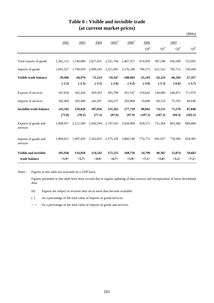# **Table 6 : Visible and invisible trade (at current market prices)**

|                                  |           |           |                 |                     |                     |           |           |           | \$Mn)     |
|----------------------------------|-----------|-----------|-----------------|---------------------|---------------------|-----------|-----------|-----------|-----------|
|                                  | 2002      | 2003      | 2004            | $2005$ <sup>#</sup> | $2006$ <sup>#</sup> | 2006      |           | 2007      |           |
|                                  |           |           |                 |                     |                     | $Q4^{\#}$ | $Q1^*$    | $Q2^{\#}$ | $Q3^{\#}$ |
| Total exports of goods           | 1,562,121 | 1,749,089 | 2,027,031       | 2,251,744           | 2,467,357           | 674,929   | 587,298   | 656,509   | 722,092   |
| Imports of goods                 | 1,601,527 | 1,794,059 | 2,099,545       | 2,311,091           | 2,576,340           | 700,172   | 621,522   | 702,713   | 749,449   |
| Visible trade balance            | $-39,406$ | $-44,970$ | $-72,514$       | $-59,347$           | $-108,983$          | $-25,243$ | $-34,224$ | $-46,204$ | $-27,357$ |
|                                  | $(-2.5)$  | $(-2.5)$  | $(-3.5)$        | $(-2.6)$            | $(-4.2)$            | $(-3.6)$  | $(-5.5)$  | $(-6.6)$  | $(-3.7)$  |
| Exports of services              | 347,836   | 362,420   | 429,563         | 495,799             | 561,547             | 154,642   | 144,066   | 146,871   | 171,976   |
| Imports of services              | 202,494   | 203,400   | 242,507         | 264,237             | 283,808             | 74,600    | 69,535    | 75,593    | 84,936    |
| <b>Invisible trade balance</b>   | 145,342   | 159,020   | 187,056         | 231,562             | 277,739             | 80,042    | 74,531    | 71,278    | 87,040    |
|                                  | (71.8)    | (78.2)    | (77.1)          | (87.6)              | (97.9)              | (107.3)   | (107.2)   | (94.3)    | (102.5)   |
| Exports of goods and<br>services | 1,909,957 | 2,111,509 | 2,456,594       | 2,747,543           | 3,028,904           | 829,571   | 731,364   | 803,380   | 894,068   |
| Imports of goods and<br>services | 1,804,021 | 1,997,459 | 2,342,052       | 2,575,328           | 2,860,148           | 774,772   | 691,057   | 778,306   | 834,385   |
| <b>Visible and invisible</b>     | 105,936   | 114,050   | 114,542         | 172,215             | 168,756             | 54,799    | 40,307    | 25,074    | 59,683    |
| trade balance                    | < 5.9>    | < 5.7>    | $<\!\!4.9\!\!>$ | <6.7>               | < 5.9>              | <7.1>     | < 5.8>    | <3.2>     | <7.2>     |

Notes : Figures in this table are reckoned on a GDP basis.

Figures presented in this table have been revised due to regular updating of data sources and incorporation of latest benchmark data.

- (#) Figures are subject to revision later on as more data become available.
- ( ) As a percentage of the total value of imports of goods/services.
- $\langle$  > As a percentage of the total value of imports of goods and services.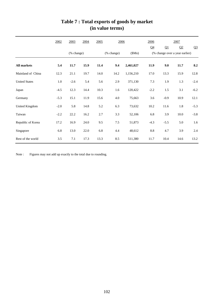|                      | 2002   | 2003       | 2004 | 2005 | 2006       |           | 2006           |        | 2007                           |                |
|----------------------|--------|------------|------|------|------------|-----------|----------------|--------|--------------------------------|----------------|
|                      |        |            |      |      |            |           | Q <sub>4</sub> | Q1     | Q2                             | Q <sub>3</sub> |
|                      |        | (% change) |      |      | (% change) | (SMn)     |                |        | (% change over a year earlier) |                |
| <b>All markets</b>   | 5.4    | 11.7       | 15.9 | 11.4 | 9.4        | 2,461,027 | 11.9           | 9.0    | 11.7                           | 8.2            |
| Mainland of China    | 12.3   | 21.1       | 19.7 | 14.0 | 14.2       | 1,156,210 | 17.0           | 13.3   | 15.9                           | 12.8           |
| <b>United States</b> | 1.0    | $-2.6$     | 5.4  | 5.6  | 2.9        | 371,130   | 7.3            | 1.9    | 1.3                            | $-2.4$         |
| Japan                | $-4.5$ | 12.3       | 14.4 | 10.3 | 1.6        | 120,422   | $-2.2$         | 1.5    | 3.1                            | $-6.2$         |
| Germany              | $-5.3$ | 15.1       | 11.9 | 15.6 | 4.0        | 75,663    | 3.6            | $-0.9$ | 10.9                           | 12.1           |
| United Kingdom       | $-2.0$ | 5.8        | 14.8 | 5.2  | 6.3        | 73,632    | 10.2           | 11.6   | 1.8                            | $-5.3$         |
| Taiwan               | $-2.2$ | 22.2       | 16.2 | 2.7  | 3.3        | 52,106    | 6.8            | 3.9    | 10.0                           | $-3.8$         |
| Republic of Korea    | 17.2   | 16.9       | 24.0 | 9.5  | 7.5        | 51,873    | $-4.3$         | $-5.5$ | 5.0                            | 1.6            |
| Singapore            | 6.8    | 13.0       | 22.0 | 6.8  | 4.4        | 48,612    | $8.8\,$        | 4.7    | 3.9                            | 2.4            |
| Rest of the world    | 3.5    | 7.1        | 17.3 | 13.3 | 8.5        | 511,380   | 11.7           | 10.4   | 14.6                           | 13.2           |

# **Table 7 : Total exports of goods by market (in value terms)**

Note : Figures may not add up exactly to the total due to rounding.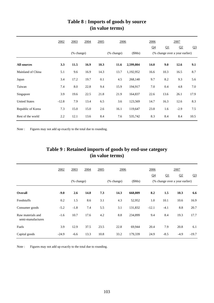|                      | 2002    | 2003       | 2004 | 2005 | 2006       |           | 2006           |                                | 2007   |                |
|----------------------|---------|------------|------|------|------------|-----------|----------------|--------------------------------|--------|----------------|
|                      |         |            |      |      |            |           | Q <sub>4</sub> | Q1                             | Q2     | Q <sub>3</sub> |
|                      |         | (% change) |      |      | (% change) | (SMn)     |                | (% change over a year earlier) |        |                |
| <b>All sources</b>   | 3.3     | 11.5       | 16.9 | 10.3 | 11.6       | 2,599,804 | 14.0           | 9.0                            | 12.6   | 9.1            |
| Mainland of China    | 5.1     | 9.6        | 16.9 | 14.3 | 13.7       | 1,192,952 | 16.6           | 10.3                           | 16.5   | 8.7            |
| Japan                | 3.4     | 17.2       | 19.7 | 0.1  | 4.5        | 268,140   | 9.7            | 8.2                            | 9.3    | 5.6            |
| Taiwan               | 7.4     | 8.0        | 22.8 | 9.4  | 15.9       | 194,917   | 7.0            | 0.4                            | 4.8    | 7.0            |
| Singapore            | 3.9     | 19.6       | 22.5 | 21.8 | 21.9       | 164,837   | 22.6           | 13.6                           | 26.1   | 17.9           |
| <b>United States</b> | $-12.8$ | 7.9        | 13.4 | 6.5  | 3.6        | 123,569   | 14.7           | 16.3                           | 12.6   | 8.3            |
| Republic of Korea    | 7.3     | 15.0       | 15.0 | 2.6  | 16.1       | 119,647   | 23.8           | 1.6                            | $-2.9$ | 7.5            |
| Rest of the world    | 2.2     | 12.1       | 13.6 | 8.4  | 7.6        | 535,742   | 8.3            | 8.4                            | 8.4    | 10.5           |

### **Table 8 : Imports of goods by source (in value terms)**

Note : Figures may not add up exactly to the total due to rounding.

| (in value terms)                       |                                                    |        |      |      |      |         |                                |        |                |                |  |
|----------------------------------------|----------------------------------------------------|--------|------|------|------|---------|--------------------------------|--------|----------------|----------------|--|
|                                        | 2002                                               | 2003   | 2004 | 2005 | 2006 |         | 2006                           |        | 2007           |                |  |
|                                        |                                                    |        |      |      |      |         | Q <sub>4</sub>                 | Q1     | Q <sub>2</sub> | Q <sub>3</sub> |  |
|                                        | (% change)<br>\$Mn)<br>$(% \mathbf{A})$ (% change) |        |      |      |      |         | (% change over a year earlier) |        |                |                |  |
| <b>Overall</b>                         | $-9.0$                                             | 2.6    | 14.8 | 7.3  | 14.3 | 668,809 | 8.2                            | 1.5    | 10.3           | 6.6            |  |
| Foodstuffs                             | 0.2                                                | 1.5    | 8.6  | 3.1  | 4.3  | 52,952  | 1.0                            | 10.1   | 10.6           | 16.9           |  |
| Consumer goods                         | $-5.2$                                             | $-1.8$ | 7.4  | 5.5  | 3.1  | 131,832 | $-12.1$                        | $-4.1$ | 8.8            | 20.7           |  |
| Raw materials and<br>semi-manufactures | $-1.6$                                             | 10.7   | 17.6 | 4.2  | 8.8  | 234,899 | 9.4                            | 8.4    | 19.3           | 17.7           |  |
| Fuels                                  | 3.9                                                | 12.9   | 37.5 | 23.5 | 22.8 | 69,944  | 20.4                           | 7.9    | 20.8           | 6.1            |  |

Capital goods -24.9 -6.6 13.3 10.8 33.2 179,339 24.9 -8.5 -4.9 -19.7

## **Table 9 : Retained imports of goods by end-use category (in value terms)**

Note : Figures may not add up exactly to the total due to rounding.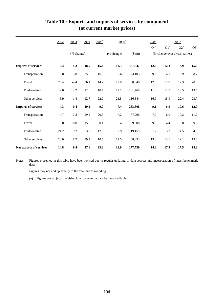|                            | 2002   | 2003       | 2004 | $2005$ <sup>#</sup> | $2006^{\text{*}}$ |         | 2006                           |        | 2007      |           |
|----------------------------|--------|------------|------|---------------------|-------------------|---------|--------------------------------|--------|-----------|-----------|
|                            |        |            |      |                     |                   |         | $Q4^{\#}$                      | $Q1^*$ | $Q2^{\#}$ | $Q3^{\#}$ |
|                            |        | (% change) |      | (% change)          | \$Mn)             |         | (% change over a year earlier) |        |           |           |
| <b>Exports of services</b> | 8.4    | 4.2        | 18.5 | 15.4                | 13.3              | 561,547 | 12.0                           | 12.2   | 13.9      | 15.0      |
| Transportation             | 10.8   | 3.8        | 25.5 | 16.9                | 9.6               | 173,103 | 9.5                            | 4.1    | 6.9       | 8.7       |
| Travel                     | 25.4   | $-4.4$     | 26.1 | 14.2                | 12.8              | 90,340  | 12.8                           | 17.8   | 17.3      | $20.0\,$  |
| Trade-related              | 9.0    | 12.2       | 12.6 | 10.7                | 12.1              | 181,760 | 11.0                           | 12.5   | 13.5      | 13.5      |
| Other services             | $-5.9$ | $-1.4$     | 12.7 | 22.9                | 21.8              | 116,344 | 16.9                           | 18.9   | 22.4      | 23.7      |
| <b>Imports of services</b> | 4.3    | 0.4        | 19.2 | 9.0                 | 7.4               | 283,808 | 9.1                            | 6.9    | 10.6      | 12.0      |
| Transportation             | $-4.7$ | 7.8        | 29.4 | 20.3                | 7.2               | 87,208  | 7.7                            | 6.0    | 10.2      | 11.2      |
| Travel                     | 0.8    | $-8.0$     | 15.9 | 0.1                 | 5.4               | 109,088 | 9.0                            | 4.4    | 6.8       | 9.6       |
| Trade-related              | 24.2   | 9.2        | 3.2  | 12.8                | 2.9               | 19,159  | 1.2                            | 3.3    | 4.5       | 4.3       |
| Other services             | 20.0   | 8.2        | 19.7 | 10.5                | 12.5              | 68,353  | 13.8                           | 13.1   | 19.1      | 19.2      |
| Net exports of services    | 14.8   | 9.4        | 17.6 | 23.8                | 19.9              | 277,739 | 14.8                           | 17.5   | 17.5      | 18.2      |

## **Table 10 : Exports and imports of services by component (at current market prices)**

Notes : Figures presented in this table have been revised due to regular updating of data sources and incorporation of latest benchmark data.

Figures may not add up exactly to the total due to rounding.

(#) Figures are subject to revision later on as more data become available.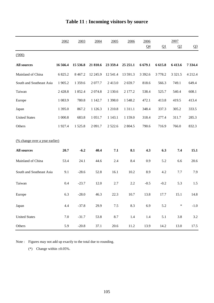|                                | 2002       | 2003        | 2004       | 2005       | 2006        | 2006           |          | 2007       |                |
|--------------------------------|------------|-------------|------------|------------|-------------|----------------|----------|------------|----------------|
|                                |            |             |            |            |             | Q <sub>4</sub> | Q1       | Q2         | Q <sub>3</sub> |
| (1000)                         |            |             |            |            |             |                |          |            |                |
| <b>All sources</b>             | 16 566.4   | 15 536.8    | 21 810.6   | 23 359.4   | 25 25 1.1   | 6 679.1        | 6 6 15.8 | 6 413.6    | 7 3 3 4 .4     |
| Mainland of China              | 6 825.2    | 8 4 6 7.2   | 12 245.9   | 12 541.4   | 13 591.3    | 3 3 9 2.6      | 3778.2   | 3 3 2 1 .5 | 4 212.4        |
| South and Southeast Asia       | 1 905.2    | 1 3 5 9 . 6 | 2 077.7    | 2413.0     | 2659.7      | 818.6          | 566.3    | 749.1      | 649.4          |
| Taiwan                         | 2 4 2 8 .8 | 1852.4      | 2 0 7 4.8  | 2 1 3 0.6  | 2 177.2     | 538.4          | 525.7    | 540.4      | 608.1          |
| Europe                         | 1 083.9    | 780.8       | 1 1 4 2.7  | 1 3 9 8 .0 | 1548.2      | 472.1          | 413.8    | 419.5      | 413.4          |
| Japan                          | 1 395.0    | 867.2       | 1 1 2 6 .3 | 1 210.8    | 1 3 1 1 .1  | 348.4          | 337.3    | 305.2      | 333.5          |
| <b>United States</b>           | 1 000.8    | 683.8       | 1 0 5 1 .7 | 1 1 4 3 .1 | 1 1 5 9 . 0 | 318.4          | 277.4    | 311.7      | 285.3          |
| Others                         | 1927.4     | 1525.8      | 2 091.7    | 2 5 2 2.6  | 2 804.5     | 790.6          | 716.9    | 766.0      | 832.3          |
|                                |            |             |            |            |             |                |          |            |                |
| (% change over a year earlier) |            |             |            |            |             |                |          |            |                |
| <b>All sources</b>             | 20.7       | $-6.2$      | 40.4       | 7.1        | 8.1         | 4.3            | 6.3      | 7.4        | 15.1           |
| Mainland of China              | 53.4       | 24.1        | 44.6       | 2.4        | 8.4         | 0.9            | 5.2      | 6.6        | 20.6           |
| South and Southeast Asia       | 9.1        | $-28.6$     | 52.8       | 16.1       | 10.2        | 8.9            | 4.2      | 7.7        | 7.9            |
| Taiwan                         | 0.4        | $-23.7$     | 12.0       | 2.7        | 2.2         | $-0.5$         | $-0.2$   | 5.3        | 1.5            |
| Europe                         | 6.3        | $-28.0$     | 46.3       | 22.3       | 10.7        | 13.8           | 17.7     | 15.1       | 14.8           |
| Japan                          | 4.4        | $-37.8$     | 29.9       | $7.5\,$    | 8.3         | 6.9            | 5.2      | $\ast$     | $-1.0$         |
| <b>United States</b>           | 7.0        | $-31.7$     | 53.8       | 8.7        | $1.4\,$     | 1.4            | $5.1\,$  | 3.8        | 3.2            |
| Others                         | 5.9        | $-20.8$     | 37.1       | 20.6       | 11.2        | 13.9           | 14.2     | 13.0       | 17.5           |

# **Table 11 : Incoming visitors by source**

Note : Figures may not add up exactly to the total due to rounding.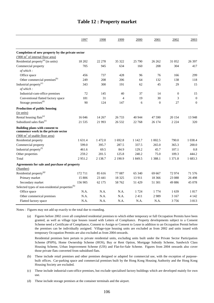|                                                                       | 1997    | 1998       | 1999    | 2000    | 2001           | 2002       | 2003           |
|-----------------------------------------------------------------------|---------|------------|---------|---------|----------------|------------|----------------|
|                                                                       |         |            |         |         |                |            |                |
| Completion of new property by the private sector                      |         |            |         |         |                |            |                |
| $(000 \text{ m}^2 \text{ of internal floor area})$                    |         |            |         |         |                |            |                |
| Residential property <sup>(a)</sup> (in units)                        | 18 20 2 | 22 278     | 35 322  | 25 790  | 26 26 2        | 31 052     | 26 397         |
| Commercial property                                                   | 705     | 945        | 634     | 160     | 208            | 304        | 417            |
| of which:                                                             |         |            |         |         |                |            |                |
| Office space                                                          | 456     | 737        | 428     | 96      | 76             | 166        | 299            |
| Other commercial premises <sup>(b)</sup>                              | 249     | 208        | 206     | 64      | 132            | 138        | 118            |
| Industrial property <sup>(c)</sup>                                    | 343     | 300        | 191     | 62      | 45             | 29         | 15             |
| of which:                                                             |         |            |         |         |                |            |                |
| Industrial-cum-office premises                                        | 72      | 145        | 40      | 37      | 14             | $\theta$   | 15             |
| Conventional flatted factory space                                    | 181     | 31         | 4       | 19      | 30             | 3          | $\mathbf{0}$   |
| Storage premises <sup>(d)</sup>                                       | 90      | 124        | 147     | 6       | $\overline{0}$ | 27         | $\overline{0}$ |
| Production of public housing                                          |         |            |         |         |                |            |                |
| (in units)                                                            |         |            |         |         |                |            |                |
| Rental housing flats <sup>(e)</sup>                                   | 16 04 6 | 14 267     | 26 7 33 | 40 944  | 47 590         | 20 154     | 13 948         |
| Subsidized sales flats <sup>(e)</sup>                                 | 21 5 35 | 21 9 93    | 26 5 32 | 22 768  | 26 174         | 2 2 2 4    | 320            |
| Building plans with consent to<br>commence work in the private sector |         |            |         |         |                |            |                |
| $(000 \text{ m}^2 \text{ of usable floor area})$                      |         |            |         |         |                |            |                |
| Residential property                                                  | 1 631.4 | 1 472.0    | 1 692.8 | 1 142.7 | 1 0 0 2.5      | 790.0      | 1 0 38.4       |
| Commercial property                                                   | 599.0   | 395.7      | 287.5   | 337.5   | 265.0          | 365.3      | 200.0          |
| Industrial property <sup>(f)</sup>                                    | 461.6   | 69.5       | 84.9    | 129.2   | 45.7           | 107.1      | 0.8            |
| Other properties                                                      | 259.2   | 201.5      | 125.8   | 240.2   | 75.0           | 109.3      | 444.2          |
| Total                                                                 | 2951.2  | 2 1 3 8 .7 | 2 190.9 | 1 849.5 | 1 3 8 8.1      | 1 3 7 1 .8 | 1683.3         |
|                                                                       |         |            |         |         |                |            |                |
| Agreements for sale and purchase of property                          |         |            |         |         |                |            |                |
| (Number)                                                              |         |            |         |         |                |            |                |
| Residential property <sup>(g)</sup>                                   | 172 711 | 85 616     | 77 087  | 65 340  | 69 667         | 72974      | 71 576         |
| Primary market                                                        | 15 806  | 23 441     | 18 3 25 | 13 911  | 18 3 6 6       | 23 088     | 26 4 98        |
| Secondary market                                                      | 156 905 | 62 175     | 58762   | 51 429  | 51 301         | 49886      | 45 078         |
| Selected types of non-residential properties <sup>(h)</sup>           |         |            |         |         |                |            |                |
| Office space                                                          | N.A.    | N.A.       | N.A.    | 1 7 2 4 | 1 7 7 4        | 1639       | 1817           |
| Other commerical premises                                             | N.A.    | N.A.       | N.A.    | 2411    | 2989           | 3 1 6 7    | 4 1 4 2        |
| Flatted factory space                                                 | N.A.    | N.A.       | N.A.    | N.A.    | N.A.           | 3756       | 3813           |

#### **Table 12 : Property market**

Notes : Figures may not add up exactly to the total due to rounding.

(a) Figures before 2002 cover all completed residential premises to which either temporary or full Occupation Permits have been granted, as well as village type houses issued with Letters of Compliance. Property developments subject to a Consent Scheme need a Certificate of Compliance, Consent to Assign or Consent to Lease in addition to an Occupation Permit before the premises can be individually assigned. Village-type housing units are excluded as from 2002 and units issued with temporary Occupation Permits are also excluded as from 2004 onwards.

Residential premises here pertain to private residential units, excluding units built under the Private Sector Participation Scheme (PSPS), Home Ownership Scheme (HOS), Buy or Rent Option, Mortgage Subsidy Scheme, Sandwich Class Housing Scheme, Urban Improvement Scheme (UIS) and Flat-for-Sale Scheme. Figures from 2004 onwards also cover those private flats converted from subsidised flats.

- $(h)$ These include retail premises and other premises designed or adapted for commercial use, with the exception of purposebuilt offices. Car-parking space and commercial premises built by the Hong Kong Housing Authority and the Hong Kong Housing Society are excluded.
- (c) These include industrial-cum-office premises, but exclude specialised factory buildings which are developed mainly for own use.

(d) These include storage premises at the container terminals and the airport.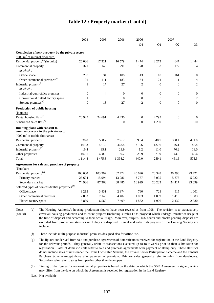|                                                                       | 2004           | 2005           | 2006             | 2006             |                | 2007             |                  |
|-----------------------------------------------------------------------|----------------|----------------|------------------|------------------|----------------|------------------|------------------|
|                                                                       |                |                |                  | Q <sub>4</sub>   | Q1             | Q2               | Q <sub>3</sub>   |
| Completion of new property by the private sector                      |                |                |                  |                  |                |                  |                  |
| $(000 \text{ m}^2 \text{ of internal floor area})$                    |                |                |                  |                  |                |                  |                  |
| Residential property <sup>(a)</sup> (in units)                        | 26 0 36        | 17 321         | 16 579           | 4474             | 2 2 7 3        | 647              | 1444             |
| Commercial property                                                   | 371            | 145            | 291              | 178              | 33             | 172              | 4                |
| of which:                                                             |                |                |                  |                  |                |                  |                  |
| Office space                                                          | 280            | 34             | 108              | 43               | 10             | 161              | $\boldsymbol{0}$ |
| Other commercial premises <sup>(b)</sup>                              | 91             | 111            | 183              | 134              | 24             | 11               | $\overline{4}$   |
| Industrial property <sup>(c)</sup>                                    | $\mathbf{1}$   | 17             | 27               | $\overline{c}$   | $\overline{0}$ | $\mathbf{0}$     | $\overline{2}$   |
| of which:                                                             |                |                |                  |                  |                |                  |                  |
| Industrial-cum-office premises                                        | $\theta$       | $\overline{4}$ | $\boldsymbol{0}$ | $\theta$         | $\overline{0}$ | $\boldsymbol{0}$ | $\boldsymbol{0}$ |
| Conventional flatted factory space                                    | $\mathbf{1}$   | $\theta$       | $\mathbf{0}$     | $\theta$         | $\overline{0}$ | $\boldsymbol{0}$ | $\mathbf{2}$     |
| Storage premises <sup>(d)</sup>                                       | $\theta$       | 13             | 27               | $\overline{c}$   | $\overline{0}$ | $\overline{0}$   | $\boldsymbol{0}$ |
| Production of public housing                                          |                |                |                  |                  |                |                  |                  |
| (in units)                                                            |                |                |                  |                  |                |                  |                  |
| Rental housing flats <sup>(e)</sup>                                   | 20 947         | 24 691         | 4 4 3 0          | $\boldsymbol{0}$ | 4795           | $\mathbf{0}$     | $\boldsymbol{0}$ |
| Subsidized sales flats <sup>(e)</sup>                                 | $\overline{0}$ | $\Omega$       | $\overline{0}$   | $\theta$         | 1 200          | $\theta$         | 810              |
| Building plans with consent to<br>commence work in the private sector |                |                |                  |                  |                |                  |                  |
| $(000 \text{ m}^2 \text{ of usable floor area})$                      |                |                |                  |                  |                |                  |                  |
| Residential property                                                  | 530.0          | 550.7          | 706.7            | 99.4             | 48.7           | 300.4            | 471.6            |
| Commercial property                                                   | 161.3          | 481.9          | 468.4            | 313.6            | 127.6          | 46.1             | 45.4             |
| Industrial property <sup>(f)</sup>                                    | 16.4           | 35.1           | 23.9             | 1.2              | 11.0           | 70.2             | 18.0             |
| Other properties                                                      | 407.1          | 408.0          | 199.2            | 25.9             | 71.9           | 44.9             | 40.4             |
| Total                                                                 | 1 1 1 4.8      | 1475.8         | 1 3 9 8.2        | 440.0            | 259.1          | 461.6            | 575.3            |
| Agreements for sale and purchase of property                          |                |                |                  |                  |                |                  |                  |
| (Number)                                                              |                |                |                  |                  |                |                  |                  |
| Residential property <sup>(g)</sup>                                   | 100 630        | 103 362        | 82 472           | 20 69 6          | 23 3 28        | 30 29 3          | 29 421           |
| Primary market                                                        | 25 694         | 15 9 94        | 13 986           | 3767             | 3 0 9 5        | 5 8 7 6          | 5 7 2 2          |
| Secondary market                                                      | 74 936         | 87 368         | 68 4 8 6         | 16929            | 20 233         | 24 4 17          | 23 699           |
| Selected types of non-residential properties <sup>(h)</sup>           |                |                |                  |                  |                |                  |                  |
| Office space                                                          | 3 2 1 3        | 3 4 3 1        | 2874             | 760              | 723            | 915              | 1 0 0 1          |
| Other commerical premises                                             | 7833           | 7 1 4 3        | 4 4 0 2          | 1 0 9 3          | 1 0 9 9        | 1410             | 1 3 8 3          |
| Flatted factory space                                                 | 5889           | 6 5 6 0        | 7409             | 1862             | 1 906          | 2432             | 2 3 8 0          |

#### **Table 12 : Property market (Cont'd)**

(e) The Housing Authority's housing production figures have been revised as from 1998. The revision is to exhaustively cover all housing production and to count projects (including surplus HOS projects) which undergo transfer of usage at the time of disposal and according to their actual usage. Moreover, surplus HOS courts and blocks pending disposal are excluded from production statistics until they are disposed. Rental and sales flats projects of the Housing Society are included. Notes (cont'd) :

(f) These include multi-purpose industrial premises designed also for office use.

N.A. Not available.

<sup>(</sup>g) The figures are derived from sale and purchase agreements of domestic units received for registration in the Land Registry for the relevant periods. They generally relate to transactions executed up to four weeks prior to their submission for registration. Sales of domestic units refer to sale and purchase agreements with payment of stamp duty. These statistics do not include sales of units under the Home Ownership Scheme, the Private Sector Participation Scheme and the Tenants Purchase Scheme except those after payment of premium. Primary sales generally refer to sales from developers. Secondary sales refer to sales from parties other than developers.

<sup>(</sup>h) Timing of the figures for non-residential properties is based on the date on which the S&P Agreement is signed, which may differ from the date on which the Agreement is received for registration in the Land Registry.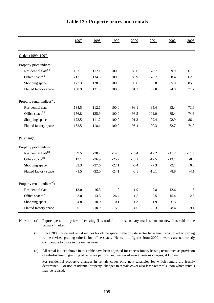|                                          | 1997   | 1998    | 1999    | 2000    | 2001    | 2002    | 2003    |
|------------------------------------------|--------|---------|---------|---------|---------|---------|---------|
| $(Index (1999=100))$                     |        |         |         |         |         |         |         |
| Property price indices :                 |        |         |         |         |         |         |         |
| Residential flats <sup>(a)</sup>         | 163.1  | 117.1   | 100.0   | 89.6    | 78.7    | 69.9    | 61.6    |
| Office space <sup>(b)</sup>              | 213.1  | 134.5   | 100.0   | 89.9    | 78.7    | 68.4    | 62.5    |
| Shopping space                           | 177.3  | 128.3   | 100.0   | 93.6    | 86.8    | 85.0    | 85.5    |
| Flatted factory space                    | 168.9  | 131.8   | 100.0   | 91.2    | 82.0    | 74.8    | 71.7    |
| Property rental indices <sup>(c)</sup> : |        |         |         |         |         |         |         |
| Residential flats                        | 134.5  | 112.6   | 100.0   | 98.1    | 95.4    | 83.4    | 73.6    |
| Office space <sup>(b)</sup>              | 156.8  | 135.9   | 100.0   | 98.5    | 101.0   | 85.4    | 74.6    |
| Shopping space                           | 123.5  | 111.2   | 100.0   | 101.3   | 99.4    | 92.9    | 86.4    |
| Flatted factory space                    | 132.5  | 118.1   | 100.0   | 95.4    | 90.3    | 82.7    | 74.9    |
| (% change)                               |        |         |         |         |         |         |         |
| Property price indices :                 |        |         |         |         |         |         |         |
| Residential flats <sup>(a)</sup>         | 39.5   | $-28.2$ | $-14.6$ | $-10.4$ | $-12.2$ | $-11.2$ | $-11.9$ |
| Office space <sup>(b)</sup>              | 13.1   | $-36.9$ | $-25.7$ | $-10.1$ | $-12.5$ | $-13.1$ | $-8.6$  |
| Shopping space                           | 32.3   | $-27.6$ | $-22.1$ | $-6.4$  | $-7.3$  | $-2.1$  | 0.6     |
| Flatted factory space                    | $-1.5$ | $-22.0$ | $-24.1$ | $-8.8$  | $-10.1$ | $-8.8$  | $-4.1$  |
| Property rental indices <sup>(c)</sup> : |        |         |         |         |         |         |         |
| Residential flats                        | 13.0   | $-16.3$ | $-11.2$ | $-1.9$  | $-2.8$  | $-12.6$ | $-11.8$ |
| Office space <sup>(b)</sup>              | 3.0    | $-13.3$ | $-26.4$ | $-1.5$  | 2.5     | $-15.4$ | $-12.6$ |
| Shopping space                           | 4.8    | $-10.0$ | $-10.1$ | 1.3     | $-1.9$  | $-6.5$  | $-7.0$  |
| Flatted factory space                    | 0.1    | $-10.9$ | $-15.3$ | $-4.6$  | $-5.3$  | $-8.4$  | $-9.4$  |

#### **Table 13 : Property prices and rentals**

(a) Notes : (a) Figures pertain to prices of existing flats traded in the secondary market, but not new flats sold in the primary market.

(b) Since 2000, price and rental indices for office space in the private sector have been recompiled according to the revised grading criteria for office space. Hence, the figures from 2000 onwards are not strictly comparable to those in the earlier years.

(c) All rental indices shown in this table have been adjusted for concessionary leasing terms such as provision of refurbishment, granting of rent-free periods, and waiver of miscellaneous charges, if known.

For residential property, changes in rentals cover only new tenancies for which rentals are freshly determined. For non-residential property, changes in rentals cover also lease renewals upon which rentals may be revised.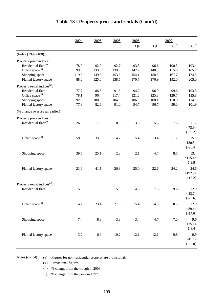|                                          | 2004    | 2005  | 2006  | 2006  |                    | 2007     |                  |
|------------------------------------------|---------|-------|-------|-------|--------------------|----------|------------------|
|                                          |         |       |       | Q4    | $\mathrm{Q1}^{\#}$ | $Q2^+$   | $Q3^+$           |
| $(Index (1999=100))$                     |         |       |       |       |                    |          |                  |
| Property price indices :                 |         |       |       |       |                    |          |                  |
| Residential flats <sup>(a)</sup>         | 78.0    | 92.0  | 92.7  | 93.3  | 96.6               | 100.3    | 103.1            |
| Office space <sup>(b)</sup>              | 99.3    | 133.0 | 139.3 | 142.7 | 148.5              | 155.8    | 165.7            |
| Shopping space                           | 119.3   | 149.3 | 153.5 | 154.1 | 158.8              | 167.7    | 174.5            |
| Flatted factory space                    | 88.6    | 125.0 | 158.5 | 170.7 | 176.9              | 192.0    | 205.0            |
| Property rental indices <sup>(c)</sup> : |         |       |       |       |                    |          |                  |
| Residential flats                        | 77.7    | 86.5  | 91.6  | 94.2  | 96.0               | 99.6     | 103.3            |
| Office space <sup>(b)</sup>              | 78.1    | 96.4  | 117.4 | 121.6 | 125.8              | 129.7    | 135.8            |
| Shopping space                           | 92.8    | 100.5 | 104.3 | 106.9 | 108.1              | 110.0    | 114.1            |
| Flatted factory space                    | 77.3    | 82.6  | 91.0  | 94.7  | 96.7               | 99.0     | 101.9            |
| (% change over a year earlier)           |         |       |       |       |                    |          |                  |
| Property price indices :                 |         |       |       |       |                    |          |                  |
| Residential flats <sup>(a)</sup>         | 26.6    | 17.9  | 0.8   | 3.6   | 5.6                | 7.6      | 11.2             |
|                                          |         |       |       |       |                    |          | <73.9>           |
|                                          |         |       |       |       |                    |          | $\{-39.2\}$      |
| Office space <sup>(b)</sup>              | 58.9    | 33.9  | 4.7   | 5.4   | 13.4               | 11.7     | 15.1             |
|                                          |         |       |       |       |                    |          | $<$ 180.8>       |
|                                          |         |       |       |       |                    |          | $\{-26.4\}$      |
|                                          |         |       |       |       |                    |          |                  |
| Shopping space                           | 39.5    | 25.1  | 2.8   | 2.1   | 4.7                | 8.5      | 13.4             |
|                                          |         |       |       |       |                    |          | <115.4>          |
|                                          |         |       |       |       |                    |          | $\{-9.8\}$       |
| Flatted factory space                    | 23.6    | 41.1  | 26.8  | 25.0  | 22.6               | 24.2     | 24.6             |
|                                          |         |       |       |       |                    |          | <192.9>          |
|                                          |         |       |       |       |                    |          | ${18.2}$         |
| Property rental indices <sup>(c)</sup> : |         |       |       |       |                    |          |                  |
| Residential flats                        | 5.6     | 11.3  | 5.9   | 4.8   | 7.5                | 9.6      | 12.0             |
|                                          |         |       |       |       |                    |          | $<\!\!43.7\!\!>$ |
|                                          |         |       |       |       |                    |          | $\{-25.6\}$      |
| Office space <sup>(b)</sup>              | 4.7     | 23.4  | 21.8  | 15.4  | 14.3               | $10.5\,$ | 12.9             |
|                                          |         |       |       |       |                    |          | <89.4>           |
|                                          |         |       |       |       |                    |          | $\{-14.6\}$      |
| Shopping space                           | $7.4\,$ | 8.3   | 3.8   | 3.4   | 4.7                | $7.0\,$  | 9.6              |
|                                          |         |       |       |       |                    |          | <35.7>           |
|                                          |         |       |       |       |                    |          | ${-8.4}$         |
| Flatted factory space                    | $3.2\,$ | 6.9   | 10.2  | 12.1  | 12.1               | 9.8      | 9.9              |
|                                          |         |       |       |       |                    |          | <1.1>            |
|                                          |         |       |       |       |                    |          | $\{-23.8\}$      |
|                                          |         |       |       |       |                    |          |                  |

## **Table 13 : Property prices and rentals (Cont'd)**

Notes (cont'd) : (#) Figures for non-residential property are provisional.

(+) Provisional figures.

 $\langle \rangle$  % change from the trough in 2003.

{ } % change from the peak in 1997.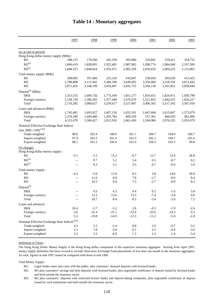|                                                              | 1997      | 1998      | 1999        | 2000        | 2001             | 2002             | 2003       |
|--------------------------------------------------------------|-----------|-----------|-------------|-------------|------------------|------------------|------------|
| (as at end of period)                                        |           |           |             |             |                  |                  |            |
| Hong Kong dollar money supply (\$Mn):                        |           |           |             |             |                  |                  |            |
| M1                                                           | 188,135   | 178,260   | 205,339     | 203,966     | 229,841          | 259,411          | 354,752    |
| $M2^{(a)}$                                                   | 1,666,419 | 1,828,691 | 1,923,481   | 1,987,963   | 1,998,774        | 1,984,049        | 2,107,269  |
| $M3^{(a)}$                                                   | 1,684,325 | 1,840,824 | 1,935,471   | 2,002,358   | 2,016,635        | 2,004,225        | 2,122,861  |
| Total money supply (\$Mn)                                    |           |           |             |             |                  |                  |            |
| M1                                                           | 208,093   | 197,666   | 225,156     | 243,847     | 258,056          | 295,650          | 413,423    |
| M <sub>2</sub>                                               | 2,788,808 | 3,111,942 | 3,386,196   | 3,649,492   | 3,550,060        | 3,518,326        | 3,813,442  |
| M <sub>3</sub>                                               | 2,871,425 | 3,168,199 | 3,434,467   | 3,692,753   | 3,594,130        | 3,561,852        | 3,858,044  |
| Deposit <sup>(b)</sup> (\$Mn)                                |           |           |             |             |                  |                  |            |
| HK\$                                                         | 1,551,555 | 1,699,726 | 1,773,169   | 1,851,177   | 1,854,651        | 1,824,911        | 1,930,790  |
| Foreign currency                                             | 1,158,728 | 1,300,302 | 1,477,448   | 1,676,670   | 1,551,852        | 1,492,631        | 1,636,227  |
| Total                                                        | 2,710,282 | 3,000,027 | 3,250,617   | 3,527,847   | 3,406,502        | 3,317,542        | 3,567,018  |
| Loans and advances (\$Mn)                                    |           |           |             |             |                  |                  |            |
| HK\$                                                         | 1,742,481 | 1,695,027 | 1,607,126   | 1,652,191   | 1,647,684        | 1,615,667        | 1,573,079  |
| Foreign currency                                             | 2,379,189 | 1,609,400 | 1,205,784   | 809,259     | 537,301          | 460,659          | 462,000    |
| Total                                                        | 4,121,670 | 3,304,427 | 2,812,910   | 2,461,450   | 2,184,986        | 2,076,325        | 2,035,079  |
|                                                              |           |           |             |             |                  |                  |            |
| Nominal Effective Exchange Rate Indices                      |           |           |             |             |                  |                  |            |
| $\left(\text{Jan } 2000 = 100\right)^{(c)(d)}$               |           |           |             |             |                  |                  |            |
| Trade-weighted                                               | 98.0      | 103.4     | 100.9       | 101.7       | 104.7            | 104.0            | 100.7      |
| Import-weighted                                              | 97.9      | 105.5     | 101.4       | 101.5       | 105.1            | 104.7            | 101.6      |
| Export-weighted                                              | 98.1      | 101.3     | 100.4       | 101.9       | 104.3            | 103.3            | 99.8       |
| (% change)                                                   |           |           |             |             |                  |                  |            |
| Hong Kong dollar money supply:                               |           |           |             |             |                  |                  |            |
| M1                                                           | $-5.1$    | $-5.2$    | 15.2        | $-0.7$      | 12.7             | 12.9             | 36.8       |
| $M2^{(a)}$                                                   | $-$       | 9.7       | 5.2         | 3.4         | 0.5              | $-0.7$           | 6.2        |
| $M3^{(a)}$                                                   | $-$       | 9.3       | 5.1         | 3.5         | 0.7              | $-0.6$           | 5.9        |
| Total money supply:                                          |           |           |             |             |                  |                  |            |
| M1                                                           | $-4.3$    | $-5.0$    | 13.9        | 8.3         | 5.8              | 14.6             | 39.8       |
| M2                                                           | $-$       | 11.6      | $8.8\,$     | 7.8         | $-2.7$           | $-0.9$           | 8.4        |
| M <sub>3</sub>                                               | $-$       | 10.3      | 8.4         | $7.5\,$     | $-2.7$           | $-0.9$           | 8.3        |
|                                                              |           |           |             |             |                  |                  |            |
| $Deposit^{(b)}$                                              |           |           |             |             |                  |                  |            |
| HK\$                                                         | $-$       | 9.5       | 4.3         | 4.4         | 0.2              | $-1.6$           | 5.8        |
| Foreign currency<br>Total                                    | $-$       | 12.2      | 13.6<br>8.4 | 13.5<br>8.5 | $-7.4$<br>$-3.4$ | $-3.8$<br>$-2.6$ | 9.6<br>7.5 |
|                                                              | --        | 10.7      |             |             |                  |                  |            |
| Loans and advances                                           |           |           |             |             |                  |                  |            |
| HK\$                                                         | 20.4      | $-2.7$    | $-5.2$      | $2.8\,$     | $-0.3$           | $-1.9$           | $-2.6$     |
| Foreign currency                                             | $-3.6$    | $-32.4$   | $-25.1$     | $-32.9$     | $-33.6$          | $-14.3$          | 0.3        |
| Total                                                        | 5.3       | $-19.8$   | $-14.9$     | $-12.5$     | $-11.2$          | $-5.0$           | $-2.0$     |
| Nominal Effective Exchange Rate Indices ${}^{\text{(c)(d)}}$ |           |           |             |             |                  |                  |            |
| Trade-weighted                                               | 4.3       | 5.5       | $-2.4$      | $0.8\,$     | 2.9              | $-0.7$           | $-3.2$     |
| Import-weighted                                              | 5.3       | 7.8       | $-3.9$      | 0.1         | 3.5              | $-0.4$           | $-3.0$     |
| Export-weighted                                              | $3.2\,$   | 3.3       | $-0.9$      | 1.5         | 2.4              | $-1.0$           | $-3.4$     |

### **Table 14 : Monetary aggregates**

#### Definition of Terms :

The Hong Kong Dollar Money Supply is the Hong Kong dollar component of the respective monetary aggregate. Starting from April 1997, money supply definition has been revised to include short-term Exchange Fund placements of less than one month in the monetary aggregates. As such, figures at end-1997 cannot be compared with those at end-1996.

Total Money Supply:

M1: Legal tender notes and coins with the public, plus customers' demand deposits with licensed banks.

M2: M1 plus customers' savings and time deposits with licensed banks, plus negotiable certificates of deposit issued by licensed banks and held outside the monetary sector.

M3: M2 plus customers' deposits with restricted licence banks and deposit-taking companies, plus negotiable certificates of deposit issued by such institutions and held outside the monetary sector.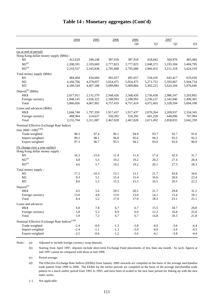|                                                              | 2004      | 2005      | 2006      | 2006      |           | 2007           |                |
|--------------------------------------------------------------|-----------|-----------|-----------|-----------|-----------|----------------|----------------|
|                                                              |           |           |           | Q4        | Q1        | Q <sub>2</sub> | Q <sub>3</sub> |
| (as at end of period)                                        |           |           |           |           |           |                |                |
| Hong Kong dollar money supply (\$Mn):                        |           |           |           |           |           |                |                |
| M1                                                           | 412,629   | 348,248   | 387,918   | 387,918   | 418,842   | 504,970        | 483,484        |
| $M2^{(a)}$                                                   | 2,208,591 | 2,329,669 | 2,777,823 | 2,777,823 | 2,948,372 | 3,193,184      | 3,404,795      |
| $M3^{(a)}$                                                   | 2,219,557 | 2,345,838 | 2,795,688 | 2,795,688 | 2,966,455 | 3,211,318      | 3,424,319      |
| Total money supply (\$Mn)                                    |           |           |           |           |           |                |                |
| M1                                                           | 484,494   | 434,684   | 491,657   | 491,657   | 534,416   | 643,417        | 633,039        |
| M <sub>2</sub>                                               | 4,166,706 | 4,379,057 | 5,054,475 | 5,054,475 | 5,271,752 | 5,593,867      | 5,944,734      |
| M <sub>3</sub>                                               | 4,189,544 | 4,407,188 | 5,089,884 | 5,089,884 | 5,302,225 | 5,624,184      | 5,976,046      |
| Deposit <sup>(b)</sup> ( $$Mn)$                              |           |           |           |           |           |                |                |
| <b>HKS</b>                                                   | 2,017,911 | 2,131,579 | 2,568,426 | 2,568,426 | 2,736,438 | 2,986,547      | 3,203,802      |
| Foreign currency                                             | 1,848,145 | 1,936,322 | 2,188,993 | 2,188,993 | 2,236,227 | 2,342,046      | 2,490,305      |
| Total                                                        | 3,866,056 | 4,067,901 | 4,757,419 | 4,757,419 | 4,972,665 | 5,328,594      | 5,694,108      |
| Loans and advances (\$Mn)                                    |           |           |           |           |           |                |                |
| <b>HKS</b>                                                   | 1,666,740 | 1,797,350 | 1,917,437 | 1,917,437 | 2,070,264 | 2,209,937      | 2,334,345      |
| Foreign currency                                             | 488,964   | 514,637   | 550,392   | 550,392   | 601,228   | 648,896        | 707,994        |
| Total                                                        | 2,155,704 | 2,311,987 | 2,467,828 | 2,467,828 | 2,671,492 | 2,858,833      | 3,042,339      |
| Nominal Effective Exchange Rate Indices                      |           |           |           |           |           |                |                |
| (Jan 2000 = $100^{(c)(d)}$                                   |           |           |           |           |           |                |                |
| Trade-weighted                                               | 98.3      | 97.4      | 96.1      | 94.9      | 93.7      | 92.7           | 91.6           |
| Import-weighted                                              | 99.2      | 98.1      | 96.8      | 95.6      | 94.3      | 93.5           | 92.2           |
| Export-weighted                                              | 97.3      | 96.7      | 95.5      | 94.2      | 93.0      | 92.0           | 90.9           |
| (% change over a year earlier)                               |           |           |           |           |           |                |                |
| Hong Kong dollar money supply:                               |           |           |           |           |           |                |                |
| M1                                                           | 16.3      | $-15.6$   | 11.4      | 11.4      | 17.4      | 42.9           | 31.7           |
| $M2^{(a)}$                                                   | 4.8       | 5.5       | 19.2      | 19.2      | 20.2      | 27.4           | 28.4           |
| $M3^{(a)}$                                                   | 4.6       | 5.7       | 19.2      | 19.2      | 20.1      | 27.3           | 28.3           |
| Total money supply:                                          |           |           |           |           |           |                |                |
| M1                                                           | 17.2      | $-10.3$   | 13.1      | 13.1      | 21.7      | 43.8           | 34.6           |
| M <sub>2</sub>                                               | 9.3       | 5.1       | 15.4      | 15.4      | 16.6      | 20.6           | 22.4           |
| M <sub>3</sub>                                               | 8.6       | 5.2       | 15.5      | 15.5      | 16.5      | 20.5           | 22.3           |
| Deposit <sup>(b)</sup>                                       |           |           |           |           |           |                |                |
| HK\$                                                         | 4.5       | 5.6       | 20.5      | 20.5      | 21.7      | 29.8           | 31.2           |
| Foreign currency                                             | 13.0      | 4.8       | 13.0      | 13.0      | 14.1      | 15.4           | 18.1           |
| Total                                                        | 8.4       | 5.2       | 17.0      | 17.0      | 18.2      | 23.1           | 25.1           |
| Loans and advances                                           |           |           |           |           |           |                |                |
| HK\$                                                         | $6.0\,$   | 7.8       | 6.7       | 6.7       | 15.5      | 18.7           | $20.8\,$       |
| Foreign currency                                             | 5.8       | 5.3       | 6.9       | 6.9       | 12.2      | 16.8           | 25.0           |
| Total                                                        | 5.9       | $7.2\,$   | 6.7       | 6.7       | 14.8      | 18.3           | 21.8           |
| Nominal Effective Exchange Rate Indices ${}^{\text{(c)(d)}}$ |           |           |           |           |           |                |                |
| Trade-weighted                                               | $-2.4$    | $-0.9$    | $-1.3$    | $-3.8$    | $-4.0$    | $-3.6$         | $-4.4$         |
| Import-weighted                                              | $-2.4$    | $-1.1$    | $-1.3$    | $-3.9$    | $-4.0$    | $-3.4$         | $-4.5$         |
| Export-weighted                                              | $-2.5$    | $-0.6$    | $-1.2$    | $-3.6$    | $-4.1$    | $-3.8$         | $-4.4$         |
|                                                              |           |           |           |           |           |                |                |

#### **Table 14 : Monetary aggregates (Cont'd)**

Notes : (a) Adjusted to include foreign currency swap deposits.

(b) Starting from April 1997, deposits include short-term Exchange Fund placements of less than one month. As such, figures at end-1997 cannot be compared with those at end-1996.

(c) Period average.

(d) The Effective Exchange Rate Indices (EERIs) from January 2000 onwards are compiled on the basis of the average merchandise trade pattern from 1999 to 2000. The EERIs for the earlier periods are compiled on the basis of the average merchandise trade pattern in a much earlier period from 1991 to 1993, and have been re-scaled to the new base period for linking up with the new index series.

(--) Not applicable.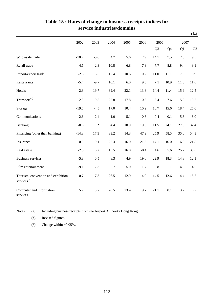|                                                             |         |         |         |         |        |                |                |      | $(\% )$        |
|-------------------------------------------------------------|---------|---------|---------|---------|--------|----------------|----------------|------|----------------|
|                                                             | 2002    | 2003    | 2004    | 2005    | 2006   | 2006           |                | 2007 |                |
|                                                             |         |         |         |         |        | Q <sub>3</sub> | Q <sub>4</sub> | Q1   | Q <sub>2</sub> |
| Wholesale trade                                             | $-10.7$ | $-5.0$  | 4.7     | 5.6     | 7.9    | 14.1           | 7.5            | 7.3  | 9.3            |
| Retail trade                                                | $-4.1$  | $-2.3$  | 10.8    | 6.8     | 7.3    | 7.7            | 8.8            | 9.4  | 9.1            |
| Import/export trade                                         | $-2.8$  | 6.5     | 12.4    | 10.6    | 10.2   | 11.0           | 11.1           | 7.5  | 8.9            |
| Restaurants                                                 | $-5.4$  | $-9.7$  | 10.1    | $6.0\,$ | 9.5    | 7.1            | 10.9           | 11.8 | 11.6           |
| Hotels                                                      | $-2.3$  | $-19.7$ | 39.4    | 22.1    | 13.8   | 14.4           | 11.4           | 15.9 | 12.5           |
| Transport <sup>(a)</sup>                                    | 2.3     | 0.5     | 22.8    | 17.8    | 10.6   | 6.4            | 7.6            | 5.9  | 10.2           |
| Storage                                                     | $-19.6$ | $-4.5$  | 17.0    | 10.4    | 10.2   | 10.7           | 15.6           | 18.4 | 25.0           |
| Communications                                              | $-2.6$  | $-2.4$  | $1.0\,$ | 5.1     | 0.8    | $-0.4$         | $-0.1$         | 5.8  | $\rm 8.0$      |
| Banking                                                     | $-0.8$  | $\ast$  | 4.4     | 10.9    | 19.5   | 11.5           | 24.1           | 27.3 | 32.4           |
| Financing (other than banking)                              | $-14.3$ | 17.3    | 33.2    | 14.3    | 47.9   | 25.9           | 58.5           | 35.0 | 54.3           |
| Insurance                                                   | 10.3    | 19.1    | 22.3    | 16.0    | 21.3   | 14.1           | 16.0           | 16.0 | 21.8           |
| Real estate                                                 | $-2.5$  | 6.2     | 13.5    | 16.0    | $-0.4$ | 4.6            | 5.6            | 25.7 | 33.6           |
| <b>Business services</b>                                    | $-5.8$  | 0.5     | 8.3     | 4.9     | 19.6   | 22.9           | 18.3           | 14.8 | 12.1           |
| Film entertainment                                          | $-9.1$  | 2.3     | 3.7     | 5.0     | 1.7    | 5.8            | 1.1            | 4.5  | 4.6            |
| Tourism, convention and exhibition<br>services <sup>#</sup> | 10.7    | $-7.3$  | 26.5    | 12.9    | 14.0   | 14.5           | 12.6           | 14.4 | 15.5           |
| Computer and information<br>services                        | 5.7     | 5.7     | 20.5    | 23.4    | 9.7    | 21.1           | 0.1            | 3.7  | 6.7            |

## **Table 15 : Rates of change in business receipts indices for service industries/domains**

Notes : (a) Including business receipts from the Airport Authority Hong Kong.

(#) Revised figures.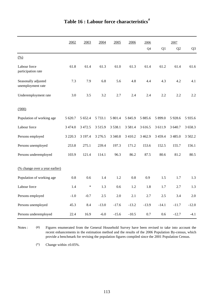|                                          | 2002       | 2003    | 2004       | 2005       | 2006        | 2006        | 2007      |            |                |
|------------------------------------------|------------|---------|------------|------------|-------------|-------------|-----------|------------|----------------|
|                                          |            |         |            |            |             | Q4          | Q1        | Q2         | Q <sub>3</sub> |
| $\frac{(0,0)}{2}$                        |            |         |            |            |             |             |           |            |                |
| Labour force<br>participation rate       | 61.8       | 61.4    | 61.3       | 61.0       | 61.3        | 61.4        | 61.2      | 61.4       | 61.6           |
| Seasonally adjusted<br>unemployment rate | 7.3        | 7.9     | 6.8        | 5.6        | 4.8         | 4.4         | 4.3       | 4.2        | 4.1            |
| Underemployment rate                     | 3.0        | 3.5     | 3.2        | 2.7        | 2.4         | 2.4         | 2.2       | 2.2        | 2.2            |
| (000)                                    |            |         |            |            |             |             |           |            |                |
| Population of working age                | 5 620.7    | 5 652.4 | 5 7 3 3.1  | 5 801.4    | 5 845.9     | 5 8 8 5 . 6 | 5 899.0   | 5928.6     | 5 9 3 5 . 6    |
| Labour force                             | 3 4 7 4 .0 | 3 472.5 | 3515.9     | 3 5 3 8 .1 | 3 5 8 1 . 4 | 3 616.5     | 3 611.9   | 3 640.7    | 3 658.3        |
| Persons employed                         | 3 2 2 0.3  | 3 197.4 | 3 2 7 6 .5 | 3 3 4 0.8  | 3 4 1 0.2   | 3 4 6 2.9   | 3 4 5 9.4 | 3 4 8 5 .0 | 3 502.2        |
| Persons unemployed                       | 253.8      | 275.1   | 239.4      | 197.3      | 171.2       | 153.6       | 152.5     | 155.7      | 156.1          |
| Persons underemployed                    | 103.9      | 121.4   | 114.1      | 96.3       | 86.2        | 87.5        | 80.6      | 81.2       | 80.5           |
| (% change over a year earlier)           |            |         |            |            |             |             |           |            |                |
| Population of working age                | 0.8        | 0.6     | 1.4        | 1.2        | 0.8         | 0.9         | 1.5       | 1.7        | 1.3            |
| Labour force                             | 1.4        | $\ast$  | 1.3        | 0.6        | 1.2         | 1.8         | 1.7       | 2.7        | 1.3            |
| Persons employed                         | $-1.0$     | $-0.7$  | 2.5        | 2.0        | 2.1         | 2.7         | 2.5       | 3.4        | 2.0            |
| Persons unemployed                       | 45.3       | 8.4     | $-13.0$    | $-17.6$    | $-13.2$     | $-13.9$     | $-14.1$   | $-11.7$    | $-12.0$        |
| Persons underemployed                    | 22.4       | 16.9    | $-6.0$     | $-15.6$    | $-10.5$     | 0.7         | 0.6       | $-12.7$    | $-4.1$         |

Notes : (#) Figures enumerated from the General Household Survey have been revised to take into account the recent enhancements in the estimation method and the results of the 2006 Population By-census, which provide a benchmark for revising the population figures compiled since the 2001 Population Census.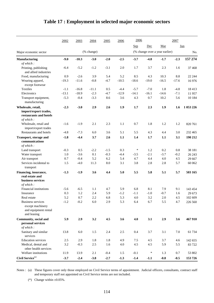|                                                                                     | 2002    | 2003    | 2004       | 2005   | 2006    | 2006    |         |                                | 2007    |           |
|-------------------------------------------------------------------------------------|---------|---------|------------|--------|---------|---------|---------|--------------------------------|---------|-----------|
|                                                                                     |         |         |            |        |         | Sep     | Dec     | Mar                            |         | Jun       |
| Major economic sector                                                               |         |         | (% change) |        |         |         |         | (% change over a year earlier) |         | No.       |
| <b>Manufacturing</b>                                                                | $-9.0$  | $-10.3$ | $-3.0$     | $-2.0$ | $-2.5$  | $-3.7$  | $-4.8$  | $-1.7$                         | $-2.3$  | 157 274   |
| of which:                                                                           |         |         |            |        |         |         |         |                                |         |           |
| Printing, publishing<br>and allied industries                                       | $-6.4$  | $-5.2$  | $-1.2$     | $-3.1$ | $2.0$   | 1.7     | 3.7     | 2.3                            | 1.6     | 37 4 68   |
| Food, manufacturing                                                                 | 0.9     | $-2.6$  | 3.9        | 5.4    | 5.2     | 8.5     | 4.3     | 10.3                           | 8.8     | 22 244    |
| Wearing apparel,<br>except footwear                                                 | $-19.3$ | $-11.6$ | $-0.8$     | $-4.7$ | $-10.5$ | $-18.6$ | $-19.0$ | $-16.5$                        | $-17.6$ | 16976     |
| Textiles                                                                            | $-1.1$  | $-16.8$ | $-11.1$    | 0.5    | $-4.4$  | $-5.7$  | $-7.0$  | 1.8                            | $-4.8$  | 18413     |
| Electronics                                                                         | $-13.1$ | $-18.9$ | $-2.3$     | $-4.7$ | $-12.9$ | $-14.1$ | $-16.1$ | $-14.6$                        | $-7.1$  | 11957     |
| Transport equipment,<br>manufacturing                                               | $-5.3$  | $-0.4$  | $-3.3$     | 8.6    | 3.6     | 4.3     | 0.7     | 10.2                           | 5.6     | 10 184    |
| Wholesale, retail,                                                                  | $-2.3$  | $-3.0$  | 2.9        | 2.6    | 1.9     | 1.7     | 2.3     | 1.9                            | 1.6     | 1 053 226 |
| import/export trades,<br>restaurants and hotels<br>of which:                        |         |         |            |        |         |         |         |                                |         |           |
| Wholesale, retail and                                                               | $-1.6$  | $-1.9$  | 2.1        | 2.3    | 1.1     | 0.7     | 1.8     | 1.2                            | 1.2     | 820 761   |
| import/export trades                                                                |         |         |            |        |         |         |         |                                |         |           |
| Restaurants and hotels                                                              | $-4.8$  | $-7.3$  | 6.0        | 3.6    | 5.1     | 5.5     | 4.3     | 4.4                            | 3.0     | 232 465   |
| Transport, storage and<br>communications<br>of which:                               | $-1.8$  | $-4.4$  | 3.7        | 2.6    | 1.1     | 1.4     | 1.7     | 1.1                            | 3.1     | 190 212   |
| Land transport                                                                      | $-0.3$  | 0.5     | $-2.2$     | $-1.5$ | 0.3     | ∗       | 1.2     | 0.2                            | 0.8     | 38 181    |
| Water transport                                                                     | 1.0     | $-3.6$  | 0.1        | $-0.3$ | $-4.4$  | $-3.5$  | $-2.1$  | $-3.7$                         | $-0.2$  | 26 24 3   |
| Air transport                                                                       | 0.7     | $-0.4$  | 5.2        | 6.2    | 5.4     | 4.7     | 4.4     | 4.0                            | 4.5     | 29 667    |
| Services incidental to                                                              | 1.5     | $-4.0$  | 11.3       | 8.0    | 3.1     | 3.8     | 2.8     | 2.8                            | 5.7     | 60 062    |
| transport                                                                           |         |         |            |        |         |         |         |                                |         |           |
| Financing, insurance,<br>real estate and<br>business services                       | $-1.3$  | $-1.9$  | 3.6        | 4.4    | 5.0     | 5.5     | 5.8     | 5.1                            | 5.7     | 503 165   |
| of which:                                                                           |         |         |            |        |         |         |         |                                |         |           |
| Financial institutions                                                              | $-5.6$  | $-6.5$  | 1.1        | 4.7    | 5.9     | 6.8     | 8.1     | 7.9                            | 9.1     | 143 454   |
| Insurance                                                                           | 0.3     | 1.2     | 2.4        | 5.9    | $-1.2$  | $-1.1$  | $-1.0$  | $-0.7$                         | 1.6     | 29 673    |
| Real estate                                                                         | 5.2     | 0.7     | 2.2        | 6.8    | 5.3     | 4.0     | 3.2     | $2.0\,$                        | 4.5     | 102 609   |
| <b>Business services</b><br>except machinery<br>and equipment rental<br>and leasing | $-1.2$  | $-0.2$  | 6.0        | 2.9    | 5.3     | 6.4     | 6.7     | 5.5                            | 4.7     | 226 560   |
| Community, social and<br>personal services                                          | 5.9     | 2.9     | 3.2        | 4.5    | 3.6     | 4.0     | 3.1     | 2.9                            | 3.6     | 467910    |
| of which:                                                                           |         |         |            |        |         |         |         |                                |         |           |
| Sanitary and similar<br>services                                                    | 13.8    | 6.0     | 1.5        | 2.4    | 2.5     | 0.4     | 3.7     | $3.1\,$                        | 7.0     | 61 734    |
| <b>Education</b> services                                                           | 2.5     | 2.9     | 1.8        | 1.8    | 4.9     | 7.5     | 4.5     | 3.7                            | 4.6     | 142 655   |
| Medical, dental and<br>other health services                                        | 3.2     | $-0.3$  | $2.5\,$    | 1.6    | 4.0     | 4.5     | 4.5     | 5.9                            | 5.5     | 83 722    |
| Welfare institutions                                                                | 11.9    | 13.9    | 2.1        | $-0.4$ | 1.5     | $-0.1$  | $\ast$  | 1.3                            | 0.7     | 53 802    |
| Civil $\operatorname{Service}^{\left( a\right) }$                                   | $-3.7$  | $-2.4$  | $-3.8$     | $-2.7$ | $-1.3$  | $-1.4$  | $-1.1$  | $-0.8$                         | $-0.5$  | 153726    |

## **Table 17 : Employment in selected major economic sectors**

Notes : (a) These figures cover only those employed on Civil Service terms of appointment. Judicial officers, consultants, contract staff and temporary staff not appointed on Civil Service terms are not included.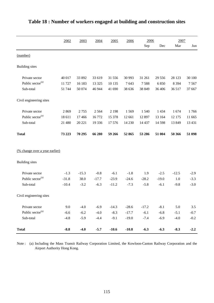|                                | 2002    | 2003    | 2004    | 2005    | 2006    | 2006        |          | 2007    |         |
|--------------------------------|---------|---------|---------|---------|---------|-------------|----------|---------|---------|
|                                |         |         |         |         |         | ${\rm Sep}$ | Dec      | Mar     | Jun     |
| (number)                       |         |         |         |         |         |             |          |         |         |
| <b>Building</b> sites          |         |         |         |         |         |             |          |         |         |
| Private sector                 | 40 017  | 33 892  | 33 619  | 31 556  | 30 993  | 31 261      | 29 5 5 6 | 28 1 23 | 30 100  |
| Public sector <sup>(a)</sup>   | 11 727  | 16 183  | 13 3 25 | 10 135  | 7643    | 7588        | 6850     | 8 3 9 4 | 7567    |
| Sub-total                      | 51 744  | 50 074  | 46 944  | 41 690  | 38 636  | 38 849      | 36 40 6  | 36 517  | 37 667  |
| Civil engineering sites        |         |         |         |         |         |             |          |         |         |
| Private sector                 | 2869    | 2755    | 2564    | 2 1 9 8 | 1569    | 1540        | 1 4 3 4  | 1674    | 1766    |
| Public sector <sup>(a)</sup>   | 18 611  | 17466   | 16772   | 15 378  | 12 661  | 12 897      | 13 164   | 12 175  | 11 665  |
| Sub-total                      | 21 480  | 20 221  | 19 3 36 | 17576   | 14 2 30 | 14 4 37     | 14 5 98  | 13 8 49 | 13 4 31 |
| <b>Total</b>                   | 73 223  | 70 295  | 66 280  | 59 266  | 52 865  | 53 286      | 51 004   | 50 366  | 51 098  |
| (% change over a year earlier) |         |         |         |         |         |             |          |         |         |
| <b>Building</b> sites          |         |         |         |         |         |             |          |         |         |
| Private sector                 | $-1.3$  | $-15.3$ | $-0.8$  | $-6.1$  | $-1.8$  | 1.9         | $-2.5$   | $-12.5$ | $-2.9$  |
| Public sector <sup>(a)</sup>   | $-31.8$ | 38.0    | $-17.7$ | $-23.9$ | $-24.6$ | $-28.2$     | $-19.0$  | 1.0     | $-3.3$  |
| Sub-total                      | $-10.4$ | $-3.2$  | $-6.3$  | $-11.2$ | $-7.3$  | $-5.8$      | $-6.1$   | $-9.8$  | $-3.0$  |
| Civil engineering sites        |         |         |         |         |         |             |          |         |         |
| Private sector                 | 9.0     | $-4.0$  | $-6.9$  | $-14.3$ | $-28.6$ | $-17.2$     | $-8.1$   | 5.0     | 3.5     |
| Public sector <sup>(a)</sup>   | $-6.6$  | $-6.2$  | $-4.0$  | $-8.3$  | $-17.7$ | $-6.1$      | $-6.8$   | $-5.1$  | $-0.7$  |
| Sub-total                      | $-4.8$  | $-5.9$  | $-4.4$  | $-9.1$  | $-19.0$ | $-7.4$      | $-6.9$   | $-4.0$  | $-0.2$  |
| <b>Total</b>                   | $-8.8$  | $-4.0$  | $-5.7$  | $-10.6$ | $-10.8$ | $-6.3$      | $-6.3$   | $-8.3$  | $-2.2$  |

## **Table 18 : Number of workers engaged at building and construction sites**

Note : (a) Including the Mass Transit Railway Corporation Limited, the Kowloon-Canton Railway Corporation and the Airport Authority Hong Kong.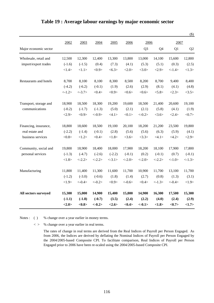|                        |           |           |                 |           |            |                |           |          | $\mathfrak{B}$ |
|------------------------|-----------|-----------|-----------------|-----------|------------|----------------|-----------|----------|----------------|
|                        | 2002      | 2003      | 2004            | 2005      | 2006       | 2006           |           | 2007     |                |
| Major economic sector  |           |           |                 |           |            | Q <sub>3</sub> | Q4        | Q1       | Q2             |
| Wholesale, retail and  | 12,500    | 12,300    | 12,400          | 13,300    | 13,800     | 13,000         | 14,100    | 15,600   | 12,800         |
| import/export trades   | $(-1.6)$  | $(-1.5)$  | (0.4)           | (7.3)     | (4.1)      | (5.3)          | (5.1)     | (0.3)    | (2.5)          |
|                        | <1.4>     | <1.1>     | $<\!\!0.9\!\!>$ | <6.3>     | <2.0>      | <3.0>          | <2.9>     | <1.4>    | <1.3>          |
| Restaurants and hotels | 8,700     | 8,100     | 8,100           | 8,300     | 8,500      | 8,200          | 8,700     | 9,400    | 8,400          |
|                        | $(-4.2)$  | $(-6.2)$  | $(-0.1)$        | (1.9)     | (2.6)      | (2.9)          | (8.1)     | (4.1)    | (4.8)          |
|                        | $< -1.2>$ | $< -3.7>$ | <0.4>           | <0.9>     | <0.6       | <0.6           | 5.8>      | <2.3>    | <3.5>          |
| Transport, storage and | 18,900    | 18,500    | 18,300          | 19,200    | 19,600     | 18,500         | 21,400    | 20,600   | 19,100         |
| communications         | $(-0.2)$  | $(-1.7)$  | $(-1.3)$        | (5.0)     | (2.1)      | (2.1)          | (5.8)     | (4.1)    | (1.9)          |
|                        | <2.9>     | <0.9>     | $< -0.9 >$      | <4.1>     | <0.1>      | $<-0.2>$       | <3.6>     | <2.4>    | <0.7>          |
| Financing, insurance,  | 18,800    | 18,600    | 18,500          | 19,100    | 20,100     | 18,200         | 21,200    | 23,500   | 19,800         |
| real estate and        | $(-2.2)$  | $(-1.4)$  | $(-0.1)$        | (2.8)     | (5.6)      | (5.6)          | (6.3)     | (5.9)    | (4.1)          |
| business services      | <0.8>     | <1.2>     | <0.4>           | <1.8>     | <3.6>      | <3.3>          | <4.1>     | <4.2>    | <2.9>          |
| Community, social and  | 19,800    | 18,900    | 18,400          | 18,000    | 17,900     | 18,200         | 18,100    | 17,900   | 17,800         |
| personal services      | $(-1.3)$  | $(-4.7)$  | $(-2.6)$        | $(-2.2)$  | $(-0.1)$   | (0.2)          | $(-0.1)$  | (0.7)    | $(-0.1)$       |
|                        | <1.8>     | $< -2.2>$ | $< -2.2>$       | $< -3.1>$ | $<-2.0>$   | $<-2.0>$       | $< -2.2>$ | $<-1.0>$ | $< -1.3>$      |
| Manufacturing          | 11,800    | 11,400    | 11,300          | 11,600    | 11,700     | 10,900         | 11,700    | 13,100   | 11,700         |
|                        | $(-1.2)$  | $(-3.0)$  | $(-0.6)$        | (1.8)     | (1.4)      | (2.7)          | (0.8)     | (1.3)    | (3.1)          |
|                        | <1.9>     | $< -0.4>$ | $<-0.2>$        | <0.9>     | $< -0.6 >$ | <0.4>          | $<-1.3>$  | $<-0.4>$ | <1.9>          |
| All sectors surveyed   | 15,300    | 15,000    | 14,900          | 15,400    | 15,800     | 14,900         | 16,300    | 17,500   | 15,300         |
|                        | $(-1.1)$  | $(-1.8)$  | $(-0.7)$        | (3.5)     | (2.4)      | (2.2)          | (4.0)     | (2.4)    | (2.9)          |
|                        | <2.0>     | <0.8>     | $<-0.2>$        | <2.6>     | <0.4>      | $<-0.1>$       | <1.8>     | <0.7>    | <1.7>          |

#### **Table 19 : Average labour earnings by major economic sector**

 $(3)$ 

Notes : ( ) % change over a year earlier in money terms.

< > % change over a year earlier in real terms.

The rates of change in real terms are derived from the Real Indices of Payroll per Person Engaged. As from 2006, the Indices are derived by deflating the Nominal Indices of Payroll per Person Engaged by the 2004/2005-based Composite CPI. To facilitate comparison, Real Indices of Payroll per Person Engaged prior to 2006 have been re-scaled using the 2004/2005-based Composite CPI.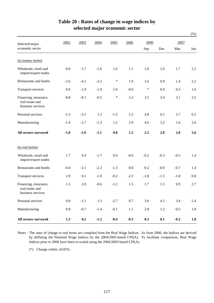|                                                               |         |        |        |        |         |        |        |        | $(\% )$ |
|---------------------------------------------------------------|---------|--------|--------|--------|---------|--------|--------|--------|---------|
| Selected major                                                | 2002    | 2003   | 2004   | 2005   | 2006    | 2006   |        | 2007   |         |
| economic sector                                               |         |        |        |        |         | Sep    | Dec    | Mar    | Jun     |
| (in money terms)                                              |         |        |        |        |         |        |        |        |         |
| Wholesale, retail and<br>import/export trades                 | $-0.6$  | $-1.7$ | $-1.6$ | 1.6    | 1.1     | 1.6    | 1.6    | 1.7    | 2.2     |
| Restaurants and hotels                                        | $-2.6$  | $-4.1$ | $-2.2$ | $\ast$ | 1.0     | 1.6    | 0.9    | 1.4    | 2.2     |
| <b>Transport services</b>                                     | 0.6     | $-1.9$ | $-1.0$ | 1.0    | $-0.6$  | $\ast$ | 0.4    | 0.3    | 1.6     |
| Financing, insurance,<br>real estate and<br>business services | $-0.8$  | $-0.1$ | $-0.5$ | $\ast$ | 3.2     | 3.5    | 3.4    | 3.1    | 3.5     |
| Personal services                                             | $-1.5$  | $-3.1$ | 1.3    | $-1.5$ | 2.5     | 4.8    | 6.1    | 5.7    | 6.2     |
| Manufacturing                                                 | $-1.4$  | $-2.7$ | $-1.3$ | 1.2    | 2.9     | 4.6    | 3.2    | 1.6    | 2.6     |
| All sectors surveyed                                          | $-1.0$  | $-1.9$ | $-1.1$ | 0.8    | 1.5     | 2.2    | 2.0    | 2.0    | 2.6     |
| (in real terms)                                               |         |        |        |        |         |        |        |        |         |
| Wholesale, retail and<br>import/export trades                 | 1.7     | 0.4    | $-1.7$ | 0.4    | $-0.6$  | $-0.2$ | $-0.3$ | $-0.5$ | 1.4     |
| Restaurants and hotels                                        | $-0.4$  | $-2.1$ | $-2.3$ | $-1.3$ | $-0.8$  | $-0.2$ | $-0.9$ | $-0.7$ | 1.4     |
| <b>Transport services</b>                                     | 2.9     | 0.1    | $-1.0$ | $-0.2$ | $-2.3$  | $-1.8$ | $-1.5$ | $-1.8$ | 0.8     |
| Financing, insurance,<br>real estate and<br>business services | 1.5     | 2.0    | $-0.6$ | $-1.2$ | 1.5     | 1.7    | 1.5    | 0.9    | 2.7     |
| Personal services                                             | $0.8\,$ | $-1.1$ | 1.3    | $-2.7$ | $0.7\,$ | 3.0    | 4.2    | 3.4    | 5.4     |
| Manufacturing                                                 | $0.8\,$ | $-0.7$ | $-1.4$ | $-0.1$ | $1.1\,$ | 2.8    | 1.2    | $-0.5$ | $1.8\,$ |
| All sectors surveyed                                          | 1.3     | 0.2    | $-1.2$ | $-0.4$ | $-0.3$  | 0.3    | 0.1    | $-0.2$ | $1.8\,$ |

## **Table 20 : Rates of change in wage indices by selected major economic sector**

Notes : The rates of change in real terms are compiled from the Real Wage Indices. As from 2006, the Indices are derived by deflating the Nominal Wage Indices by the 2004/2005-based CPI(A). To facilitate comparison, Real Wage Indices prior to 2006 have been re-scaled using the 2004/2005-based CPI(A).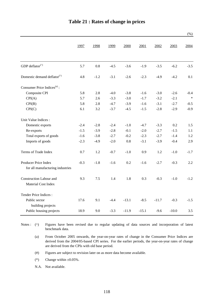|                                                            |        |        |        |         |         |         |         | (% )   |
|------------------------------------------------------------|--------|--------|--------|---------|---------|---------|---------|--------|
|                                                            | 1997   | 1998   | 1999   | 2000    | 2001    | 2002    | 2003    | 2004   |
| GDP deflator <sup>(^)</sup>                                | 5.7    | 0.8    | $-4.5$ | $-3.6$  | $-1.9$  | $-3.5$  | $-6.2$  | $-3.5$ |
| Domestic demand deflator <sup>(<math>\hat{ }</math>)</sup> | 4.8    | $-1.2$ | $-3.1$ | $-2.6$  | $-2.3$  | $-4.9$  | $-4.2$  | 0.1    |
| Consumer Price Indices <sup>(a)</sup> :                    |        |        |        |         |         |         |         |        |
| Composite CPI                                              | 5.8    | 2.8    | $-4.0$ | $-3.8$  | $-1.6$  | $-3.0$  | $-2.6$  | $-0.4$ |
| CPI(A)                                                     | 5.7    | 2.6    | $-3.3$ | $-3.0$  | $-1.7$  | $-3.2$  | $-2.1$  | $\ast$ |
| CPI(B)                                                     | 5.8    | 2.8    | $-4.7$ | $-3.9$  | $-1.6$  | $-3.1$  | $-2.7$  | $-0.5$ |
| CPI(C)                                                     | 6.1    | 3.2    | $-3.7$ | $-4.5$  | $-1.5$  | $-2.8$  | $-2.9$  | $-0.9$ |
| Unit Value Indices :                                       |        |        |        |         |         |         |         |        |
| Domestic exports                                           | $-2.4$ | $-2.8$ | $-2.4$ | $-1.0$  | $-4.7$  | $-3.3$  | 0.2     | 1.5    |
| Re-exports                                                 | $-1.5$ | $-3.9$ | $-2.8$ | $-0.1$  | $-2.0$  | $-2.7$  | $-1.5$  | 1.1    |
| Total exports of goods                                     | $-1.6$ | $-3.8$ | $-2.7$ | $-0.2$  | $-2.3$  | $-2.7$  | $-1.4$  | 1.2    |
| Imports of goods                                           | $-2.3$ | $-4.9$ | $-2.0$ | $0.8\,$ | $-3.1$  | $-3.9$  | $-0.4$  | 2.9    |
| Terms of Trade Index                                       | 0.7    | 1.2    | $-0.7$ | $-1.0$  | 0.9     | 1.2     | $-1.0$  | $-1.7$ |
| Producer Price Index<br>for all manufacturing industries   | $-0.3$ | $-1.8$ | $-1.6$ | 0.2     | $-1.6$  | $-2.7$  | $-0.3$  | 2.2    |
| Construction Labour and<br>Material Cost Index             | 9.3    | 7.5    | 1.4    | 1.8     | 0.3     | $-0.3$  | $-1.0$  | $-1.2$ |
| Tender Price Indices:                                      |        |        |        |         |         |         |         |        |
| Public sector<br>building projects                         | 17.6   | 9.1    | $-4.4$ | $-13.1$ | $-8.5$  | $-11.7$ | $-0.3$  | $-1.5$ |
| Public housing projects                                    | 18.9   | 9.0    | $-3.3$ | $-11.9$ | $-15.1$ | $-9.6$  | $-10.0$ | 3.5    |

#### **Table 21 : Rates of change in prices**

Notes :  $(^\wedge)$ Figures have been revised due to regular updating of data sources and incorporation of latest benchmark data.

(a) From October 2005 onwards, the year-on-year rates of change in the Consumer Price Indices are derived from the 2004/05-based CPI series. For the earlier periods, the year-on-year rates of change are derived from the CPIs with old base period.

- (#) Figures are subject to revision later on as more data become available.
- (\*) Change within  $\pm 0.05\%$ .

N.A. Not available.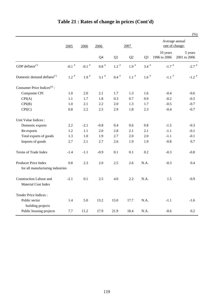|                                                            |               |                     |                |               |                    |                    |                                   | (% )                    |
|------------------------------------------------------------|---------------|---------------------|----------------|---------------|--------------------|--------------------|-----------------------------------|-------------------------|
|                                                            | 2005          | 2006                | 2006           |               | 2007               |                    | Average annual<br>rate of change: |                         |
|                                                            |               |                     | Q <sub>4</sub> | Q1            | Q2                 | Q <sub>3</sub>     | 10 years<br>1996 to 2006          | 5 years<br>2001 to 2006 |
| GDP deflator <sup>(^)</sup>                                | -0.1 $^\#$    | $-0.1$ <sup>#</sup> | $0.8$ $^{\#}$  | $1.2$ $^{\#}$ | $1.9$ $^{\#}$      | $3.4$ <sup>#</sup> | $-1.7$ <sup>#</sup>               | $-2.7$ #                |
| Domestic demand deflator <sup>(<math>\hat{ }</math>)</sup> | $1.2$ $^{\#}$ | $1.9$ <sup>#</sup>  | $3.1$ $^{\#}$  | $0.4$ $^{\#}$ | $1.1$ <sup>#</sup> | $1.6$ $^{\#}$      | $-1.1$ <sup>#</sup>               | -1.2 $^\#$              |
| Consumer Price Indices <sup>(a)</sup> :                    |               |                     |                |               |                    |                    |                                   |                         |
| Composite CPI                                              | 1.0           | 2.0                 | 2.1            | 1.7           | 1.3                | 1.6                | $-0.4$                            | $-0.6$                  |
| CPI(A)                                                     | 1.1           | 1.7                 | 1.8            | 0.3           | 0.7                | 0.9                | $-0.2$                            | $-0.5$                  |
| CPI(B)                                                     | 1.0           | 2.1                 | 2.2            | 2.0           | 1.3                | 1.7                | $-0.5$                            | $-0.7$                  |
| CPI(C)                                                     | 0.8           | 2.2                 | 2.5            | 2.9           | 1.8                | 2.3                | $-0.4$                            | $-0.7$                  |
| Unit Value Indices :                                       |               |                     |                |               |                    |                    |                                   |                         |
| Domestic exports                                           | 2.2           | $-2.1$              | $-0.8$         | 0.4           | 0.6                | $0.8\,$            | $-1.5$                            | $-0.3$                  |
| Re-exports                                                 | 1.2           | 1.1                 | 2.0            | 2.8           | 2.1                | 2.1                | $-1.1$                            | $-0.1$                  |
| Total exports of goods                                     | 1.3           | 1.0                 | 1.9            | 2.7           | 2.0                | 2.0                | $-1.1$                            | $-0.1$                  |
| Imports of goods                                           | 2.7           | 2.1                 | 2.7            | 2.6           | 1.9                | 1.9                | $-0.8$                            | 0.7                     |
| Terms of Trade Index                                       | $-1.4$        | $-1.1$              | $-0.9$         | 0.1           | 0.1                | 0.2                | $-0.3$                            | $-0.8$                  |
| Producer Price Index<br>for all manufacturing industries   | 0.8           | 2.3                 | 2.0            | 2.5           | 2.6                | N.A.               | $-0.3$                            | 0.4                     |
| <b>Construction Labour and</b><br>Material Cost Index      | $-2.1$        | 0.1                 | 2.5            | 4.0           | 2.2                | N.A.               | 1.5                               | $-0.9$                  |
| Tender Price Indices:                                      |               |                     |                |               |                    |                    |                                   |                         |
| Public sector<br>building projects                         | 1.4           | 5.0                 | 13.2           | 15.0          | 17.7               | N.A.               | $-1.1$                            | $-1.6$                  |
| Public housing projects                                    | 7.7           | 11.2                | 17.9           | 21.9          | 18.4               | N.A.               | $-0.6$                            | 0.2                     |

# **Table 21 : Rates of change in prices (Cont'd)**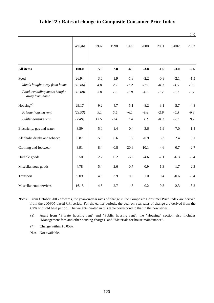|                                                |         |      |        |         |         |        |        | $(\%)$ |
|------------------------------------------------|---------|------|--------|---------|---------|--------|--------|--------|
|                                                | Weight  | 1997 | 1998   | 1999    | 2000    | 2001   | 2002   | 2003   |
| All items                                      | 100.0   | 5.8  | 2.8    | $-4.0$  | $-3.8$  | $-1.6$ | $-3.0$ | $-2.6$ |
| Food                                           | 26.94   | 3.6  | 1.9    | $-1.8$  | $-2.2$  | $-0.8$ | $-2.1$ | $-1.5$ |
| Meals bought away from home                    | (16.86) | 4.0  | 2.2    | $-1.2$  | $-0.9$  | $-0.3$ | $-1.5$ | $-1.5$ |
| Food, excluding meals bought<br>away from home | (10.08) | 3.0  | 1.5    | $-2.8$  | $-4.2$  | $-1.7$ | $-3.1$ | $-1.7$ |
| Housing <sup>(a)</sup>                         | 29.17   | 9.2  | 4.7    | $-5.1$  | $-8.2$  | $-3.1$ | $-5.7$ | $-4.8$ |
| Private housing rent                           | (23.93) | 9.1  | 5.5    | $-6.1$  | $-9.8$  | $-2.9$ | $-6.5$ | $-6.3$ |
| Public housing rent                            | (2.49)  | 13.5 | $-3.4$ | 1.4     | 1.1     | $-8.3$ | $-2.7$ | 9.1    |
| Electricity, gas and water                     | 3.59    | 5.0  | 1.4    | $-0.4$  | 3.6     | $-1.9$ | $-7.0$ | 1.4    |
| Alcoholic drinks and tobacco                   | 0.87    | 5.6  | 6.6    | 1.2     | $-0.9$  | 3.3    | 2.4    | 0.1    |
| Clothing and footwear                          | 3.91    | 8.4  | $-0.8$ | $-20.6$ | $-10.1$ | $-4.6$ | 0.7    | $-2.7$ |
| Durable goods                                  | 5.50    | 2.2  | 0.2    | $-6.3$  | $-4.6$  | $-7.1$ | $-6.3$ | $-6.4$ |
| Miscellaneous goods                            | 4.78    | 5.4  | 2.6    | $-0.7$  | 0.9     | 1.3    | 1.7    | 2.3    |
| Transport                                      | 9.09    | 4.0  | 3.9    | 0.5     | 1.0     | 0.4    | $-0.6$ | $-0.4$ |
| Miscellaneous services                         | 16.15   | 4.5  | 2.7    | $-1.3$  | $-0.2$  | 0.5    | $-2.3$ | $-3.2$ |

#### **Table 22 : Rates of change in Composite Consumer Price Index**

Notes : From October 2005 onwards, the year-on-year rates of change in the Composite Consumer Price Index are derived from the 2004/05-based CPI series. For the earlier periods, the year-on-year rates of change are derived from the CPIs with old base period. The weights quoted in this table correspond to that in the new series.

(a) Apart from "Private housing rent" and "Public housing rent", the "Housing" section also includes "Management fees and other housing charges" and "Materials for house maintenance".

(\*) Change within  $\pm 0.05\%$ .

N.A. Not available.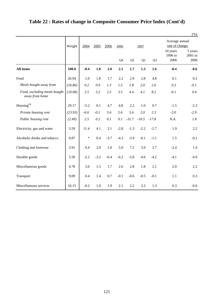|                                                |         |        |        |        |        |         |                |                |                                               | $(\%)$            |
|------------------------------------------------|---------|--------|--------|--------|--------|---------|----------------|----------------|-----------------------------------------------|-------------------|
|                                                | Weight  | 2004   | 2005   | 2006   | 2006   |         | 2007           |                | Average annual<br>rate of change:<br>10 years | 5 years           |
|                                                |         |        |        |        | Q4     | Q1      | Q <sub>2</sub> | Q <sub>3</sub> | 1996 to<br>2006                               | $2001$ to<br>2006 |
| <b>All items</b>                               | 100.0   | $-0.4$ | 1.0    | 2.0    | 2.1    | 1.7     | 1.3            | 1.6            | $-0.4$                                        | $-0.6$            |
| Food                                           | 26.94   | 1.0    | 1.8    | 1.7    | 2.2    | 2.9     | 2.8            | 4.8            | 0.1                                           | 0.2               |
| Meals bought away from                         | (16.86) | 0.2    | 0.9    | 1.3    | 1.5    | 1.8     | 2.0            | 2.6            | 0.3                                           | $-0.1$            |
| Food, excluding meals bought<br>away from home | (10.08) | 2.5    | 3.2    | 2.5    | 3.5    | 4.4     | 4.1            | 8.2            | $-0.1$                                        | 0.6               |
| $\mathop{\rm Housing}\nolimits^{\rm (a)}$      | 29.17   | $-5.2$ | 0.1    | 4.7    | 4.8    | 2.2     | 1.0            | 0.7            | $-1.5$                                        | $-2.3$            |
| Private housing rent                           | (23.93) | $-6.6$ | $-0.1$ | 5.6    | 5.6    | 5.6     | 2.0            | 2.3            | $-2.0$                                        | $-2.9$            |
| Public housing rent                            | (2.49)  | 2.5    | 0.2    | 0.1    | 0.1    | $-31.7$ | $-10.5$        | $-17.8$        | N.A.                                          | 1.8               |
| Electricity, gas and water                     | 3.59    | 11.4   | 4.1    | 2.1    | $-2.8$ | $-1.3$  | $-2.2$         | $-2.7$         | 1.9                                           | 2.2               |
| Alcoholic drinks and tobacco                   | 0.87    | $\ast$ | 0.4    | $-3.7$ | $-4.3$ | $-3.9$  | $-0.1$         | $-1.1$         | 1.5                                           | $-0.2$            |
| Clothing and footwear                          | 3.91    | 6.4    | 2.0    | 1.0    | 5.0    | 7.2     | 3.9            | 3.7            | $-2.4$                                        | 1.4               |
| Durable goods                                  | 5.50    | $-2.2$ | $-3.2$ | $-6.4$ | $-6.3$ | $-5.8$  | $-4.6$         | $-4.2$         | $-4.1$                                        | $-4.9$            |
| Miscellaneous goods                            | 4.78    | 3.6    | 1.5    | 1.7    | 2.6    | 2.8     | 1.8            | 2.1            | 2.0                                           | 2.2               |
| Transport                                      | 9.09    | 0.4    | 1.4    | 0.7    | $-0.1$ | $-0.6$  | $-0.5$         | $-0.1$         | 1.1                                           | 0.3               |
| Miscellaneous services                         | 16.15   | $-0.2$ | 1.0    | 1.9    | 2.1    | 2.2     | 2.2            | 1.3            | 0.3                                           | $-0.6$            |

# **Table 22 : Rates of change in Composite Consumer Price Index (Cont'd)**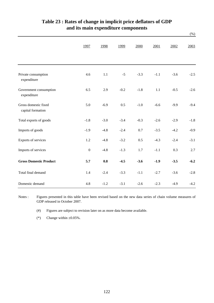|                                           |                  |         |        |         |         |        | $(\%)$ |
|-------------------------------------------|------------------|---------|--------|---------|---------|--------|--------|
|                                           | 1997             | 1998    | 1999   | 2000    | 2001    | 2002   | 2003   |
| Private consumption<br>expenditure        | 4.6              | $1.1\,$ | $-5$   | $-3.3$  | $-1.1$  | $-3.6$ | $-2.5$ |
| Government consumption<br>expenditure     | 6.5              | 2.9     | $-0.2$ | $-1.8$  | $1.1\,$ | $-0.5$ | $-2.6$ |
| Gross domestic fixed<br>capital formation | 5.0              | $-6.9$  | 0.5    | $-1.0$  | $-6.6$  | $-9.9$ | $-9.4$ |
| Total exports of goods                    | $-1.8$           | $-3.0$  | $-3.4$ | $-0.3$  | $-2.6$  | $-2.9$ | $-1.8$ |
| Imports of goods                          | $-1.9$           | $-4.8$  | $-2.4$ | $0.7\,$ | $-3.5$  | $-4.2$ | $-0.9$ |
| Exports of services                       | 1.2              | $-4.8$  | $-3.2$ | 0.5     | $-4.3$  | $-2.4$ | $-3.1$ |
| Imports of services                       | $\boldsymbol{0}$ | $-4.8$  | $-1.3$ | 1.7     | $-1.1$  | 0.3    | 2.7    |
| <b>Gross Domestic Product</b>             | 5.7              | 0.8     | $-4.5$ | $-3.6$  | $-1.9$  | $-3.5$ | $-6.2$ |
| Total final demand                        | 1.4              | $-2.4$  | $-3.3$ | $-1.1$  | $-2.7$  | $-3.6$ | $-2.8$ |
| Domestic demand                           | 4.8              | $-1.2$  | $-3.1$ | $-2.6$  | $-2.3$  | $-4.9$ | $-4.2$ |

## **and its main expenditure components Table 23 : Rates of change in implicit price deflators of GDP**

Notes : Figures presented in this table have been revised based on the new data series of chain volume measures of GDP released in October 2007.

> (#) Figures are subject to revision later on as more data become available.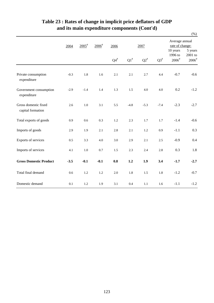|                                           |        |                     |                     |           |           |           |                                   |                                          | $(\%)$                                         |
|-------------------------------------------|--------|---------------------|---------------------|-----------|-----------|-----------|-----------------------------------|------------------------------------------|------------------------------------------------|
|                                           | 2004   | $2005$ <sup>#</sup> | $2006$ <sup>#</sup> | 2006      |           | 2007      | Average annual<br>rate of change: |                                          |                                                |
|                                           |        |                     |                     | $Q4^{\#}$ | $Q1^{\#}$ | $Q2^{\#}$ | $Q3^{\#}$                         | 10 years<br>1996 to<br>$2006^{\text{*}}$ | 5 years<br>2001 to<br>$2006^{\rm \texttt{\#}}$ |
| Private consumption<br>expenditure        | $-0.3$ | 1.8                 | 1.6                 | 2.1       | 2.1       | 2.7       | 4.4                               | $-0.7$                                   | $-0.6$                                         |
| Government consumption<br>expenditure     | $-2.9$ | $-1.4$              | 1.4                 | 1.3       | 1.5       | 4.0       | 4.0                               | 0.2                                      | $-1.2$                                         |
| Gross domestic fixed<br>capital formation | 2.6    | $1.0\,$             | 3.1                 | 5.5       | $-4.8$    | $-5.3$    | $-7.4$                            | $-2.3$                                   | $-2.7$                                         |
| Total exports of goods                    | 0.9    | 0.6                 | 0.3                 | 1.2       | 2.3       | 1.7       | 1.7                               | $-1.4$                                   | $-0.6$                                         |
| Imports of goods                          | 2.9    | 1.9                 | 2.1                 | 2.8       | 2.1       | 1.2       | 0.9                               | $-1.1$                                   | 0.3                                            |
| Exports of services                       | 0.5    | 3.3                 | 4.0                 | 3.0       | 2.9       | 2.1       | $2.5\,$                           | $-0.9$                                   | 0.4                                            |
| Imports of services                       | 4.1    | $1.0\,$             | 0.7                 | 1.5       | 2.3       | 2.4       | 2.8                               | 0.3                                      | 1.8                                            |
| <b>Gross Domestic Product</b>             | $-3.5$ | $-0.1$              | $-0.1$              | 0.8       | 1.2       | 1.9       | 3.4                               | $-1.7$                                   | $-2.7$                                         |
| Total final demand                        | 0.6    | $1.2\,$             | 1.2                 | 2.0       | $1.8\,$   | 1.5       | 1.8                               | $-1.2$                                   | $-0.7$                                         |
| Domestic demand                           | 0.1    | 1.2                 | 1.9                 | 3.1       | 0.4       | 1.1       | 1.6                               | $-1.1$                                   | $-1.2$                                         |

## **Table 23 : Rates of change in implicit price deflators of GDP and its main expenditure components (Cont'd)**